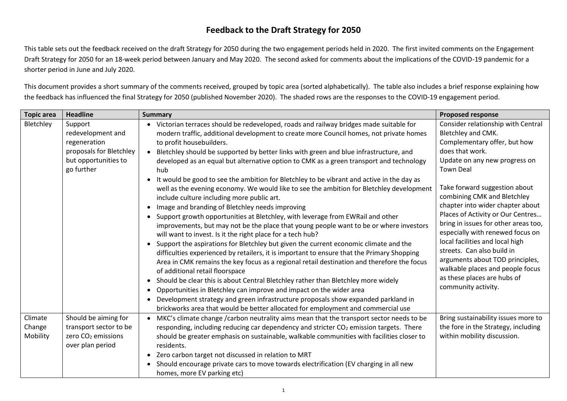## **Feedback to the Draft Strategy for 2050**

This table sets out the feedback received on the draft Strategy for 2050 during the two engagement periods held in 2020. The first invited comments on the Engagement Draft Strategy for 2050 for an 18-week period between January and May 2020. The second asked for comments about the implications of the COVID-19 pandemic for a shorter period in June and July 2020.

This document provides a short summary of the comments received, grouped by topic area (sorted alphabetically). The table also includes a brief response explaining how the feedback has influenced the final Strategy for 2050 (published November 2020). The shaded rows are the responses to the COVID-19 engagement period.

| <b>Topic area</b>             | <b>Headline</b>                                                                                               | <b>Summary</b>                                                                                                                                                                                                                                                                                                                                                                                                                                                                                                                                                                                                                                                                                                                                                                                                                                                                                                                                                                                                                                                                                                                                                                                                                                                                                                                                                                                                                                                                                                                                                                                                              | <b>Proposed response</b>                                                                                                                                                                                                                                                                                                                                                                                                                                                                                                                                                            |
|-------------------------------|---------------------------------------------------------------------------------------------------------------|-----------------------------------------------------------------------------------------------------------------------------------------------------------------------------------------------------------------------------------------------------------------------------------------------------------------------------------------------------------------------------------------------------------------------------------------------------------------------------------------------------------------------------------------------------------------------------------------------------------------------------------------------------------------------------------------------------------------------------------------------------------------------------------------------------------------------------------------------------------------------------------------------------------------------------------------------------------------------------------------------------------------------------------------------------------------------------------------------------------------------------------------------------------------------------------------------------------------------------------------------------------------------------------------------------------------------------------------------------------------------------------------------------------------------------------------------------------------------------------------------------------------------------------------------------------------------------------------------------------------------------|-------------------------------------------------------------------------------------------------------------------------------------------------------------------------------------------------------------------------------------------------------------------------------------------------------------------------------------------------------------------------------------------------------------------------------------------------------------------------------------------------------------------------------------------------------------------------------------|
| Bletchley                     | Support<br>redevelopment and<br>regeneration<br>proposals for Bletchley<br>but opportunities to<br>go further | • Victorian terraces should be redeveloped, roads and railway bridges made suitable for<br>modern traffic, additional development to create more Council homes, not private homes<br>to profit housebuilders.<br>• Bletchley should be supported by better links with green and blue infrastructure, and<br>developed as an equal but alternative option to CMK as a green transport and technology<br>hub<br>It would be good to see the ambition for Bletchley to be vibrant and active in the day as<br>well as the evening economy. We would like to see the ambition for Bletchley development<br>include culture including more public art.<br>Image and branding of Bletchley needs improving<br>Support growth opportunities at Bletchley, with leverage from EWRail and other<br>improvements, but may not be the place that young people want to be or where investors<br>will want to invest. Is it the right place for a tech hub?<br>• Support the aspirations for Bletchley but given the current economic climate and the<br>difficulties experienced by retailers, it is important to ensure that the Primary Shopping<br>Area in CMK remains the key focus as a regional retail destination and therefore the focus<br>of additional retail floorspace<br>• Should be clear this is about Central Bletchley rather than Bletchley more widely<br>Opportunities in Bletchley can improve and impact on the wider area<br>$\bullet$<br>Development strategy and green infrastructure proposals show expanded parkland in<br>brickworks area that would be better allocated for employment and commercial use | Consider relationship with Central<br>Bletchley and CMK.<br>Complementary offer, but how<br>does that work.<br>Update on any new progress on<br><b>Town Deal</b><br>Take forward suggestion about<br>combining CMK and Bletchley<br>chapter into wider chapter about<br>Places of Activity or Our Centres<br>bring in issues for other areas too,<br>especially with renewed focus on<br>local facilities and local high<br>streets. Can also build in<br>arguments about TOD principles,<br>walkable places and people focus<br>as these places are hubs of<br>community activity. |
| Climate<br>Change<br>Mobility | Should be aiming for<br>transport sector to be<br>zero CO <sub>2</sub> emissions<br>over plan period          | MKC's climate change /carbon neutrality aims mean that the transport sector needs to be<br>responding, including reducing car dependency and stricter $CO2$ emission targets. There<br>should be greater emphasis on sustainable, walkable communities with facilities closer to<br>residents.<br>• Zero carbon target not discussed in relation to MRT<br>Should encourage private cars to move towards electrification (EV charging in all new<br>$\bullet$<br>homes, more EV parking etc)                                                                                                                                                                                                                                                                                                                                                                                                                                                                                                                                                                                                                                                                                                                                                                                                                                                                                                                                                                                                                                                                                                                                | Bring sustainability issues more to<br>the fore in the Strategy, including<br>within mobility discussion.                                                                                                                                                                                                                                                                                                                                                                                                                                                                           |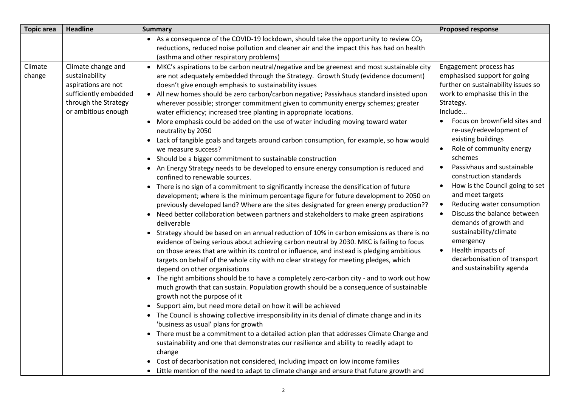| <b>Topic area</b> | <b>Headline</b>                                                                                                                     | <b>Summary</b>                                                                                                                                                                                                                                                                                                                                                                                                                                                                                                                                                                                                                                                                                                                                                                                                                                                                                                                                                                                                                                                                                                                                                                                                                                                                                                                                                                                                                                                                                                                                                                                                                                                                                                                                                                                                                                                                                                                                                                                                                                                                                                                                                                                                                                                                                                                                                                                                                                                                                                                                                     | <b>Proposed response</b>                                                                                                                                                                                                                                                                                                                                                                                                                                                                                                                                                                                                                             |
|-------------------|-------------------------------------------------------------------------------------------------------------------------------------|--------------------------------------------------------------------------------------------------------------------------------------------------------------------------------------------------------------------------------------------------------------------------------------------------------------------------------------------------------------------------------------------------------------------------------------------------------------------------------------------------------------------------------------------------------------------------------------------------------------------------------------------------------------------------------------------------------------------------------------------------------------------------------------------------------------------------------------------------------------------------------------------------------------------------------------------------------------------------------------------------------------------------------------------------------------------------------------------------------------------------------------------------------------------------------------------------------------------------------------------------------------------------------------------------------------------------------------------------------------------------------------------------------------------------------------------------------------------------------------------------------------------------------------------------------------------------------------------------------------------------------------------------------------------------------------------------------------------------------------------------------------------------------------------------------------------------------------------------------------------------------------------------------------------------------------------------------------------------------------------------------------------------------------------------------------------------------------------------------------------------------------------------------------------------------------------------------------------------------------------------------------------------------------------------------------------------------------------------------------------------------------------------------------------------------------------------------------------------------------------------------------------------------------------------------------------|------------------------------------------------------------------------------------------------------------------------------------------------------------------------------------------------------------------------------------------------------------------------------------------------------------------------------------------------------------------------------------------------------------------------------------------------------------------------------------------------------------------------------------------------------------------------------------------------------------------------------------------------------|
|                   |                                                                                                                                     | • As a consequence of the COVID-19 lockdown, should take the opportunity to review $CO2$<br>reductions, reduced noise pollution and cleaner air and the impact this has had on health<br>(asthma and other respiratory problems)                                                                                                                                                                                                                                                                                                                                                                                                                                                                                                                                                                                                                                                                                                                                                                                                                                                                                                                                                                                                                                                                                                                                                                                                                                                                                                                                                                                                                                                                                                                                                                                                                                                                                                                                                                                                                                                                                                                                                                                                                                                                                                                                                                                                                                                                                                                                   |                                                                                                                                                                                                                                                                                                                                                                                                                                                                                                                                                                                                                                                      |
| Climate<br>change | Climate change and<br>sustainability<br>aspirations are not<br>sufficiently embedded<br>through the Strategy<br>or ambitious enough | • MKC's aspirations to be carbon neutral/negative and be greenest and most sustainable city<br>are not adequately embedded through the Strategy. Growth Study (evidence document)<br>doesn't give enough emphasis to sustainability issues<br>• All new homes should be zero carbon/carbon negative; Passivhaus standard insisted upon<br>wherever possible; stronger commitment given to community energy schemes; greater<br>water efficiency; increased tree planting in appropriate locations.<br>• More emphasis could be added on the use of water including moving toward water<br>neutrality by 2050<br>• Lack of tangible goals and targets around carbon consumption, for example, so how would<br>we measure success?<br>• Should be a bigger commitment to sustainable construction<br>• An Energy Strategy needs to be developed to ensure energy consumption is reduced and<br>confined to renewable sources.<br>• There is no sign of a commitment to significantly increase the densification of future<br>development; where is the minimum percentage figure for future development to 2050 on<br>previously developed land? Where are the sites designated for green energy production??<br>• Need better collaboration between partners and stakeholders to make green aspirations<br>deliverable<br>• Strategy should be based on an annual reduction of 10% in carbon emissions as there is no<br>evidence of being serious about achieving carbon neutral by 2030. MKC is failing to focus<br>on those areas that are within its control or influence, and instead is pledging ambitious<br>targets on behalf of the whole city with no clear strategy for meeting pledges, which<br>depend on other organisations<br>• The right ambitions should be to have a completely zero-carbon city - and to work out how<br>much growth that can sustain. Population growth should be a consequence of sustainable<br>growth not the purpose of it<br>• Support aim, but need more detail on how it will be achieved<br>• The Council is showing collective irresponsibility in its denial of climate change and in its<br>'business as usual' plans for growth<br>• There must be a commitment to a detailed action plan that addresses Climate Change and<br>sustainability and one that demonstrates our resilience and ability to readily adapt to<br>change<br>• Cost of decarbonisation not considered, including impact on low income families<br>• Little mention of the need to adapt to climate change and ensure that future growth and | Engagement process has<br>emphasised support for going<br>further on sustainability issues so<br>work to emphasise this in the<br>Strategy.<br>Include<br>Focus on brownfield sites and<br>re-use/redevelopment of<br>existing buildings<br>Role of community energy<br>schemes<br>Passivhaus and sustainable<br>$\bullet$<br>construction standards<br>How is the Council going to set<br>and meet targets<br>Reducing water consumption<br>$\bullet$<br>Discuss the balance between<br>demands of growth and<br>sustainability/climate<br>emergency<br>Health impacts of<br>$\bullet$<br>decarbonisation of transport<br>and sustainability agenda |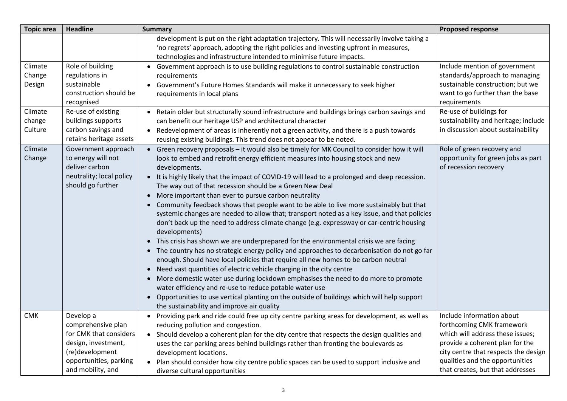| <b>Topic area</b>            | <b>Headline</b>                                                                                                                                    | <b>Summary</b>                                                                                                                                                                                                                                                                                                                                                                                                                                                                                                                                                                                                                                                                                                                                                                                                                                                                                                                                                                                                                                                                                                                                                                                                                                                                                                                                                                                 | <b>Proposed response</b>                                                                                                                                                                                                                     |
|------------------------------|----------------------------------------------------------------------------------------------------------------------------------------------------|------------------------------------------------------------------------------------------------------------------------------------------------------------------------------------------------------------------------------------------------------------------------------------------------------------------------------------------------------------------------------------------------------------------------------------------------------------------------------------------------------------------------------------------------------------------------------------------------------------------------------------------------------------------------------------------------------------------------------------------------------------------------------------------------------------------------------------------------------------------------------------------------------------------------------------------------------------------------------------------------------------------------------------------------------------------------------------------------------------------------------------------------------------------------------------------------------------------------------------------------------------------------------------------------------------------------------------------------------------------------------------------------|----------------------------------------------------------------------------------------------------------------------------------------------------------------------------------------------------------------------------------------------|
|                              |                                                                                                                                                    | development is put on the right adaptation trajectory. This will necessarily involve taking a<br>'no regrets' approach, adopting the right policies and investing upfront in measures,<br>technologies and infrastructure intended to minimise future impacts.                                                                                                                                                                                                                                                                                                                                                                                                                                                                                                                                                                                                                                                                                                                                                                                                                                                                                                                                                                                                                                                                                                                                 |                                                                                                                                                                                                                                              |
| Climate<br>Change<br>Design  | Role of building<br>regulations in<br>sustainable<br>construction should be<br>recognised                                                          | • Government approach is to use building regulations to control sustainable construction<br>requirements<br>Government's Future Homes Standards will make it unnecessary to seek higher<br>requirements in local plans                                                                                                                                                                                                                                                                                                                                                                                                                                                                                                                                                                                                                                                                                                                                                                                                                                                                                                                                                                                                                                                                                                                                                                         | Include mention of government<br>standards/approach to managing<br>sustainable construction; but we<br>want to go further than the base<br>requirements                                                                                      |
| Climate<br>change<br>Culture | Re-use of existing<br>buildings supports<br>carbon savings and<br>retains heritage assets                                                          | • Retain older but structurally sound infrastructure and buildings brings carbon savings and<br>can benefit our heritage USP and architectural character<br>• Redevelopment of areas is inherently not a green activity, and there is a push towards<br>reusing existing buildings. This trend does not appear to be noted.                                                                                                                                                                                                                                                                                                                                                                                                                                                                                                                                                                                                                                                                                                                                                                                                                                                                                                                                                                                                                                                                    | Re-use of buildings for<br>sustainability and heritage; include<br>in discussion about sustainability                                                                                                                                        |
| Climate<br>Change            | Government approach<br>to energy will not<br>deliver carbon<br>neutrality; local policy<br>should go further                                       | • Green recovery proposals - it would also be timely for MK Council to consider how it will<br>look to embed and retrofit energy efficient measures into housing stock and new<br>developments.<br>• It is highly likely that the impact of COVID-19 will lead to a prolonged and deep recession.<br>The way out of that recession should be a Green New Deal<br>More important than ever to pursue carbon neutrality<br>Community feedback shows that people want to be able to live more sustainably but that<br>systemic changes are needed to allow that; transport noted as a key issue, and that policies<br>don't back up the need to address climate change (e.g. expressway or car-centric housing<br>developments)<br>• This crisis has shown we are underprepared for the environmental crisis we are facing<br>• The country has no strategic energy policy and approaches to decarbonisation do not go far<br>enough. Should have local policies that require all new homes to be carbon neutral<br>Need vast quantities of electric vehicle charging in the city centre<br>$\bullet$<br>More domestic water use during lockdown emphasises the need to do more to promote<br>water efficiency and re-use to reduce potable water use<br>Opportunities to use vertical planting on the outside of buildings which will help support<br>the sustainability and improve air quality | Role of green recovery and<br>opportunity for green jobs as part<br>of recession recovery                                                                                                                                                    |
| <b>CMK</b>                   | Develop a<br>comprehensive plan<br>for CMK that considers<br>design, investment,<br>(re)development<br>opportunities, parking<br>and mobility, and | • Providing park and ride could free up city centre parking areas for development, as well as<br>reducing pollution and congestion.<br>• Should develop a coherent plan for the city centre that respects the design qualities and<br>uses the car parking areas behind buildings rather than fronting the boulevards as<br>development locations.<br>Plan should consider how city centre public spaces can be used to support inclusive and<br>$\bullet$<br>diverse cultural opportunities                                                                                                                                                                                                                                                                                                                                                                                                                                                                                                                                                                                                                                                                                                                                                                                                                                                                                                   | Include information about<br>forthcoming CMK framework<br>which will address these issues;<br>provide a coherent plan for the<br>city centre that respects the design<br>qualities and the opportunities<br>that creates, but that addresses |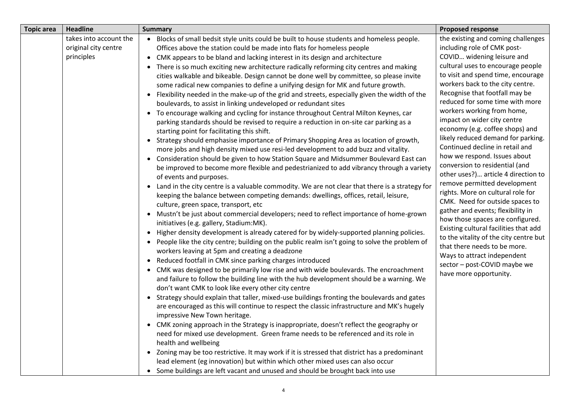| <b>Topic area</b> | <b>Headline</b>                                              | <b>Summary</b>                                                                                                                                                                                                                                                                                                                                                                                                                                                                                                                                                                                                                                                                                                                                                                                                                                                                                                                                                                                                                                                                                                                                                                                                                                                                                                                                                                                                                                                                                                                                                                                                                                                                                                                                                                                                                                                                                                                                                                                                                                                                                                                                                                                                                                                                                                                                                                                                                                                                                                                                                                                                                                                                                                                                                                                     | <b>Proposed response</b>                                                                                                                                                                                                                                                                                                                                                                                                                                                                                                                                                                                                                                                                                                                                                                                                                                                                                                                                           |
|-------------------|--------------------------------------------------------------|----------------------------------------------------------------------------------------------------------------------------------------------------------------------------------------------------------------------------------------------------------------------------------------------------------------------------------------------------------------------------------------------------------------------------------------------------------------------------------------------------------------------------------------------------------------------------------------------------------------------------------------------------------------------------------------------------------------------------------------------------------------------------------------------------------------------------------------------------------------------------------------------------------------------------------------------------------------------------------------------------------------------------------------------------------------------------------------------------------------------------------------------------------------------------------------------------------------------------------------------------------------------------------------------------------------------------------------------------------------------------------------------------------------------------------------------------------------------------------------------------------------------------------------------------------------------------------------------------------------------------------------------------------------------------------------------------------------------------------------------------------------------------------------------------------------------------------------------------------------------------------------------------------------------------------------------------------------------------------------------------------------------------------------------------------------------------------------------------------------------------------------------------------------------------------------------------------------------------------------------------------------------------------------------------------------------------------------------------------------------------------------------------------------------------------------------------------------------------------------------------------------------------------------------------------------------------------------------------------------------------------------------------------------------------------------------------------------------------------------------------------------------------------------------------|--------------------------------------------------------------------------------------------------------------------------------------------------------------------------------------------------------------------------------------------------------------------------------------------------------------------------------------------------------------------------------------------------------------------------------------------------------------------------------------------------------------------------------------------------------------------------------------------------------------------------------------------------------------------------------------------------------------------------------------------------------------------------------------------------------------------------------------------------------------------------------------------------------------------------------------------------------------------|
|                   | takes into account the<br>original city centre<br>principles | . Blocks of small bedsit style units could be built to house students and homeless people.<br>Offices above the station could be made into flats for homeless people<br>CMK appears to be bland and lacking interest in its design and architecture<br>$\bullet$<br>There is so much exciting new architecture radically reforming city centres and making<br>cities walkable and bikeable. Design cannot be done well by committee, so please invite<br>some radical new companies to define a unifying design for MK and future growth.<br>Flexibility needed in the make-up of the grid and streets, especially given the width of the<br>$\bullet$<br>boulevards, to assist in linking undeveloped or redundant sites<br>• To encourage walking and cycling for instance throughout Central Milton Keynes, car<br>parking standards should be revised to require a reduction in on-site car parking as a<br>starting point for facilitating this shift.<br>Strategy should emphasise importance of Primary Shopping Area as location of growth,<br>$\bullet$<br>more jobs and high density mixed use resi-led development to add buzz and vitality.<br>Consideration should be given to how Station Square and Midsummer Boulevard East can<br>$\bullet$<br>be improved to become more flexible and pedestrianized to add vibrancy through a variety<br>of events and purposes.<br>• Land in the city centre is a valuable commodity. We are not clear that there is a strategy for<br>keeping the balance between competing demands: dwellings, offices, retail, leisure,<br>culture, green space, transport, etc<br>• Mustn't be just about commercial developers; need to reflect importance of home-grown<br>initiatives (e.g. gallery, Stadium:MK).<br>• Higher density development is already catered for by widely-supported planning policies.<br>• People like the city centre; building on the public realm isn't going to solve the problem of<br>workers leaving at 5pm and creating a deadzone<br>Reduced footfall in CMK since parking charges introduced<br>$\bullet$<br>CMK was designed to be primarily low rise and with wide boulevards. The encroachment<br>$\bullet$<br>and failure to follow the building line with the hub development should be a warning. We<br>don't want CMK to look like every other city centre<br>Strategy should explain that taller, mixed-use buildings fronting the boulevards and gates<br>$\bullet$<br>are encouraged as this will continue to respect the classic infrastructure and MK's hugely<br>impressive New Town heritage.<br>CMK zoning approach in the Strategy is inappropriate, doesn't reflect the geography or<br>need for mixed use development. Green frame needs to be referenced and its role in<br>health and wellbeing | the existing and coming challenges<br>including role of CMK post-<br>COVID widening leisure and<br>cultural uses to encourage people<br>to visit and spend time, encourage<br>workers back to the city centre.<br>Recognise that footfall may be<br>reduced for some time with more<br>workers working from home,<br>impact on wider city centre<br>economy (e.g. coffee shops) and<br>likely reduced demand for parking.<br>Continued decline in retail and<br>how we respond. Issues about<br>conversion to residential (and<br>other uses?) article 4 direction to<br>remove permitted development<br>rights. More on cultural role for<br>CMK. Need for outside spaces to<br>gather and events; flexibility in<br>how those spaces are configured.<br>Existing cultural facilities that add<br>to the vitality of the city centre but<br>that there needs to be more.<br>Ways to attract independent<br>sector - post-COVID maybe we<br>have more opportunity. |
|                   |                                                              | • Zoning may be too restrictive. It may work if it is stressed that district has a predominant                                                                                                                                                                                                                                                                                                                                                                                                                                                                                                                                                                                                                                                                                                                                                                                                                                                                                                                                                                                                                                                                                                                                                                                                                                                                                                                                                                                                                                                                                                                                                                                                                                                                                                                                                                                                                                                                                                                                                                                                                                                                                                                                                                                                                                                                                                                                                                                                                                                                                                                                                                                                                                                                                                     |                                                                                                                                                                                                                                                                                                                                                                                                                                                                                                                                                                                                                                                                                                                                                                                                                                                                                                                                                                    |
|                   |                                                              | lead element (eg innovation) but within which other mixed uses can also occur                                                                                                                                                                                                                                                                                                                                                                                                                                                                                                                                                                                                                                                                                                                                                                                                                                                                                                                                                                                                                                                                                                                                                                                                                                                                                                                                                                                                                                                                                                                                                                                                                                                                                                                                                                                                                                                                                                                                                                                                                                                                                                                                                                                                                                                                                                                                                                                                                                                                                                                                                                                                                                                                                                                      |                                                                                                                                                                                                                                                                                                                                                                                                                                                                                                                                                                                                                                                                                                                                                                                                                                                                                                                                                                    |
|                   |                                                              | • Some buildings are left vacant and unused and should be brought back into use                                                                                                                                                                                                                                                                                                                                                                                                                                                                                                                                                                                                                                                                                                                                                                                                                                                                                                                                                                                                                                                                                                                                                                                                                                                                                                                                                                                                                                                                                                                                                                                                                                                                                                                                                                                                                                                                                                                                                                                                                                                                                                                                                                                                                                                                                                                                                                                                                                                                                                                                                                                                                                                                                                                    |                                                                                                                                                                                                                                                                                                                                                                                                                                                                                                                                                                                                                                                                                                                                                                                                                                                                                                                                                                    |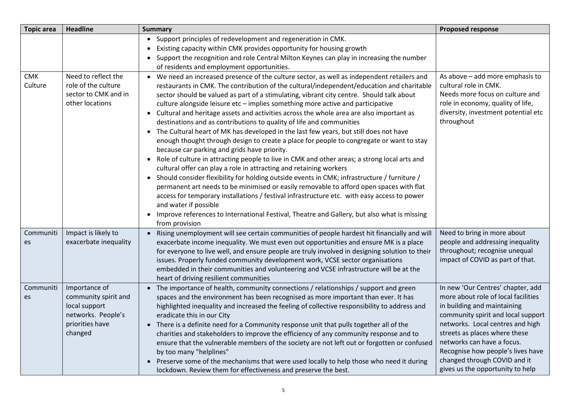| <b>Topic area</b>     | <b>Headline</b>                                                                                            | <b>Summary</b>                                                                                                                                                                                                                                                                                                                                                                                                                                                                                                                                                                                                                                                                                                                                                                                                                                                                                                                                                                                                                                                                                                                                                                                                                                                                                                                                                                                              | <b>Proposed response</b>                                                                                                                                                                                                                                                                                                                                  |
|-----------------------|------------------------------------------------------------------------------------------------------------|-------------------------------------------------------------------------------------------------------------------------------------------------------------------------------------------------------------------------------------------------------------------------------------------------------------------------------------------------------------------------------------------------------------------------------------------------------------------------------------------------------------------------------------------------------------------------------------------------------------------------------------------------------------------------------------------------------------------------------------------------------------------------------------------------------------------------------------------------------------------------------------------------------------------------------------------------------------------------------------------------------------------------------------------------------------------------------------------------------------------------------------------------------------------------------------------------------------------------------------------------------------------------------------------------------------------------------------------------------------------------------------------------------------|-----------------------------------------------------------------------------------------------------------------------------------------------------------------------------------------------------------------------------------------------------------------------------------------------------------------------------------------------------------|
|                       |                                                                                                            | • Support principles of redevelopment and regeneration in CMK.<br>Existing capacity within CMK provides opportunity for housing growth<br>• Support the recognition and role Central Milton Keynes can play in increasing the number<br>of residents and employment opportunities.                                                                                                                                                                                                                                                                                                                                                                                                                                                                                                                                                                                                                                                                                                                                                                                                                                                                                                                                                                                                                                                                                                                          |                                                                                                                                                                                                                                                                                                                                                           |
| <b>CMK</b><br>Culture | Need to reflect the<br>role of the culture<br>sector to CMK and in<br>other locations                      | • We need an increased presence of the culture sector, as well as independent retailers and<br>restaurants in CMK. The contribution of the cultural/independent/education and charitable<br>sector should be valued as part of a stimulating, vibrant city centre. Should talk about<br>culture alongside leisure etc - implies something more active and participative<br>• Cultural and heritage assets and activities across the whole area are also important as<br>destinations and as contributions to quality of life and communities<br>• The Cultural heart of MK has developed in the last few years, but still does not have<br>enough thought through design to create a place for people to congregate or want to stay<br>because car parking and grids have priority.<br>Role of culture in attracting people to live in CMK and other areas; a strong local arts and<br>cultural offer can play a role in attracting and retaining workers<br>• Should consider flexibility for holding outside events in CMK; infrastructure / furniture /<br>permanent art needs to be minimised or easily removable to afford open spaces with flat<br>access for temporary installations / festival infrastructure etc. with easy access to power<br>and water if possible<br>Improve references to International Festival, Theatre and Gallery, but also what is missing<br>$\bullet$<br>from provision | As above - add more emphasis to<br>cultural role in CMK.<br>Needs more focus on culture and<br>role in economy, quality of life,<br>diversity, investment potential etc<br>throughout                                                                                                                                                                     |
| Communiti<br>es       | Impact is likely to<br>exacerbate inequality                                                               | • Rising unemployment will see certain communities of people hardest hit financially and will<br>exacerbate income inequality. We must even out opportunities and ensure MK is a place<br>for everyone to live well, and ensure people are truly involved in designing solution to their<br>issues. Properly funded community development work, VCSE sector organisations<br>embedded in their communities and volunteering and VCSE infrastructure will be at the<br>heart of driving resilient communities                                                                                                                                                                                                                                                                                                                                                                                                                                                                                                                                                                                                                                                                                                                                                                                                                                                                                                | Need to bring in more about<br>people and addressing inequality<br>throughout; recognise unequal<br>impact of COVID as part of that.                                                                                                                                                                                                                      |
| Communiti<br>es       | Importance of<br>community spirit and<br>local support<br>networks. People's<br>priorities have<br>changed | • The importance of health, community connections / relationships / support and green<br>spaces and the environment has been recognised as more important than ever. It has<br>highlighted inequality and increased the feeling of collective responsibility to address and<br>eradicate this in our City<br>• There is a definite need for a Community response unit that pulls together all of the<br>charities and stakeholders to improve the efficiency of any community response and to<br>ensure that the vulnerable members of the society are not left out or forgotten or confused<br>by too many "helplines"<br>• Preserve some of the mechanisms that were used locally to help those who need it during<br>lockdown. Review them for effectiveness and preserve the best.                                                                                                                                                                                                                                                                                                                                                                                                                                                                                                                                                                                                                      | In new 'Our Centres' chapter, add<br>more about role of local facilities<br>in building and maintaining<br>community spirit and local support<br>networks. Local centres and high<br>streets as places where these<br>networks can have a focus.<br>Recognise how people's lives have<br>changed through COVID and it<br>gives us the opportunity to help |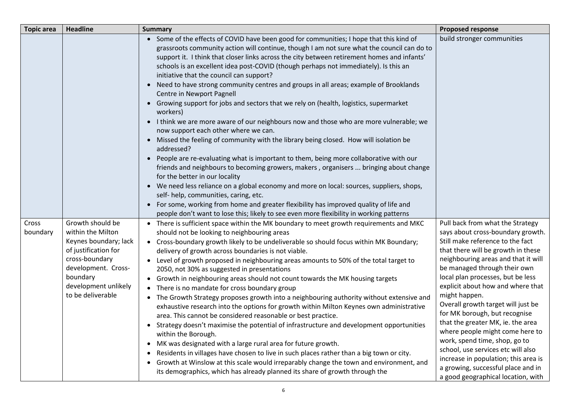| <b>Topic area</b> | <b>Headline</b>                                                                                                                                                                          | <b>Summary</b>                                                                                                                                                                                                                                                                                                                                                                                                                                                                                                                                                                                                                                                                                                                                                                                                                                                                                                                                                                                                                                                                                                                                                                                                                                                                                                                                                                                                                                                                                           | <b>Proposed response</b>                                                                                                                                                                                                                                                                                                                                                                                                                                                                                                                                                                                                                                    |
|-------------------|------------------------------------------------------------------------------------------------------------------------------------------------------------------------------------------|----------------------------------------------------------------------------------------------------------------------------------------------------------------------------------------------------------------------------------------------------------------------------------------------------------------------------------------------------------------------------------------------------------------------------------------------------------------------------------------------------------------------------------------------------------------------------------------------------------------------------------------------------------------------------------------------------------------------------------------------------------------------------------------------------------------------------------------------------------------------------------------------------------------------------------------------------------------------------------------------------------------------------------------------------------------------------------------------------------------------------------------------------------------------------------------------------------------------------------------------------------------------------------------------------------------------------------------------------------------------------------------------------------------------------------------------------------------------------------------------------------|-------------------------------------------------------------------------------------------------------------------------------------------------------------------------------------------------------------------------------------------------------------------------------------------------------------------------------------------------------------------------------------------------------------------------------------------------------------------------------------------------------------------------------------------------------------------------------------------------------------------------------------------------------------|
|                   |                                                                                                                                                                                          | • Some of the effects of COVID have been good for communities; I hope that this kind of<br>grassroots community action will continue, though I am not sure what the council can do to<br>support it. I think that closer links across the city between retirement homes and infants'<br>schools is an excellent idea post-COVID (though perhaps not immediately). Is this an<br>initiative that the council can support?<br>Need to have strong community centres and groups in all areas; example of Brooklands<br>$\bullet$<br>Centre in Newport Pagnell<br>Growing support for jobs and sectors that we rely on (health, logistics, supermarket<br>$\bullet$<br>workers)<br>• I think we are more aware of our neighbours now and those who are more vulnerable; we<br>now support each other where we can.<br>Missed the feeling of community with the library being closed. How will isolation be<br>$\bullet$<br>addressed?<br>People are re-evaluating what is important to them, being more collaborative with our<br>$\bullet$<br>friends and neighbours to becoming growers, makers, organisers  bringing about change<br>for the better in our locality<br>• We need less reliance on a global economy and more on local: sources, suppliers, shops,<br>self- help, communities, caring, etc.<br>For some, working from home and greater flexibility has improved quality of life and<br>$\bullet$<br>people don't want to lose this; likely to see even more flexibility in working patterns | build stronger communities                                                                                                                                                                                                                                                                                                                                                                                                                                                                                                                                                                                                                                  |
| Cross<br>boundary | Growth should be<br>within the Milton<br>Keynes boundary; lack<br>of justification for<br>cross-boundary<br>development. Cross-<br>boundary<br>development unlikely<br>to be deliverable | • There is sufficient space within the MK boundary to meet growth requirements and MKC<br>should not be looking to neighbouring areas<br>• Cross-boundary growth likely to be undeliverable so should focus within MK Boundary;<br>delivery of growth across boundaries is not viable.<br>Level of growth proposed in neighbouring areas amounts to 50% of the total target to<br>2050, not 30% as suggested in presentations<br>• Growth in neighbouring areas should not count towards the MK housing targets<br>There is no mandate for cross boundary group<br>• The Growth Strategy proposes growth into a neighbouring authority without extensive and<br>exhaustive research into the options for growth within Milton Keynes own administrative<br>area. This cannot be considered reasonable or best practice.<br>• Strategy doesn't maximise the potential of infrastructure and development opportunities<br>within the Borough.<br>MK was designated with a large rural area for future growth.<br>$\bullet$<br>Residents in villages have chosen to live in such places rather than a big town or city.<br>Growth at Winslow at this scale would irreparably change the town and environment, and<br>$\bullet$<br>its demographics, which has already planned its share of growth through the                                                                                                                                                                                               | Pull back from what the Strategy<br>says about cross-boundary growth.<br>Still make reference to the fact<br>that there will be growth in these<br>neighbouring areas and that it will<br>be managed through their own<br>local plan processes, but be less<br>explicit about how and where that<br>might happen.<br>Overall growth target will just be<br>for MK borough, but recognise<br>that the greater MK, ie. the area<br>where people might come here to<br>work, spend time, shop, go to<br>school, use services etc will also<br>increase in population; this area is<br>a growing, successful place and in<br>a good geographical location, with |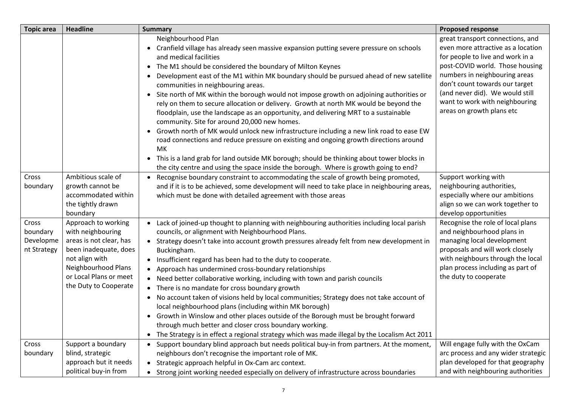| <b>Topic area</b>                             | <b>Headline</b>                                                                                                                                                                          | <b>Summary</b>                                                                                                                                                                                                                                                                                                                                                                                                                                                                                                                                                                                                                                                                                                                                                                                                                                                                                                                                                                                                                                             | <b>Proposed response</b>                                                                                                                                                                                                                                                                                           |
|-----------------------------------------------|------------------------------------------------------------------------------------------------------------------------------------------------------------------------------------------|------------------------------------------------------------------------------------------------------------------------------------------------------------------------------------------------------------------------------------------------------------------------------------------------------------------------------------------------------------------------------------------------------------------------------------------------------------------------------------------------------------------------------------------------------------------------------------------------------------------------------------------------------------------------------------------------------------------------------------------------------------------------------------------------------------------------------------------------------------------------------------------------------------------------------------------------------------------------------------------------------------------------------------------------------------|--------------------------------------------------------------------------------------------------------------------------------------------------------------------------------------------------------------------------------------------------------------------------------------------------------------------|
|                                               |                                                                                                                                                                                          | Neighbourhood Plan<br>• Cranfield village has already seen massive expansion putting severe pressure on schools<br>and medical facilities<br>• The M1 should be considered the boundary of Milton Keynes<br>Development east of the M1 within MK boundary should be pursued ahead of new satellite<br>communities in neighbouring areas.<br>• Site north of MK within the borough would not impose growth on adjoining authorities or<br>rely on them to secure allocation or delivery. Growth at north MK would be beyond the<br>floodplain, use the landscape as an opportunity, and delivering MRT to a sustainable<br>community. Site for around 20,000 new homes.<br>• Growth north of MK would unlock new infrastructure including a new link road to ease EW<br>road connections and reduce pressure on existing and ongoing growth directions around<br>МK<br>• This is a land grab for land outside MK borough; should be thinking about tower blocks in<br>the city centre and using the space inside the borough. Where is growth going to end? | great transport connections, and<br>even more attractive as a location<br>for people to live and work in a<br>post-COVID world. Those housing<br>numbers in neighbouring areas<br>don't count towards our target<br>(and never did). We would still<br>want to work with neighbouring<br>areas on growth plans etc |
| Cross<br>boundary                             | Ambitious scale of<br>growth cannot be<br>accommodated within<br>the tightly drawn<br>boundary                                                                                           | Recognise boundary constraint to accommodating the scale of growth being promoted,<br>and if it is to be achieved, some development will need to take place in neighbouring areas,<br>which must be done with detailed agreement with those areas                                                                                                                                                                                                                                                                                                                                                                                                                                                                                                                                                                                                                                                                                                                                                                                                          | Support working with<br>neighbouring authorities,<br>especially where our ambitions<br>align so we can work together to<br>develop opportunities                                                                                                                                                                   |
| Cross<br>boundary<br>Developme<br>nt Strategy | Approach to working<br>with neighbouring<br>areas is not clear, has<br>been inadequate, does<br>not align with<br>Neighbourhood Plans<br>or Local Plans or meet<br>the Duty to Cooperate | • Lack of joined-up thought to planning with neighbouring authorities including local parish<br>councils, or alignment with Neighbourhood Plans.<br>• Strategy doesn't take into account growth pressures already felt from new development in<br>Buckingham.<br>• Insufficient regard has been had to the duty to cooperate.<br>• Approach has undermined cross-boundary relationships<br>• Need better collaborative working, including with town and parish councils<br>• There is no mandate for cross boundary growth<br>• No account taken of visions held by local communities; Strategy does not take account of<br>local neighbourhood plans (including within MK borough)<br>• Growth in Winslow and other places outside of the Borough must be brought forward<br>through much better and closer cross boundary working.<br>The Strategy is in effect a regional strategy which was made illegal by the Localism Act 2011<br>$\bullet$                                                                                                         | Recognise the role of local plans<br>and neighbourhood plans in<br>managing local development<br>proposals and will work closely<br>with neighbours through the local<br>plan process including as part of<br>the duty to cooperate                                                                                |
| Cross<br>boundary                             | Support a boundary<br>blind, strategic<br>approach but it needs<br>political buy-in from                                                                                                 | Support boundary blind approach but needs political buy-in from partners. At the moment,<br>neighbours don't recognise the important role of MK.<br>Strategic approach helpful in Ox-Cam arc context.<br>Strong joint working needed especially on delivery of infrastructure across boundaries                                                                                                                                                                                                                                                                                                                                                                                                                                                                                                                                                                                                                                                                                                                                                            | Will engage fully with the OxCam<br>arc process and any wider strategic<br>plan developed for that geography<br>and with neighbouring authorities                                                                                                                                                                  |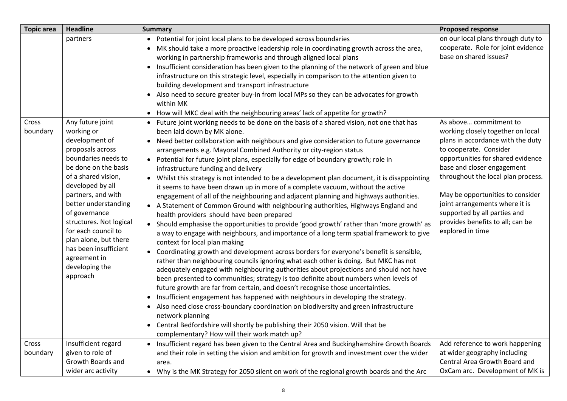| <b>Topic area</b> | <b>Headline</b>                                                                                                                                                                                                                                                                                                                                                                 | <b>Summary</b>                                                                                                                                                                                                                                                                                                                                                                                                                                                                                                                                                                                                                                                                                                                                                                                                                                                                                                                                                                                                                                                                                                                                                                                                                                                                                                                                                                                                                                                                                                                                                                                                                                                                                                                                                                                                                                                                                                            | <b>Proposed response</b>                                                                                                                                                                                                                                                                                                                                                                          |
|-------------------|---------------------------------------------------------------------------------------------------------------------------------------------------------------------------------------------------------------------------------------------------------------------------------------------------------------------------------------------------------------------------------|---------------------------------------------------------------------------------------------------------------------------------------------------------------------------------------------------------------------------------------------------------------------------------------------------------------------------------------------------------------------------------------------------------------------------------------------------------------------------------------------------------------------------------------------------------------------------------------------------------------------------------------------------------------------------------------------------------------------------------------------------------------------------------------------------------------------------------------------------------------------------------------------------------------------------------------------------------------------------------------------------------------------------------------------------------------------------------------------------------------------------------------------------------------------------------------------------------------------------------------------------------------------------------------------------------------------------------------------------------------------------------------------------------------------------------------------------------------------------------------------------------------------------------------------------------------------------------------------------------------------------------------------------------------------------------------------------------------------------------------------------------------------------------------------------------------------------------------------------------------------------------------------------------------------------|---------------------------------------------------------------------------------------------------------------------------------------------------------------------------------------------------------------------------------------------------------------------------------------------------------------------------------------------------------------------------------------------------|
|                   | partners                                                                                                                                                                                                                                                                                                                                                                        | Potential for joint local plans to be developed across boundaries<br>$\bullet$<br>MK should take a more proactive leadership role in coordinating growth across the area,<br>$\bullet$<br>working in partnership frameworks and through aligned local plans<br>Insufficient consideration has been given to the planning of the network of green and blue<br>infrastructure on this strategic level, especially in comparison to the attention given to<br>building development and transport infrastructure<br>Also need to secure greater buy-in from local MPs so they can be advocates for growth<br>$\bullet$<br>within MK<br>• How will MKC deal with the neighbouring areas' lack of appetite for growth?                                                                                                                                                                                                                                                                                                                                                                                                                                                                                                                                                                                                                                                                                                                                                                                                                                                                                                                                                                                                                                                                                                                                                                                                          | on our local plans through duty to<br>cooperate. Role for joint evidence<br>base on shared issues?                                                                                                                                                                                                                                                                                                |
| Cross<br>boundary | Any future joint<br>working or<br>development of<br>proposals across<br>boundaries needs to<br>be done on the basis<br>of a shared vision,<br>developed by all<br>partners, and with<br>better understanding<br>of governance<br>structures. Not logical<br>for each council to<br>plan alone, but there<br>has been insufficient<br>agreement in<br>developing the<br>approach | Future joint working needs to be done on the basis of a shared vision, not one that has<br>$\bullet$<br>been laid down by MK alone.<br>Need better collaboration with neighbours and give consideration to future governance<br>$\bullet$<br>arrangements e.g. Mayoral Combined Authority or city-region status<br>Potential for future joint plans, especially for edge of boundary growth; role in<br>$\bullet$<br>infrastructure funding and delivery<br>• Whilst this strategy is not intended to be a development plan document, it is disappointing<br>it seems to have been drawn up in more of a complete vacuum, without the active<br>engagement of all of the neighbouring and adjacent planning and highways authorities.<br>• A Statement of Common Ground with neighbouring authorities, Highways England and<br>health providers should have been prepared<br>• Should emphasise the opportunities to provide 'good growth' rather than 'more growth' as<br>a way to engage with neighbours, and importance of a long term spatial framework to give<br>context for local plan making<br>Coordinating growth and development across borders for everyone's benefit is sensible,<br>$\bullet$<br>rather than neighbouring councils ignoring what each other is doing. But MKC has not<br>adequately engaged with neighbouring authorities about projections and should not have<br>been presented to communities; strategy is too definite about numbers when levels of<br>future growth are far from certain, and doesn't recognise those uncertainties.<br>Insufficient engagement has happened with neighbours in developing the strategy.<br>$\bullet$<br>• Also need close cross-boundary coordination on biodiversity and green infrastructure<br>network planning<br>Central Bedfordshire will shortly be publishing their 2050 vision. Will that be<br>complementary? How will their work match up? | As above commitment to<br>working closely together on local<br>plans in accordance with the duty<br>to cooperate. Consider<br>opportunities for shared evidence<br>base and closer engagement<br>throughout the local plan process.<br>May be opportunities to consider<br>joint arrangements where it is<br>supported by all parties and<br>provides benefits to all; can be<br>explored in time |
| Cross             | Insufficient regard                                                                                                                                                                                                                                                                                                                                                             | • Insufficient regard has been given to the Central Area and Buckinghamshire Growth Boards                                                                                                                                                                                                                                                                                                                                                                                                                                                                                                                                                                                                                                                                                                                                                                                                                                                                                                                                                                                                                                                                                                                                                                                                                                                                                                                                                                                                                                                                                                                                                                                                                                                                                                                                                                                                                                | Add reference to work happening                                                                                                                                                                                                                                                                                                                                                                   |
| boundary          | given to role of<br>Growth Boards and                                                                                                                                                                                                                                                                                                                                           | and their role in setting the vision and ambition for growth and investment over the wider<br>area.                                                                                                                                                                                                                                                                                                                                                                                                                                                                                                                                                                                                                                                                                                                                                                                                                                                                                                                                                                                                                                                                                                                                                                                                                                                                                                                                                                                                                                                                                                                                                                                                                                                                                                                                                                                                                       | at wider geography including<br>Central Area Growth Board and<br>OxCam arc. Development of MK is                                                                                                                                                                                                                                                                                                  |
|                   | wider arc activity                                                                                                                                                                                                                                                                                                                                                              | Why is the MK Strategy for 2050 silent on work of the regional growth boards and the Arc<br>$\bullet$                                                                                                                                                                                                                                                                                                                                                                                                                                                                                                                                                                                                                                                                                                                                                                                                                                                                                                                                                                                                                                                                                                                                                                                                                                                                                                                                                                                                                                                                                                                                                                                                                                                                                                                                                                                                                     |                                                                                                                                                                                                                                                                                                                                                                                                   |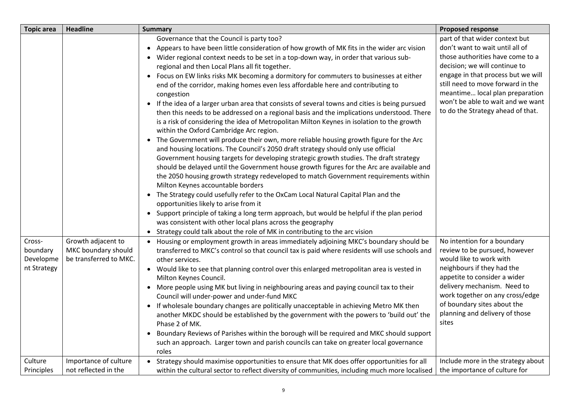| <b>Topic area</b>                                         | <b>Headline</b>                                                                              | <b>Summary</b>                                                                                                                                                                                                                                                                                                                                                                                                                                                                                                                                                                                                                                                                                                                                                                                                                                                                                                                                                                                                                                                                                                                                                                                                                                                                                                                                                                                                                                                                                                                                                                                                                                                                                         | <b>Proposed response</b>                                                                                                                                                                                                                                                                                                                |
|-----------------------------------------------------------|----------------------------------------------------------------------------------------------|--------------------------------------------------------------------------------------------------------------------------------------------------------------------------------------------------------------------------------------------------------------------------------------------------------------------------------------------------------------------------------------------------------------------------------------------------------------------------------------------------------------------------------------------------------------------------------------------------------------------------------------------------------------------------------------------------------------------------------------------------------------------------------------------------------------------------------------------------------------------------------------------------------------------------------------------------------------------------------------------------------------------------------------------------------------------------------------------------------------------------------------------------------------------------------------------------------------------------------------------------------------------------------------------------------------------------------------------------------------------------------------------------------------------------------------------------------------------------------------------------------------------------------------------------------------------------------------------------------------------------------------------------------------------------------------------------------|-----------------------------------------------------------------------------------------------------------------------------------------------------------------------------------------------------------------------------------------------------------------------------------------------------------------------------------------|
|                                                           |                                                                                              | Governance that the Council is party too?<br>Appears to have been little consideration of how growth of MK fits in the wider arc vision<br>• Wider regional context needs to be set in a top-down way, in order that various sub-<br>regional and then Local Plans all fit together.<br>• Focus on EW links risks MK becoming a dormitory for commuters to businesses at either<br>end of the corridor, making homes even less affordable here and contributing to<br>congestion<br>• If the idea of a larger urban area that consists of several towns and cities is being pursued<br>then this needs to be addressed on a regional basis and the implications understood. There<br>is a risk of considering the idea of Metropolitan Milton Keynes in isolation to the growth<br>within the Oxford Cambridge Arc region.<br>The Government will produce their own, more reliable housing growth figure for the Arc<br>and housing locations. The Council's 2050 draft strategy should only use official<br>Government housing targets for developing strategic growth studies. The draft strategy<br>should be delayed until the Government house growth figures for the Arc are available and<br>the 2050 housing growth strategy redeveloped to match Government requirements within<br>Milton Keynes accountable borders<br>• The Strategy could usefully refer to the OxCam Local Natural Capital Plan and the<br>opportunities likely to arise from it<br>Support principle of taking a long term approach, but would be helpful if the plan period<br>was consistent with other local plans across the geography<br>Strategy could talk about the role of MK in contributing to the arc vision | part of that wider context but<br>don't want to wait until all of<br>those authorities have come to a<br>decision; we will continue to<br>engage in that process but we will<br>still need to move forward in the<br>meantime local plan preparation<br>won't be able to wait and we want<br>to do the Strategy ahead of that.          |
| Cross-<br>boundary<br>Developme<br>nt Strategy<br>Culture | Growth adjacent to<br>MKC boundary should<br>be transferred to MKC.<br>Importance of culture | Housing or employment growth in areas immediately adjoining MKC's boundary should be<br>transferred to MKC's control so that council tax is paid where residents will use schools and<br>other services.<br>• Would like to see that planning control over this enlarged metropolitan area is vested in<br>Milton Keynes Council.<br>• More people using MK but living in neighbouring areas and paying council tax to their<br>Council will under-power and under-fund MKC<br>If wholesale boundary changes are politically unacceptable in achieving Metro MK then<br>another MKDC should be established by the government with the powers to 'build out' the<br>Phase 2 of MK.<br>Boundary Reviews of Parishes within the borough will be required and MKC should support<br>such an approach. Larger town and parish councils can take on greater local governance<br>roles<br>Strategy should maximise opportunities to ensure that MK does offer opportunities for all                                                                                                                                                                                                                                                                                                                                                                                                                                                                                                                                                                                                                                                                                                                           | No intention for a boundary<br>review to be pursued, however<br>would like to work with<br>neighbours if they had the<br>appetite to consider a wider<br>delivery mechanism. Need to<br>work together on any cross/edge<br>of boundary sites about the<br>planning and delivery of those<br>sites<br>Include more in the strategy about |
| Principles                                                | not reflected in the                                                                         | within the cultural sector to reflect diversity of communities, including much more localised                                                                                                                                                                                                                                                                                                                                                                                                                                                                                                                                                                                                                                                                                                                                                                                                                                                                                                                                                                                                                                                                                                                                                                                                                                                                                                                                                                                                                                                                                                                                                                                                          | the importance of culture for                                                                                                                                                                                                                                                                                                           |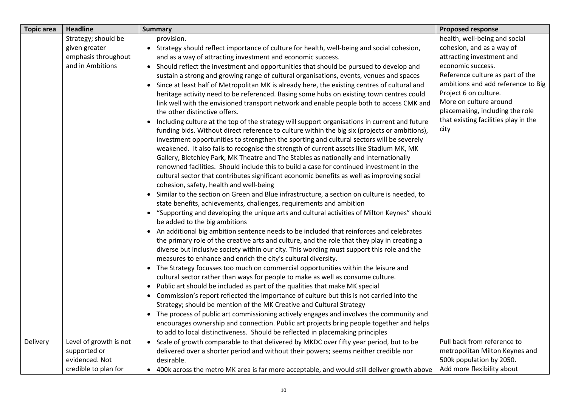| <b>Topic area</b> | <b>Headline</b>        | <b>Summary</b>                                                                                  | <b>Proposed response</b>             |
|-------------------|------------------------|-------------------------------------------------------------------------------------------------|--------------------------------------|
|                   | Strategy; should be    | provision.                                                                                      | health, well-being and social        |
|                   | given greater          | • Strategy should reflect importance of culture for health, well-being and social cohesion,     | cohesion, and as a way of            |
|                   | emphasis throughout    | and as a way of attracting investment and economic success.                                     | attracting investment and            |
|                   | and in Ambitions       | • Should reflect the investment and opportunities that should be pursued to develop and         | economic success.                    |
|                   |                        | sustain a strong and growing range of cultural organisations, events, venues and spaces         | Reference culture as part of the     |
|                   |                        | • Since at least half of Metropolitan MK is already here, the existing centres of cultural and  | ambitions and add reference to Big   |
|                   |                        | heritage activity need to be referenced. Basing some hubs on existing town centres could        | Project 6 on culture.                |
|                   |                        | link well with the envisioned transport network and enable people both to access CMK and        | More on culture around               |
|                   |                        | the other distinctive offers.                                                                   | placemaking, including the role      |
|                   |                        | • Including culture at the top of the strategy will support organisations in current and future | that existing facilities play in the |
|                   |                        | funding bids. Without direct reference to culture within the big six (projects or ambitions),   | city                                 |
|                   |                        | investment opportunities to strengthen the sporting and cultural sectors will be severely       |                                      |
|                   |                        | weakened. It also fails to recognise the strength of current assets like Stadium MK, MK         |                                      |
|                   |                        | Gallery, Bletchley Park, MK Theatre and The Stables as nationally and internationally           |                                      |
|                   |                        | renowned facilities. Should include this to build a case for continued investment in the        |                                      |
|                   |                        | cultural sector that contributes significant economic benefits as well as improving social      |                                      |
|                   |                        | cohesion, safety, health and well-being                                                         |                                      |
|                   |                        | • Similar to the section on Green and Blue infrastructure, a section on culture is needed, to   |                                      |
|                   |                        | state benefits, achievements, challenges, requirements and ambition                             |                                      |
|                   |                        | • "Supporting and developing the unique arts and cultural activities of Milton Keynes" should   |                                      |
|                   |                        | be added to the big ambitions                                                                   |                                      |
|                   |                        | • An additional big ambition sentence needs to be included that reinforces and celebrates       |                                      |
|                   |                        | the primary role of the creative arts and culture, and the role that they play in creating a    |                                      |
|                   |                        | diverse but inclusive society within our city. This wording must support this role and the      |                                      |
|                   |                        | measures to enhance and enrich the city's cultural diversity.                                   |                                      |
|                   |                        | • The Strategy focusses too much on commercial opportunities within the leisure and             |                                      |
|                   |                        | cultural sector rather than ways for people to make as well as consume culture.                 |                                      |
|                   |                        | • Public art should be included as part of the qualities that make MK special                   |                                      |
|                   |                        | • Commission's report reflected the importance of culture but this is not carried into the      |                                      |
|                   |                        | Strategy; should be mention of the MK Creative and Cultural Strategy                            |                                      |
|                   |                        | • The process of public art commissioning actively engages and involves the community and       |                                      |
|                   |                        | encourages ownership and connection. Public art projects bring people together and helps        |                                      |
|                   |                        | to add to local distinctiveness. Should be reflected in placemaking principles                  |                                      |
| Delivery          | Level of growth is not | • Scale of growth comparable to that delivered by MKDC over fifty year period, but to be        | Pull back from reference to          |
|                   | supported or           | delivered over a shorter period and without their powers; seems neither credible nor            | metropolitan Milton Keynes and       |
|                   | evidenced. Not         | desirable.                                                                                      | 500k population by 2050.             |
|                   | credible to plan for   | • 400k across the metro MK area is far more acceptable, and would still deliver growth above    | Add more flexibility about           |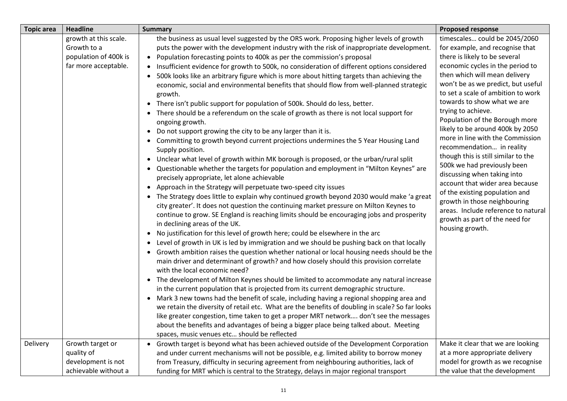| <b>Topic area</b> | <b>Headline</b>                                                                       | <b>Summary</b>                                                                                                                                                                                                                                                                                                                                                                                                                                                                                                                                                                                                                                                                                                                                                                                                                                                                                                                                                                                                                                                                                                                                                                                                                                                                                                                                                                                                                                                                                                                                                                                                                                                                                                                                                                                                                                                                                                                                                                                                                                                                                                                                                                                                                                                                                                                                                                                                                                                                                                                                                                                    | <b>Proposed response</b>                                                                                                                                                                                                                                                                                                                                                                                                                                                                                                                                                                                                                                                                                                                             |
|-------------------|---------------------------------------------------------------------------------------|---------------------------------------------------------------------------------------------------------------------------------------------------------------------------------------------------------------------------------------------------------------------------------------------------------------------------------------------------------------------------------------------------------------------------------------------------------------------------------------------------------------------------------------------------------------------------------------------------------------------------------------------------------------------------------------------------------------------------------------------------------------------------------------------------------------------------------------------------------------------------------------------------------------------------------------------------------------------------------------------------------------------------------------------------------------------------------------------------------------------------------------------------------------------------------------------------------------------------------------------------------------------------------------------------------------------------------------------------------------------------------------------------------------------------------------------------------------------------------------------------------------------------------------------------------------------------------------------------------------------------------------------------------------------------------------------------------------------------------------------------------------------------------------------------------------------------------------------------------------------------------------------------------------------------------------------------------------------------------------------------------------------------------------------------------------------------------------------------------------------------------------------------------------------------------------------------------------------------------------------------------------------------------------------------------------------------------------------------------------------------------------------------------------------------------------------------------------------------------------------------------------------------------------------------------------------------------------------------|------------------------------------------------------------------------------------------------------------------------------------------------------------------------------------------------------------------------------------------------------------------------------------------------------------------------------------------------------------------------------------------------------------------------------------------------------------------------------------------------------------------------------------------------------------------------------------------------------------------------------------------------------------------------------------------------------------------------------------------------------|
|                   | growth at this scale.<br>Growth to a<br>population of 400k is<br>far more acceptable. | the business as usual level suggested by the ORS work. Proposing higher levels of growth<br>puts the power with the development industry with the risk of inappropriate development.<br>• Population forecasting points to 400k as per the commission's proposal<br>Insufficient evidence for growth to 500k, no consideration of different options considered<br>500k looks like an arbitrary figure which is more about hitting targets than achieving the<br>$\bullet$<br>economic, social and environmental benefits that should flow from well-planned strategic<br>growth.<br>• There isn't public support for population of 500k. Should do less, better.<br>• There should be a referendum on the scale of growth as there is not local support for<br>ongoing growth.<br>Do not support growing the city to be any larger than it is.<br>• Committing to growth beyond current projections undermines the 5 Year Housing Land<br>Supply position.<br>Unclear what level of growth within MK borough is proposed, or the urban/rural split<br>$\bullet$<br>• Questionable whether the targets for population and employment in "Milton Keynes" are<br>precisely appropriate, let alone achievable<br>• Approach in the Strategy will perpetuate two-speed city issues<br>• The Strategy does little to explain why continued growth beyond 2030 would make 'a great<br>city greater'. It does not question the continuing market pressure on Milton Keynes to<br>continue to grow. SE England is reaching limits should be encouraging jobs and prosperity<br>in declining areas of the UK.<br>• No justification for this level of growth here; could be elsewhere in the arc<br>• Level of growth in UK is led by immigration and we should be pushing back on that locally<br>• Growth ambition raises the question whether national or local housing needs should be the<br>main driver and determinant of growth? and how closely should this provision correlate<br>with the local economic need?<br>• The development of Milton Keynes should be limited to accommodate any natural increase<br>in the current population that is projected from its current demographic structure.<br>Mark 3 new towns had the benefit of scale, including having a regional shopping area and<br>$\bullet$<br>we retain the diversity of retail etc. What are the benefits of doubling in scale? So far looks<br>like greater congestion, time taken to get a proper MRT network don't see the messages<br>about the benefits and advantages of being a bigger place being talked about. Meeting | timescales could be 2045/2060<br>for example, and recognise that<br>there is likely to be several<br>economic cycles in the period to<br>then which will mean delivery<br>won't be as we predict, but useful<br>to set a scale of ambition to work<br>towards to show what we are<br>trying to achieve.<br>Population of the Borough more<br>likely to be around 400k by 2050<br>more in line with the Commission<br>recommendation in reality<br>though this is still similar to the<br>500k we had previously been<br>discussing when taking into<br>account that wider area because<br>of the existing population and<br>growth in those neighbouring<br>areas. Include reference to natural<br>growth as part of the need for<br>housing growth. |
| Delivery          | Growth target or<br>quality of<br>development is not<br>achievable without a          | spaces, music venues etc should be reflected<br>• Growth target is beyond what has been achieved outside of the Development Corporation<br>and under current mechanisms will not be possible, e.g. limited ability to borrow money<br>from Treasury, difficulty in securing agreement from neighbouring authorities, lack of<br>funding for MRT which is central to the Strategy, delays in major regional transport                                                                                                                                                                                                                                                                                                                                                                                                                                                                                                                                                                                                                                                                                                                                                                                                                                                                                                                                                                                                                                                                                                                                                                                                                                                                                                                                                                                                                                                                                                                                                                                                                                                                                                                                                                                                                                                                                                                                                                                                                                                                                                                                                                              | Make it clear that we are looking<br>at a more appropriate delivery<br>model for growth as we recognise<br>the value that the development                                                                                                                                                                                                                                                                                                                                                                                                                                                                                                                                                                                                            |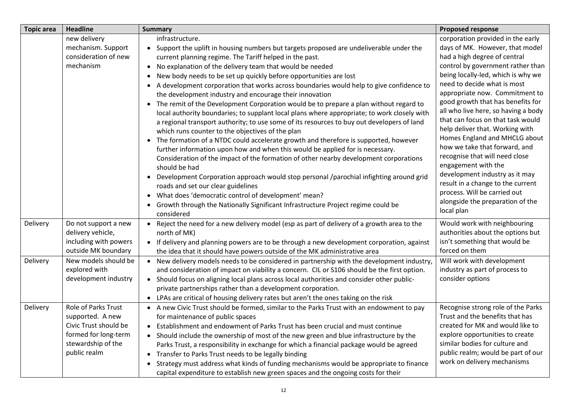| <b>Topic area</b> | <b>Headline</b>                                                                                                                | <b>Summary</b>                                                                                                                                                                                                                                                                                                                                                                                                                                                                                                                                                                                                                                                                                                                                                                                                                                                                                                                                                                                                                                                                                                                                                                                                                                                                                    | <b>Proposed response</b>                                                                                                                                                                                                                                                                                                                                                                                                                                                                                                                                                                                                               |
|-------------------|--------------------------------------------------------------------------------------------------------------------------------|---------------------------------------------------------------------------------------------------------------------------------------------------------------------------------------------------------------------------------------------------------------------------------------------------------------------------------------------------------------------------------------------------------------------------------------------------------------------------------------------------------------------------------------------------------------------------------------------------------------------------------------------------------------------------------------------------------------------------------------------------------------------------------------------------------------------------------------------------------------------------------------------------------------------------------------------------------------------------------------------------------------------------------------------------------------------------------------------------------------------------------------------------------------------------------------------------------------------------------------------------------------------------------------------------|----------------------------------------------------------------------------------------------------------------------------------------------------------------------------------------------------------------------------------------------------------------------------------------------------------------------------------------------------------------------------------------------------------------------------------------------------------------------------------------------------------------------------------------------------------------------------------------------------------------------------------------|
|                   | new delivery<br>mechanism. Support<br>consideration of new<br>mechanism                                                        | infrastructure.<br>• Support the uplift in housing numbers but targets proposed are undeliverable under the<br>current planning regime. The Tariff helped in the past.<br>• No explanation of the delivery team that would be needed<br>New body needs to be set up quickly before opportunities are lost<br>A development corporation that works across boundaries would help to give confidence to<br>the development industry and encourage their innovation<br>The remit of the Development Corporation would be to prepare a plan without regard to<br>local authority boundaries; to supplant local plans where appropriate; to work closely with<br>a regional transport authority; to use some of its resources to buy out developers of land<br>which runs counter to the objectives of the plan<br>The formation of a NTDC could accelerate growth and therefore is supported, however<br>$\bullet$<br>further information upon how and when this would be applied for is necessary.<br>Consideration of the impact of the formation of other nearby development corporations<br>should be had<br>• Development Corporation approach would stop personal /parochial infighting around grid<br>roads and set our clear guidelines<br>What does 'democratic control of development' mean? | corporation provided in the early<br>days of MK. However, that model<br>had a high degree of central<br>control by government rather than<br>being locally-led, which is why we<br>need to decide what is most<br>appropriate now. Commitment to<br>good growth that has benefits for<br>all who live here, so having a body<br>that can focus on that task would<br>help deliver that. Working with<br>Homes England and MHCLG about<br>how we take that forward, and<br>recognise that will need close<br>engagement with the<br>development industry as it may<br>result in a change to the current<br>process. Will be carried out |
| Delivery          | Do not support a new<br>delivery vehicle,<br>including with powers<br>outside MK boundary                                      | $\bullet$<br>Growth through the Nationally Significant Infrastructure Project regime could be<br>considered<br>• Reject the need for a new delivery model (esp as part of delivery of a growth area to the<br>north of MK)<br>• If delivery and planning powers are to be through a new development corporation, against                                                                                                                                                                                                                                                                                                                                                                                                                                                                                                                                                                                                                                                                                                                                                                                                                                                                                                                                                                          | alongside the preparation of the<br>local plan<br>Would work with neighbouring<br>authorities about the options but<br>isn't something that would be<br>forced on them                                                                                                                                                                                                                                                                                                                                                                                                                                                                 |
| Delivery          | New models should be<br>explored with<br>development industry                                                                  | the idea that it should have powers outside of the MK administrative area<br>• New delivery models needs to be considered in partnership with the development industry,<br>and consideration of impact on viability a concern. CIL or S106 should be the first option.<br>• Should focus on aligning local plans across local authorities and consider other public-<br>private partnerships rather than a development corporation.<br>• LPAs are critical of housing delivery rates but aren't the ones taking on the risk                                                                                                                                                                                                                                                                                                                                                                                                                                                                                                                                                                                                                                                                                                                                                                       | Will work with development<br>industry as part of process to<br>consider options                                                                                                                                                                                                                                                                                                                                                                                                                                                                                                                                                       |
| Delivery          | Role of Parks Trust<br>supported. A new<br>Civic Trust should be<br>formed for long-term<br>stewardship of the<br>public realm | • A new Civic Trust should be formed, similar to the Parks Trust with an endowment to pay<br>for maintenance of public spaces<br>Establishment and endowment of Parks Trust has been crucial and must continue<br>• Should include the ownership of most of the new green and blue infrastructure by the<br>Parks Trust, a responsibility in exchange for which a financial package would be agreed<br>Transfer to Parks Trust needs to be legally binding<br>$\bullet$<br>Strategy must address what kinds of funding mechanisms would be appropriate to finance<br>$\bullet$<br>capital expenditure to establish new green spaces and the ongoing costs for their                                                                                                                                                                                                                                                                                                                                                                                                                                                                                                                                                                                                                               | Recognise strong role of the Parks<br>Trust and the benefits that has<br>created for MK and would like to<br>explore opportunities to create<br>similar bodies for culture and<br>public realm; would be part of our<br>work on delivery mechanisms                                                                                                                                                                                                                                                                                                                                                                                    |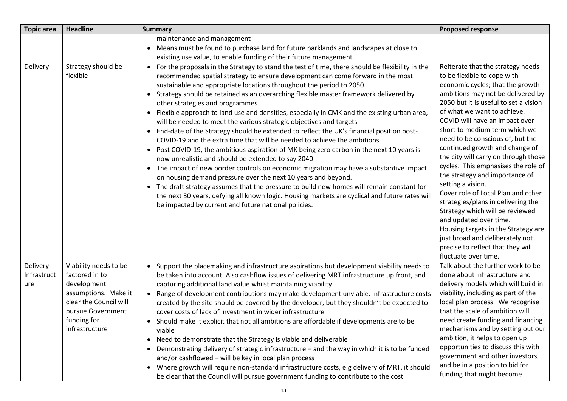| <b>Topic area</b>              | <b>Headline</b>                                                                                                                                                | <b>Summary</b>                                                                                                                                                                                                                                                                                                                                                                                                                                                                                                                                                                                                                                                                                                                                                                                                                                                                                                                                                                                                                                                                                                                                                                                                                                                                                                                         | <b>Proposed response</b>                                                                                                                                                                                                                                                                                                                                                                                                                                                                                                                                                                                                                                                                                                                                                         |
|--------------------------------|----------------------------------------------------------------------------------------------------------------------------------------------------------------|----------------------------------------------------------------------------------------------------------------------------------------------------------------------------------------------------------------------------------------------------------------------------------------------------------------------------------------------------------------------------------------------------------------------------------------------------------------------------------------------------------------------------------------------------------------------------------------------------------------------------------------------------------------------------------------------------------------------------------------------------------------------------------------------------------------------------------------------------------------------------------------------------------------------------------------------------------------------------------------------------------------------------------------------------------------------------------------------------------------------------------------------------------------------------------------------------------------------------------------------------------------------------------------------------------------------------------------|----------------------------------------------------------------------------------------------------------------------------------------------------------------------------------------------------------------------------------------------------------------------------------------------------------------------------------------------------------------------------------------------------------------------------------------------------------------------------------------------------------------------------------------------------------------------------------------------------------------------------------------------------------------------------------------------------------------------------------------------------------------------------------|
|                                |                                                                                                                                                                | maintenance and management<br>Means must be found to purchase land for future parklands and landscapes at close to<br>existing use value, to enable funding of their future management.                                                                                                                                                                                                                                                                                                                                                                                                                                                                                                                                                                                                                                                                                                                                                                                                                                                                                                                                                                                                                                                                                                                                                |                                                                                                                                                                                                                                                                                                                                                                                                                                                                                                                                                                                                                                                                                                                                                                                  |
| Delivery                       | Strategy should be<br>flexible                                                                                                                                 | For the proposals in the Strategy to stand the test of time, there should be flexibility in the<br>recommended spatial strategy to ensure development can come forward in the most<br>sustainable and appropriate locations throughout the period to 2050.<br>• Strategy should be retained as an overarching flexible master framework delivered by<br>other strategies and programmes<br>• Flexible approach to land use and densities, especially in CMK and the existing urban area,<br>will be needed to meet the various strategic objectives and targets<br>• End-date of the Strategy should be extended to reflect the UK's financial position post-<br>COVID-19 and the extra time that will be needed to achieve the ambitions<br>Post COVID-19, the ambitious aspiration of MK being zero carbon in the next 10 years is<br>$\bullet$<br>now unrealistic and should be extended to say 2040<br>• The impact of new border controls on economic migration may have a substantive impact<br>on housing demand pressure over the next 10 years and beyond.<br>The draft strategy assumes that the pressure to build new homes will remain constant for<br>$\bullet$<br>the next 30 years, defying all known logic. Housing markets are cyclical and future rates will<br>be impacted by current and future national policies. | Reiterate that the strategy needs<br>to be flexible to cope with<br>economic cycles; that the growth<br>ambitions may not be delivered by<br>2050 but it is useful to set a vision<br>of what we want to achieve.<br>COVID will have an impact over<br>short to medium term which we<br>need to be conscious of, but the<br>continued growth and change of<br>the city will carry on through those<br>cycles. This emphasises the role of<br>the strategy and importance of<br>setting a vision.<br>Cover role of Local Plan and other<br>strategies/plans in delivering the<br>Strategy which will be reviewed<br>and updated over time.<br>Housing targets in the Strategy are<br>just broad and deliberately not<br>precise to reflect that they will<br>fluctuate over time. |
| Delivery<br>Infrastruct<br>ure | Viability needs to be<br>factored in to<br>development<br>assumptions. Make it<br>clear the Council will<br>pursue Government<br>funding for<br>infrastructure | Support the placemaking and infrastructure aspirations but development viability needs to<br>be taken into account. Also cashflow issues of delivering MRT infrastructure up front, and<br>capturing additional land value whilst maintaining viability<br>Range of development contributions may make development unviable. Infrastructure costs<br>$\bullet$<br>created by the site should be covered by the developer, but they shouldn't be expected to<br>cover costs of lack of investment in wider infrastructure<br>• Should make it explicit that not all ambitions are affordable if developments are to be<br>viable<br>Need to demonstrate that the Strategy is viable and deliverable<br>Demonstrating delivery of strategic infrastructure - and the way in which it is to be funded<br>and/or cashflowed - will be key in local plan process<br>• Where growth will require non-standard infrastructure costs, e.g delivery of MRT, it should<br>be clear that the Council will pursue government funding to contribute to the cost                                                                                                                                                                                                                                                                                     | Talk about the further work to be<br>done about infrastructure and<br>delivery models which will build in<br>viability, including as part of the<br>local plan process. We recognise<br>that the scale of ambition will<br>need create funding and financing<br>mechanisms and by setting out our<br>ambition, it helps to open up<br>opportunities to discuss this with<br>government and other investors,<br>and be in a position to bid for<br>funding that might become                                                                                                                                                                                                                                                                                                      |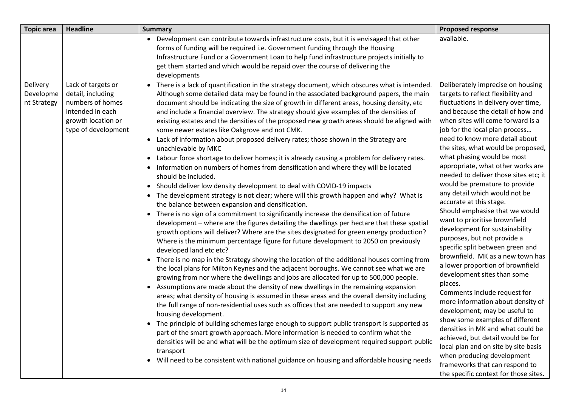| <b>Topic area</b>                    | <b>Headline</b>                                                                                                              | <b>Summary</b>                                                                                                                                                                                                                                                                                                                                                                                                                                                                                                                                                                                                                                                                                                                                                                                                                                                                                                                                                                                                                                                                                                                                                                                                                                                                                                                                                                                                                                                                                                                                                                                                                                                                                                                                                                                                                                                                                                                                                                                                                                                                                                                                                                                                                                                                                                                                                                                                                                                                                                              | <b>Proposed response</b>                                                                                                                                                                                                                                                                                                                                                                                                                                                                                                                                                                                                                                                                                                                                                                                                                                                                                                                                                                                                                                                                                                                                                  |
|--------------------------------------|------------------------------------------------------------------------------------------------------------------------------|-----------------------------------------------------------------------------------------------------------------------------------------------------------------------------------------------------------------------------------------------------------------------------------------------------------------------------------------------------------------------------------------------------------------------------------------------------------------------------------------------------------------------------------------------------------------------------------------------------------------------------------------------------------------------------------------------------------------------------------------------------------------------------------------------------------------------------------------------------------------------------------------------------------------------------------------------------------------------------------------------------------------------------------------------------------------------------------------------------------------------------------------------------------------------------------------------------------------------------------------------------------------------------------------------------------------------------------------------------------------------------------------------------------------------------------------------------------------------------------------------------------------------------------------------------------------------------------------------------------------------------------------------------------------------------------------------------------------------------------------------------------------------------------------------------------------------------------------------------------------------------------------------------------------------------------------------------------------------------------------------------------------------------------------------------------------------------------------------------------------------------------------------------------------------------------------------------------------------------------------------------------------------------------------------------------------------------------------------------------------------------------------------------------------------------------------------------------------------------------------------------------------------------|---------------------------------------------------------------------------------------------------------------------------------------------------------------------------------------------------------------------------------------------------------------------------------------------------------------------------------------------------------------------------------------------------------------------------------------------------------------------------------------------------------------------------------------------------------------------------------------------------------------------------------------------------------------------------------------------------------------------------------------------------------------------------------------------------------------------------------------------------------------------------------------------------------------------------------------------------------------------------------------------------------------------------------------------------------------------------------------------------------------------------------------------------------------------------|
|                                      |                                                                                                                              | Development can contribute towards infrastructure costs, but it is envisaged that other<br>$\bullet$<br>forms of funding will be required i.e. Government funding through the Housing<br>Infrastructure Fund or a Government Loan to help fund infrastructure projects initially to<br>get them started and which would be repaid over the course of delivering the<br>developments                                                                                                                                                                                                                                                                                                                                                                                                                                                                                                                                                                                                                                                                                                                                                                                                                                                                                                                                                                                                                                                                                                                                                                                                                                                                                                                                                                                                                                                                                                                                                                                                                                                                                                                                                                                                                                                                                                                                                                                                                                                                                                                                         | available.                                                                                                                                                                                                                                                                                                                                                                                                                                                                                                                                                                                                                                                                                                                                                                                                                                                                                                                                                                                                                                                                                                                                                                |
| Delivery<br>Developme<br>nt Strategy | Lack of targets or<br>detail, including<br>numbers of homes<br>intended in each<br>growth location or<br>type of development | • There is a lack of quantification in the strategy document, which obscures what is intended.<br>Although some detailed data may be found in the associated background papers, the main<br>document should be indicating the size of growth in different areas, housing density, etc<br>and include a financial overview. The strategy should give examples of the densities of<br>existing estates and the densities of the proposed new growth areas should be aligned with<br>some newer estates like Oakgrove and not CMK.<br>• Lack of information about proposed delivery rates; those shown in the Strategy are<br>unachievable by MKC<br>• Labour force shortage to deliver homes; it is already causing a problem for delivery rates.<br>Information on numbers of homes from densification and where they will be located<br>$\bullet$<br>should be included.<br>• Should deliver low density development to deal with COVID-19 impacts<br>The development strategy is not clear; where will this growth happen and why? What is<br>$\bullet$<br>the balance between expansion and densification.<br>There is no sign of a commitment to significantly increase the densification of future<br>$\bullet$<br>development - where are the figures detailing the dwellings per hectare that these spatial<br>growth options will deliver? Where are the sites designated for green energy production?<br>Where is the minimum percentage figure for future development to 2050 on previously<br>developed land etc etc?<br>• There is no map in the Strategy showing the location of the additional houses coming from<br>the local plans for Milton Keynes and the adjacent boroughs. We cannot see what we are<br>growing from nor where the dwellings and jobs are allocated for up to 500,000 people.<br>• Assumptions are made about the density of new dwellings in the remaining expansion<br>areas; what density of housing is assumed in these areas and the overall density including<br>the full range of non-residential uses such as offices that are needed to support any new<br>housing development.<br>• The principle of building schemes large enough to support public transport is supported as<br>part of the smart growth approach. More information is needed to confirm what the<br>densities will be and what will be the optimum size of development required support public<br>transport<br>• Will need to be consistent with national guidance on housing and affordable housing needs | Deliberately imprecise on housing<br>targets to reflect flexibility and<br>fluctuations in delivery over time,<br>and because the detail of how and<br>when sites will come forward is a<br>job for the local plan process<br>need to know more detail about<br>the sites, what would be proposed,<br>what phasing would be most<br>appropriate, what other works are<br>needed to deliver those sites etc; it<br>would be premature to provide<br>any detail which would not be<br>accurate at this stage.<br>Should emphasise that we would<br>want to prioritise brownfield<br>development for sustainability<br>purposes, but not provide a<br>specific split between green and<br>brownfield. MK as a new town has<br>a lower proportion of brownfield<br>development sites than some<br>places.<br>Comments include request for<br>more information about density of<br>development; may be useful to<br>show some examples of different<br>densities in MK and what could be<br>achieved, but detail would be for<br>local plan and on site by site basis<br>when producing development<br>frameworks that can respond to<br>the specific context for those sites. |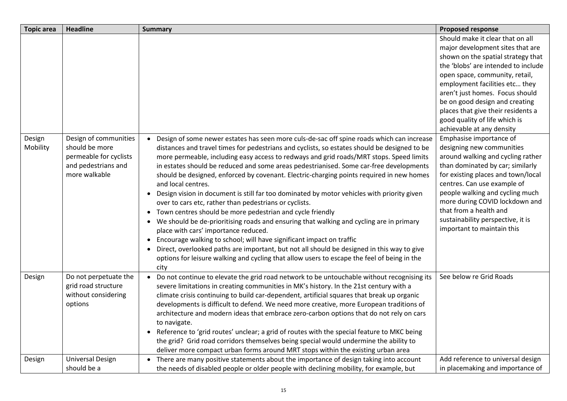| <b>Topic area</b>  | <b>Headline</b>                                                                                           | <b>Summary</b>                                                                                                                                                                                                                                                                                                                                                                                                                                                                                                                                                                                                                                                                                                                                                                                                                                                                                                                                                                                                                                                                                                                                             | <b>Proposed response</b>                                                                                                                                                                                                                                                                                                                                                                       |
|--------------------|-----------------------------------------------------------------------------------------------------------|------------------------------------------------------------------------------------------------------------------------------------------------------------------------------------------------------------------------------------------------------------------------------------------------------------------------------------------------------------------------------------------------------------------------------------------------------------------------------------------------------------------------------------------------------------------------------------------------------------------------------------------------------------------------------------------------------------------------------------------------------------------------------------------------------------------------------------------------------------------------------------------------------------------------------------------------------------------------------------------------------------------------------------------------------------------------------------------------------------------------------------------------------------|------------------------------------------------------------------------------------------------------------------------------------------------------------------------------------------------------------------------------------------------------------------------------------------------------------------------------------------------------------------------------------------------|
|                    |                                                                                                           |                                                                                                                                                                                                                                                                                                                                                                                                                                                                                                                                                                                                                                                                                                                                                                                                                                                                                                                                                                                                                                                                                                                                                            | Should make it clear that on all<br>major development sites that are<br>shown on the spatial strategy that<br>the 'blobs' are intended to include<br>open space, community, retail,<br>employment facilities etc they<br>aren't just homes. Focus should<br>be on good design and creating<br>places that give their residents a<br>good quality of life which is<br>achievable at any density |
| Design<br>Mobility | Design of communities<br>should be more<br>permeable for cyclists<br>and pedestrians and<br>more walkable | Design of some newer estates has seen more culs-de-sac off spine roads which can increase<br>$\bullet$<br>distances and travel times for pedestrians and cyclists, so estates should be designed to be<br>more permeable, including easy access to redways and grid roads/MRT stops. Speed limits<br>in estates should be reduced and some areas pedestrianised. Some car-free developments<br>should be designed, enforced by covenant. Electric-charging points required in new homes<br>and local centres.<br>• Design vision in document is still far too dominated by motor vehicles with priority given<br>over to cars etc, rather than pedestrians or cyclists.<br>• Town centres should be more pedestrian and cycle friendly<br>• We should be de-prioritising roads and ensuring that walking and cycling are in primary<br>place with cars' importance reduced.<br>• Encourage walking to school; will have significant impact on traffic<br>Direct, overlooked paths are important, but not all should be designed in this way to give<br>options for leisure walking and cycling that allow users to escape the feel of being in the<br>city | Emphasise importance of<br>designing new communities<br>around walking and cycling rather<br>than dominated by car; similarly<br>for existing places and town/local<br>centres. Can use example of<br>people walking and cycling much<br>more during COVID lockdown and<br>that from a health and<br>sustainability perspective, it is<br>important to maintain this                           |
| Design             | Do not perpetuate the<br>grid road structure<br>without considering<br>options                            | Do not continue to elevate the grid road network to be untouchable without recognising its<br>$\bullet$<br>severe limitations in creating communities in MK's history. In the 21st century with a<br>climate crisis continuing to build car-dependent, artificial squares that break up organic<br>developments is difficult to defend. We need more creative, more European traditions of<br>architecture and modern ideas that embrace zero-carbon options that do not rely on cars<br>to navigate.<br>• Reference to 'grid routes' unclear; a grid of routes with the special feature to MKC being<br>the grid? Grid road corridors themselves being special would undermine the ability to<br>deliver more compact urban forms around MRT stops within the existing urban area                                                                                                                                                                                                                                                                                                                                                                         | See below re Grid Roads                                                                                                                                                                                                                                                                                                                                                                        |
| Design             | <b>Universal Design</b><br>should be a                                                                    | • There are many positive statements about the importance of design taking into account<br>the needs of disabled people or older people with declining mobility, for example, but                                                                                                                                                                                                                                                                                                                                                                                                                                                                                                                                                                                                                                                                                                                                                                                                                                                                                                                                                                          | Add reference to universal design<br>in placemaking and importance of                                                                                                                                                                                                                                                                                                                          |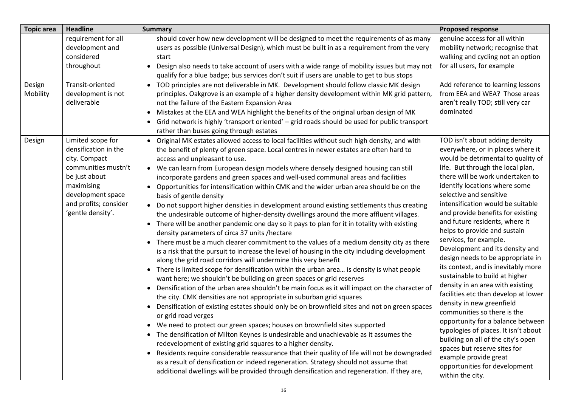| <b>Topic area</b>  | <b>Headline</b>                                                                                                                                                                     | <b>Summary</b>                                                                                                                                                                                                                                                                                                                                                                                                                                                                                                                                                                                                                                                                                                                                                                                                                                                                                                                                                                                                                                                                                                                                                                                                                                                                                                                                                                                                                                                                                                                                                                                                                                                                                                                                                                                                                                                                                                                                                                                                                                                                                                                                                                                                                     | <b>Proposed response</b>                                                                                                                                                                                                                                                                                                                                                                                                                                                                                                                                                                                                                                                                                                                                                                                                                                                                                                                       |
|--------------------|-------------------------------------------------------------------------------------------------------------------------------------------------------------------------------------|------------------------------------------------------------------------------------------------------------------------------------------------------------------------------------------------------------------------------------------------------------------------------------------------------------------------------------------------------------------------------------------------------------------------------------------------------------------------------------------------------------------------------------------------------------------------------------------------------------------------------------------------------------------------------------------------------------------------------------------------------------------------------------------------------------------------------------------------------------------------------------------------------------------------------------------------------------------------------------------------------------------------------------------------------------------------------------------------------------------------------------------------------------------------------------------------------------------------------------------------------------------------------------------------------------------------------------------------------------------------------------------------------------------------------------------------------------------------------------------------------------------------------------------------------------------------------------------------------------------------------------------------------------------------------------------------------------------------------------------------------------------------------------------------------------------------------------------------------------------------------------------------------------------------------------------------------------------------------------------------------------------------------------------------------------------------------------------------------------------------------------------------------------------------------------------------------------------------------------|------------------------------------------------------------------------------------------------------------------------------------------------------------------------------------------------------------------------------------------------------------------------------------------------------------------------------------------------------------------------------------------------------------------------------------------------------------------------------------------------------------------------------------------------------------------------------------------------------------------------------------------------------------------------------------------------------------------------------------------------------------------------------------------------------------------------------------------------------------------------------------------------------------------------------------------------|
|                    | requirement for all<br>development and<br>considered<br>throughout                                                                                                                  | should cover how new development will be designed to meet the requirements of as many<br>users as possible (Universal Design), which must be built in as a requirement from the very<br>start<br>Design also needs to take account of users with a wide range of mobility issues but may not<br>$\bullet$<br>qualify for a blue badge; bus services don't suit if users are unable to get to bus stops                                                                                                                                                                                                                                                                                                                                                                                                                                                                                                                                                                                                                                                                                                                                                                                                                                                                                                                                                                                                                                                                                                                                                                                                                                                                                                                                                                                                                                                                                                                                                                                                                                                                                                                                                                                                                             | genuine access for all within<br>mobility network; recognise that<br>walking and cycling not an option<br>for all users, for example                                                                                                                                                                                                                                                                                                                                                                                                                                                                                                                                                                                                                                                                                                                                                                                                           |
| Design<br>Mobility | Transit-oriented<br>development is not<br>deliverable                                                                                                                               | • TOD principles are not deliverable in MK. Development should follow classic MK design<br>principles. Oakgrove is an example of a higher density development within MK grid pattern,<br>not the failure of the Eastern Expansion Area<br>• Mistakes at the EEA and WEA highlight the benefits of the original urban design of MK<br>Grid network is highly 'transport oriented' - grid roads should be used for public transport<br>$\bullet$<br>rather than buses going through estates                                                                                                                                                                                                                                                                                                                                                                                                                                                                                                                                                                                                                                                                                                                                                                                                                                                                                                                                                                                                                                                                                                                                                                                                                                                                                                                                                                                                                                                                                                                                                                                                                                                                                                                                          | Add reference to learning lessons<br>from EEA and WEA? Those areas<br>aren't really TOD; still very car<br>dominated                                                                                                                                                                                                                                                                                                                                                                                                                                                                                                                                                                                                                                                                                                                                                                                                                           |
| Design             | Limited scope for<br>densification in the<br>city. Compact<br>communities mustn't<br>be just about<br>maximising<br>development space<br>and profits; consider<br>'gentle density'. | Original MK estates allowed access to local facilities without such high density, and with<br>$\bullet$<br>the benefit of plenty of green space. Local centres in newer estates are often hard to<br>access and unpleasant to use.<br>• We can learn from European design models where densely designed housing can still<br>incorporate gardens and green spaces and well-used communal areas and facilities<br>Opportunities for intensification within CMK and the wider urban area should be on the<br>$\bullet$<br>basis of gentle density<br>Do not support higher densities in development around existing settlements thus creating<br>$\bullet$<br>the undesirable outcome of higher-density dwellings around the more affluent villages.<br>There will be another pandemic one day so it pays to plan for it in totality with existing<br>$\bullet$<br>density parameters of circa 37 units /hectare<br>There must be a much clearer commitment to the values of a medium density city as there<br>$\bullet$<br>is a risk that the pursuit to increase the level of housing in the city including development<br>along the grid road corridors will undermine this very benefit<br>• There is limited scope for densification within the urban area is density is what people<br>want here; we shouldn't be building on green spaces or grid reserves<br>Densification of the urban area shouldn't be main focus as it will impact on the character of<br>$\bullet$<br>the city. CMK densities are not appropriate in suburban grid squares<br>Densification of existing estates should only be on brownfield sites and not on green spaces<br>$\bullet$<br>or grid road verges<br>We need to protect our green spaces; houses on brownfield sites supported<br>• The densification of Milton Keynes is undesirable and unachievable as it assumes the<br>redevelopment of existing grid squares to a higher density.<br>Residents require considerable reassurance that their quality of life will not be downgraded<br>$\bullet$<br>as a result of densification or indeed regeneration. Strategy should not assume that<br>additional dwellings will be provided through densification and regeneration. If they are, | TOD isn't about adding density<br>everywhere, or in places where it<br>would be detrimental to quality of<br>life. But through the local plan,<br>there will be work undertaken to<br>identify locations where some<br>selective and sensitive<br>intensification would be suitable<br>and provide benefits for existing<br>and future residents, where it<br>helps to provide and sustain<br>services, for example.<br>Development and its density and<br>design needs to be appropriate in<br>its context, and is inevitably more<br>sustainable to build at higher<br>density in an area with existing<br>facilities etc than develop at lower<br>density in new greenfield<br>communities so there is the<br>opportunity for a balance between<br>typologies of places. It isn't about<br>building on all of the city's open<br>spaces but reserve sites for<br>example provide great<br>opportunities for development<br>within the city. |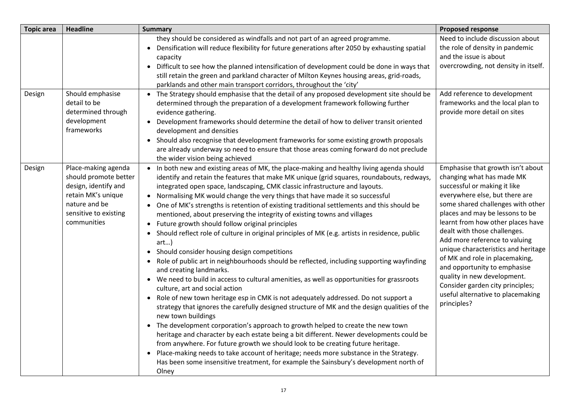| <b>Topic area</b> | <b>Headline</b>                                                                                                                                     | <b>Summary</b>                                                                                                                                                                                                                                                                                                                                                                                                                                                                                                                                                                                                                                                                                                                                                                                                                                                                                                                                                                                                                                                                                                                                                                                                                                                                                                                                                                                                                                                                                                                                                                                                                                                                                                             | <b>Proposed response</b>                                                                                                                                                                                                                                                                                                                                                                                                                                                                                                                       |
|-------------------|-----------------------------------------------------------------------------------------------------------------------------------------------------|----------------------------------------------------------------------------------------------------------------------------------------------------------------------------------------------------------------------------------------------------------------------------------------------------------------------------------------------------------------------------------------------------------------------------------------------------------------------------------------------------------------------------------------------------------------------------------------------------------------------------------------------------------------------------------------------------------------------------------------------------------------------------------------------------------------------------------------------------------------------------------------------------------------------------------------------------------------------------------------------------------------------------------------------------------------------------------------------------------------------------------------------------------------------------------------------------------------------------------------------------------------------------------------------------------------------------------------------------------------------------------------------------------------------------------------------------------------------------------------------------------------------------------------------------------------------------------------------------------------------------------------------------------------------------------------------------------------------------|------------------------------------------------------------------------------------------------------------------------------------------------------------------------------------------------------------------------------------------------------------------------------------------------------------------------------------------------------------------------------------------------------------------------------------------------------------------------------------------------------------------------------------------------|
|                   |                                                                                                                                                     | they should be considered as windfalls and not part of an agreed programme.<br>• Densification will reduce flexibility for future generations after 2050 by exhausting spatial<br>capacity<br>Difficult to see how the planned intensification of development could be done in ways that<br>$\bullet$<br>still retain the green and parkland character of Milton Keynes housing areas, grid-roads,<br>parklands and other main transport corridors, throughout the 'city'                                                                                                                                                                                                                                                                                                                                                                                                                                                                                                                                                                                                                                                                                                                                                                                                                                                                                                                                                                                                                                                                                                                                                                                                                                                  | Need to include discussion about<br>the role of density in pandemic<br>and the issue is about<br>overcrowding, not density in itself.                                                                                                                                                                                                                                                                                                                                                                                                          |
| Design            | Should emphasise<br>detail to be<br>determined through<br>development<br>frameworks                                                                 | • The Strategy should emphasise that the detail of any proposed development site should be<br>determined through the preparation of a development framework following further<br>evidence gathering.<br>Development frameworks should determine the detail of how to deliver transit oriented<br>$\bullet$<br>development and densities<br>Should also recognise that development frameworks for some existing growth proposals<br>$\bullet$<br>are already underway so need to ensure that those areas coming forward do not preclude<br>the wider vision being achieved                                                                                                                                                                                                                                                                                                                                                                                                                                                                                                                                                                                                                                                                                                                                                                                                                                                                                                                                                                                                                                                                                                                                                  | Add reference to development<br>frameworks and the local plan to<br>provide more detail on sites                                                                                                                                                                                                                                                                                                                                                                                                                                               |
| Design            | Place-making agenda<br>should promote better<br>design, identify and<br>retain MK's unique<br>nature and be<br>sensitive to existing<br>communities | • In both new and existing areas of MK, the place-making and healthy living agenda should<br>identify and retain the features that make MK unique (grid squares, roundabouts, redways,<br>integrated open space, landscaping, CMK classic infrastructure and layouts.<br>• Normalising MK would change the very things that have made it so successful<br>One of MK's strengths is retention of existing traditional settlements and this should be<br>mentioned, about preserving the integrity of existing towns and villages<br>• Future growth should follow original principles<br>Should reflect role of culture in original principles of MK (e.g. artists in residence, public<br>$art$ )<br>Should consider housing design competitions<br>$\bullet$<br>Role of public art in neighbourhoods should be reflected, including supporting wayfinding<br>$\bullet$<br>and creating landmarks.<br>We need to build in access to cultural amenities, as well as opportunities for grassroots<br>$\bullet$<br>culture, art and social action<br>• Role of new town heritage esp in CMK is not adequately addressed. Do not support a<br>strategy that ignores the carefully designed structure of MK and the design qualities of the<br>new town buildings<br>The development corporation's approach to growth helped to create the new town<br>heritage and character by each estate being a bit different. Newer developments could be<br>from anywhere. For future growth we should look to be creating future heritage.<br>• Place-making needs to take account of heritage; needs more substance in the Strategy.<br>Has been some insensitive treatment, for example the Sainsbury's development north of<br>Olney | Emphasise that growth isn't about<br>changing what has made MK<br>successful or making it like<br>everywhere else, but there are<br>some shared challenges with other<br>places and may be lessons to be<br>learnt from how other places have<br>dealt with those challenges.<br>Add more reference to valuing<br>unique characteristics and heritage<br>of MK and role in placemaking,<br>and opportunity to emphasise<br>quality in new development.<br>Consider garden city principles;<br>useful alternative to placemaking<br>principles? |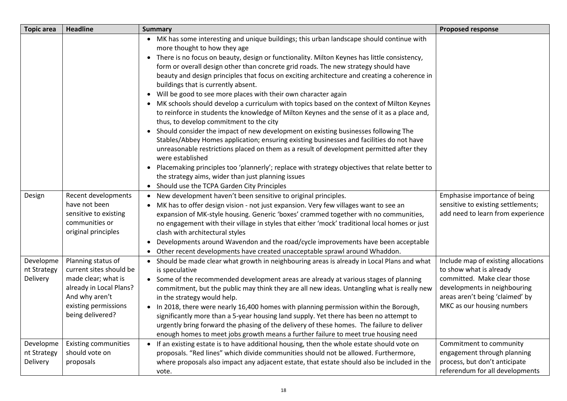| <b>Topic area</b>                    | <b>Headline</b>                                                                                                                                               | <b>Summary</b>                                                                                                                                                                                                                                                                                                                                                                                                                                                                                                                                                                                                                                                                                                                                                                                                                                                                                                                                                                                                                                                                                                                                                                                                                                                                              | <b>Proposed response</b>                                                                                                                                                                       |
|--------------------------------------|---------------------------------------------------------------------------------------------------------------------------------------------------------------|---------------------------------------------------------------------------------------------------------------------------------------------------------------------------------------------------------------------------------------------------------------------------------------------------------------------------------------------------------------------------------------------------------------------------------------------------------------------------------------------------------------------------------------------------------------------------------------------------------------------------------------------------------------------------------------------------------------------------------------------------------------------------------------------------------------------------------------------------------------------------------------------------------------------------------------------------------------------------------------------------------------------------------------------------------------------------------------------------------------------------------------------------------------------------------------------------------------------------------------------------------------------------------------------|------------------------------------------------------------------------------------------------------------------------------------------------------------------------------------------------|
|                                      |                                                                                                                                                               | • MK has some interesting and unique buildings; this urban landscape should continue with<br>more thought to how they age<br>• There is no focus on beauty, design or functionality. Milton Keynes has little consistency,<br>form or overall design other than concrete grid roads. The new strategy should have<br>beauty and design principles that focus on exciting architecture and creating a coherence in<br>buildings that is currently absent.<br>• Will be good to see more places with their own character again<br>MK schools should develop a curriculum with topics based on the context of Milton Keynes<br>to reinforce in students the knowledge of Milton Keynes and the sense of it as a place and,<br>thus, to develop commitment to the city<br>• Should consider the impact of new development on existing businesses following The<br>Stables/Abbey Homes application; ensuring existing businesses and facilities do not have<br>unreasonable restrictions placed on them as a result of development permitted after they<br>were established<br>Placemaking principles too 'plannerly'; replace with strategy objectives that relate better to<br>$\bullet$<br>the strategy aims, wider than just planning issues<br>• Should use the TCPA Garden City Principles |                                                                                                                                                                                                |
| Design                               | Recent developments<br>have not been<br>sensitive to existing<br>communities or<br>original principles                                                        | New development haven't been sensitive to original principles.<br>$\bullet$<br>MK has to offer design vision - not just expansion. Very few villages want to see an<br>expansion of MK-style housing. Generic 'boxes' crammed together with no communities,<br>no engagement with their village in styles that either 'mock' traditional local homes or just<br>clash with architectural styles<br>Developments around Wavendon and the road/cycle improvements have been acceptable<br>$\bullet$<br>Other recent developments have created unacceptable sprawl around Whaddon.                                                                                                                                                                                                                                                                                                                                                                                                                                                                                                                                                                                                                                                                                                             | Emphasise importance of being<br>sensitive to existing settlements;<br>add need to learn from experience                                                                                       |
| Developme<br>nt Strategy<br>Delivery | Planning status of<br>current sites should be<br>made clear; what is<br>already in Local Plans?<br>And why aren't<br>existing permissions<br>being delivered? | Should be made clear what growth in neighbouring areas is already in Local Plans and what<br>is speculative<br>• Some of the recommended development areas are already at various stages of planning<br>commitment, but the public may think they are all new ideas. Untangling what is really new<br>in the strategy would help.<br>• In 2018, there were nearly 16,400 homes with planning permission within the Borough,<br>significantly more than a 5-year housing land supply. Yet there has been no attempt to<br>urgently bring forward the phasing of the delivery of these homes. The failure to deliver<br>enough homes to meet jobs growth means a further failure to meet true housing need                                                                                                                                                                                                                                                                                                                                                                                                                                                                                                                                                                                    | Include map of existing allocations<br>to show what is already<br>committed. Make clear those<br>developments in neighbouring<br>areas aren't being 'claimed' by<br>MKC as our housing numbers |
| Developme<br>nt Strategy<br>Delivery | <b>Existing communities</b><br>should vote on<br>proposals                                                                                                    | If an existing estate is to have additional housing, then the whole estate should vote on<br>$\bullet$<br>proposals. "Red lines" which divide communities should not be allowed. Furthermore,<br>where proposals also impact any adjacent estate, that estate should also be included in the<br>vote.                                                                                                                                                                                                                                                                                                                                                                                                                                                                                                                                                                                                                                                                                                                                                                                                                                                                                                                                                                                       | Commitment to community<br>engagement through planning<br>process, but don't anticipate<br>referendum for all developments                                                                     |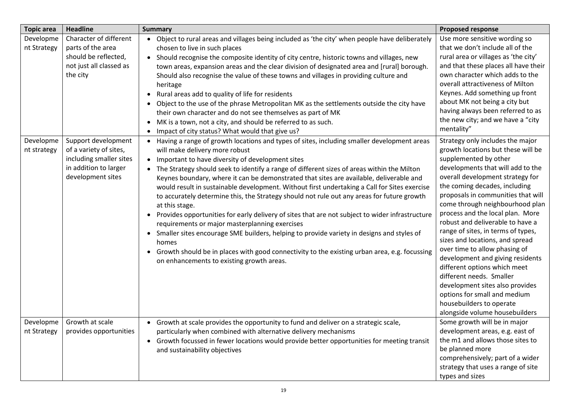| <b>Topic area</b>        | <b>Headline</b>                                                                                                        | <b>Summary</b>                                                                                                                                                                                                                                                                                                                                                                                                                                                                                                                                                                                                                                                                                                                                                                                                                                                                                                                                                                                                                      | <b>Proposed response</b>                                                                                                                                                                                                                                                                                                                                                                                                                                                                                                                                                                                                                                                                              |
|--------------------------|------------------------------------------------------------------------------------------------------------------------|-------------------------------------------------------------------------------------------------------------------------------------------------------------------------------------------------------------------------------------------------------------------------------------------------------------------------------------------------------------------------------------------------------------------------------------------------------------------------------------------------------------------------------------------------------------------------------------------------------------------------------------------------------------------------------------------------------------------------------------------------------------------------------------------------------------------------------------------------------------------------------------------------------------------------------------------------------------------------------------------------------------------------------------|-------------------------------------------------------------------------------------------------------------------------------------------------------------------------------------------------------------------------------------------------------------------------------------------------------------------------------------------------------------------------------------------------------------------------------------------------------------------------------------------------------------------------------------------------------------------------------------------------------------------------------------------------------------------------------------------------------|
| Developme<br>nt Strategy | Character of different<br>parts of the area<br>should be reflected,<br>not just all classed as<br>the city             | • Object to rural areas and villages being included as 'the city' when people have deliberately<br>chosen to live in such places<br>• Should recognise the composite identity of city centre, historic towns and villages, new<br>town areas, expansion areas and the clear division of designated area and [rural] borough.<br>Should also recognise the value of these towns and villages in providing culture and<br>heritage<br>Rural areas add to quality of life for residents<br>$\bullet$<br>Object to the use of the phrase Metropolitan MK as the settlements outside the city have<br>their own character and do not see themselves as part of MK<br>MK is a town, not a city, and should be referred to as such.<br>$\bullet$<br>Impact of city status? What would that give us?                                                                                                                                                                                                                                        | Use more sensitive wording so<br>that we don't include all of the<br>rural area or villages as 'the city'<br>and that these places all have their<br>own character which adds to the<br>overall attractiveness of Milton<br>Keynes. Add something up front<br>about MK not being a city but<br>having always been referred to as<br>the new city; and we have a "city<br>mentality"                                                                                                                                                                                                                                                                                                                   |
| Developme<br>nt strategy | Support development<br>of a variety of sites,<br>including smaller sites<br>in addition to larger<br>development sites | • Having a range of growth locations and types of sites, including smaller development areas<br>will make delivery more robust<br>• Important to have diversity of development sites<br>• The Strategy should seek to identify a range of different sizes of areas within the Milton<br>Keynes boundary, where it can be demonstrated that sites are available, deliverable and<br>would result in sustainable development. Without first undertaking a Call for Sites exercise<br>to accurately determine this, the Strategy should not rule out any areas for future growth<br>at this stage.<br>Provides opportunities for early delivery of sites that are not subject to wider infrastructure<br>$\bullet$<br>requirements or major masterplanning exercises<br>• Smaller sites encourage SME builders, helping to provide variety in designs and styles of<br>homes<br>Growth should be in places with good connectivity to the existing urban area, e.g. focussing<br>$\bullet$<br>on enhancements to existing growth areas. | Strategy only includes the major<br>growth locations but these will be<br>supplemented by other<br>developments that will add to the<br>overall development strategy for<br>the coming decades, including<br>proposals in communities that will<br>come through neighbourhood plan<br>process and the local plan. More<br>robust and deliverable to have a<br>range of sites, in terms of types,<br>sizes and locations, and spread<br>over time to allow phasing of<br>development and giving residents<br>different options which meet<br>different needs. Smaller<br>development sites also provides<br>options for small and medium<br>housebuilders to operate<br>alongside volume housebuilders |
| Developme<br>nt Strategy | Growth at scale<br>provides opportunities                                                                              | Growth at scale provides the opportunity to fund and deliver on a strategic scale,<br>$\bullet$<br>particularly when combined with alternative delivery mechanisms<br>• Growth focussed in fewer locations would provide better opportunities for meeting transit<br>and sustainability objectives                                                                                                                                                                                                                                                                                                                                                                                                                                                                                                                                                                                                                                                                                                                                  | Some growth will be in major<br>development areas, e.g. east of<br>the m1 and allows those sites to<br>be planned more<br>comprehensively; part of a wider<br>strategy that uses a range of site<br>types and sizes                                                                                                                                                                                                                                                                                                                                                                                                                                                                                   |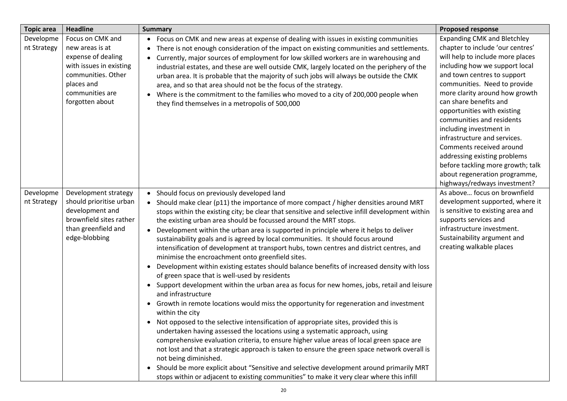| <b>Topic area</b>        | <b>Headline</b>                                                                                                                                                | <b>Summary</b>                                                                                                                                                                                                                                                                                                                                                                                                                                                                                                                                                                                                                                                                                                                                                                                                                                                                                                                                                                                                                                                                                                                                                                                                                                                                                                                                                                                                                                                                                                                                                                                                                                                 | <b>Proposed response</b>                                                                                                                                                                                                                                                                                                                                                                                                                                                                                                         |
|--------------------------|----------------------------------------------------------------------------------------------------------------------------------------------------------------|----------------------------------------------------------------------------------------------------------------------------------------------------------------------------------------------------------------------------------------------------------------------------------------------------------------------------------------------------------------------------------------------------------------------------------------------------------------------------------------------------------------------------------------------------------------------------------------------------------------------------------------------------------------------------------------------------------------------------------------------------------------------------------------------------------------------------------------------------------------------------------------------------------------------------------------------------------------------------------------------------------------------------------------------------------------------------------------------------------------------------------------------------------------------------------------------------------------------------------------------------------------------------------------------------------------------------------------------------------------------------------------------------------------------------------------------------------------------------------------------------------------------------------------------------------------------------------------------------------------------------------------------------------------|----------------------------------------------------------------------------------------------------------------------------------------------------------------------------------------------------------------------------------------------------------------------------------------------------------------------------------------------------------------------------------------------------------------------------------------------------------------------------------------------------------------------------------|
| Developme<br>nt Strategy | Focus on CMK and<br>new areas is at<br>expense of dealing<br>with issues in existing<br>communities. Other<br>places and<br>communities are<br>forgotten about | Focus on CMK and new areas at expense of dealing with issues in existing communities<br>$\bullet$<br>There is not enough consideration of the impact on existing communities and settlements.<br>$\bullet$<br>Currently, major sources of employment for low skilled workers are in warehousing and<br>$\bullet$<br>industrial estates, and these are well outside CMK, largely located on the periphery of the<br>urban area. It is probable that the majority of such jobs will always be outside the CMK<br>area, and so that area should not be the focus of the strategy.<br>Where is the commitment to the families who moved to a city of 200,000 people when<br>$\bullet$<br>they find themselves in a metropolis of 500,000                                                                                                                                                                                                                                                                                                                                                                                                                                                                                                                                                                                                                                                                                                                                                                                                                                                                                                                           | <b>Expanding CMK and Bletchley</b><br>chapter to include 'our centres'<br>will help to include more places<br>including how we support local<br>and town centres to support<br>communities. Need to provide<br>more clarity around how growth<br>can share benefits and<br>opportunities with existing<br>communities and residents<br>including investment in<br>infrastructure and services.<br>Comments received around<br>addressing existing problems<br>before tackling more growth; talk<br>about regeneration programme, |
| Developme<br>nt Strategy | Development strategy<br>should prioritise urban<br>development and<br>brownfield sites rather<br>than greenfield and<br>edge-blobbing                          | Should focus on previously developed land<br>$\bullet$<br>• Should make clear (p11) the importance of more compact / higher densities around MRT<br>stops within the existing city; be clear that sensitive and selective infill development within<br>the existing urban area should be focussed around the MRT stops.<br>Development within the urban area is supported in principle where it helps to deliver<br>$\bullet$<br>sustainability goals and is agreed by local communities. It should focus around<br>intensification of development at transport hubs, town centres and district centres, and<br>minimise the encroachment onto greenfield sites.<br>Development within existing estates should balance benefits of increased density with loss<br>$\bullet$<br>of green space that is well-used by residents<br>Support development within the urban area as focus for new homes, jobs, retail and leisure<br>and infrastructure<br>Growth in remote locations would miss the opportunity for regeneration and investment<br>$\bullet$<br>within the city<br>Not opposed to the selective intensification of appropriate sites, provided this is<br>undertaken having assessed the locations using a systematic approach, using<br>comprehensive evaluation criteria, to ensure higher value areas of local green space are<br>not lost and that a strategic approach is taken to ensure the green space network overall is<br>not being diminished.<br>• Should be more explicit about "Sensitive and selective development around primarily MRT<br>stops within or adjacent to existing communities" to make it very clear where this infill | As above focus on brownfield<br>development supported, where it<br>is sensitive to existing area and<br>supports services and<br>infrastructure investment.<br>Sustainability argument and<br>creating walkable places                                                                                                                                                                                                                                                                                                           |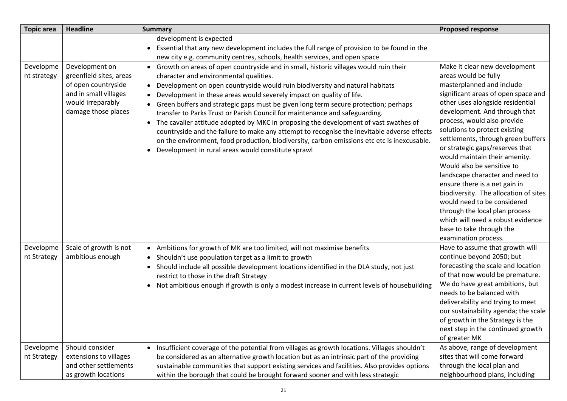| <b>Topic area</b>        | <b>Headline</b>                                                                                                                       | <b>Summary</b>                                                                                                                                                                                                                                                                                                                                                                                                                                                                                                                                                                                                                                                                                                                                                                                                                | <b>Proposed response</b>                                                                                                                                                                                                                                                                                                                                                                                                                                                                                                                                                                                                                                                      |
|--------------------------|---------------------------------------------------------------------------------------------------------------------------------------|-------------------------------------------------------------------------------------------------------------------------------------------------------------------------------------------------------------------------------------------------------------------------------------------------------------------------------------------------------------------------------------------------------------------------------------------------------------------------------------------------------------------------------------------------------------------------------------------------------------------------------------------------------------------------------------------------------------------------------------------------------------------------------------------------------------------------------|-------------------------------------------------------------------------------------------------------------------------------------------------------------------------------------------------------------------------------------------------------------------------------------------------------------------------------------------------------------------------------------------------------------------------------------------------------------------------------------------------------------------------------------------------------------------------------------------------------------------------------------------------------------------------------|
|                          |                                                                                                                                       | development is expected<br>• Essential that any new development includes the full range of provision to be found in the<br>new city e.g. community centres, schools, health services, and open space                                                                                                                                                                                                                                                                                                                                                                                                                                                                                                                                                                                                                          |                                                                                                                                                                                                                                                                                                                                                                                                                                                                                                                                                                                                                                                                               |
| Developme<br>nt strategy | Development on<br>greenfield sites, areas<br>of open countryside<br>and in small villages<br>would irreparably<br>damage those places | • Growth on areas of open countryside and in small, historic villages would ruin their<br>character and environmental qualities.<br>• Development on open countryside would ruin biodiversity and natural habitats<br>Development in these areas would severely impact on quality of life.<br>$\bullet$<br>• Green buffers and strategic gaps must be given long term secure protection; perhaps<br>transfer to Parks Trust or Parish Council for maintenance and safeguarding.<br>• The cavalier attitude adopted by MKC in proposing the development of vast swathes of<br>countryside and the failure to make any attempt to recognise the inevitable adverse effects<br>on the environment, food production, biodiversity, carbon emissions etc etc is inexcusable.<br>Development in rural areas would constitute sprawl | Make it clear new development<br>areas would be fully<br>masterplanned and include<br>significant areas of open space and<br>other uses alongside residential<br>development. And through that<br>process, would also provide<br>solutions to protect existing<br>settlements, through green buffers<br>or strategic gaps/reserves that<br>would maintain their amenity.<br>Would also be sensitive to<br>landscape character and need to<br>ensure there is a net gain in<br>biodiversity. The allocation of sites<br>would need to be considered<br>through the local plan process<br>which will need a robust evidence<br>base to take through the<br>examination process. |
| Developme<br>nt Strategy | Scale of growth is not<br>ambitious enough                                                                                            | Ambitions for growth of MK are too limited, will not maximise benefits<br>$\bullet$<br>Shouldn't use population target as a limit to growth<br>• Should include all possible development locations identified in the DLA study, not just<br>restrict to those in the draft Strategy<br>• Not ambitious enough if growth is only a modest increase in current levels of housebuilding                                                                                                                                                                                                                                                                                                                                                                                                                                          | Have to assume that growth will<br>continue beyond 2050; but<br>forecasting the scale and location<br>of that now would be premature.<br>We do have great ambitions, but<br>needs to be balanced with<br>deliverability and trying to meet<br>our sustainability agenda; the scale<br>of growth in the Strategy is the<br>next step in the continued growth<br>of greater MK                                                                                                                                                                                                                                                                                                  |
| Developme<br>nt Strategy | Should consider<br>extensions to villages<br>and other settlements<br>as growth locations                                             | • Insufficient coverage of the potential from villages as growth locations. Villages shouldn't<br>be considered as an alternative growth location but as an intrinsic part of the providing<br>sustainable communities that support existing services and facilities. Also provides options<br>within the borough that could be brought forward sooner and with less strategic                                                                                                                                                                                                                                                                                                                                                                                                                                                | As above, range of development<br>sites that will come forward<br>through the local plan and<br>neighbourhood plans, including                                                                                                                                                                                                                                                                                                                                                                                                                                                                                                                                                |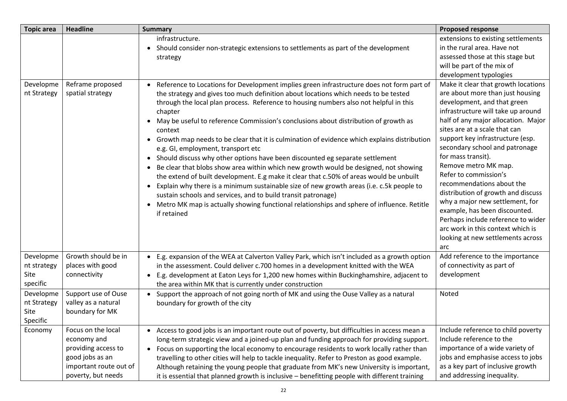| <b>Topic area</b>                            | <b>Headline</b>                                                                                                             | <b>Summary</b>                                                                                                                                                                                                                                                                                                                                                                                                                                                                                                                                                                                                                                                                                                                                                                                                                                                                                                                                                                                                                                                                              | <b>Proposed response</b>                                                                                                                                                                                                                                                                                                                                                                                                                                                                                                                                                                                                        |
|----------------------------------------------|-----------------------------------------------------------------------------------------------------------------------------|---------------------------------------------------------------------------------------------------------------------------------------------------------------------------------------------------------------------------------------------------------------------------------------------------------------------------------------------------------------------------------------------------------------------------------------------------------------------------------------------------------------------------------------------------------------------------------------------------------------------------------------------------------------------------------------------------------------------------------------------------------------------------------------------------------------------------------------------------------------------------------------------------------------------------------------------------------------------------------------------------------------------------------------------------------------------------------------------|---------------------------------------------------------------------------------------------------------------------------------------------------------------------------------------------------------------------------------------------------------------------------------------------------------------------------------------------------------------------------------------------------------------------------------------------------------------------------------------------------------------------------------------------------------------------------------------------------------------------------------|
|                                              |                                                                                                                             | infrastructure.<br>• Should consider non-strategic extensions to settlements as part of the development<br>strategy                                                                                                                                                                                                                                                                                                                                                                                                                                                                                                                                                                                                                                                                                                                                                                                                                                                                                                                                                                         | extensions to existing settlements<br>in the rural area. Have not<br>assessed those at this stage but<br>will be part of the mix of<br>development typologies                                                                                                                                                                                                                                                                                                                                                                                                                                                                   |
| Developme<br>nt Strategy                     | Reframe proposed<br>spatial strategy                                                                                        | Reference to Locations for Development implies green infrastructure does not form part of<br>the strategy and gives too much definition about locations which needs to be tested<br>through the local plan process. Reference to housing numbers also not helpful in this<br>chapter<br>• May be useful to reference Commission's conclusions about distribution of growth as<br>context<br>• Growth map needs to be clear that it is culmination of evidence which explains distribution<br>e.g. GI, employment, transport etc<br>• Should discuss why other options have been discounted eg separate settlement<br>Be clear that blobs show area within which new growth would be designed, not showing<br>the extend of built development. E.g make it clear that c.50% of areas would be unbuilt<br>Explain why there is a minimum sustainable size of new growth areas (i.e. c.5k people to<br>$\bullet$<br>sustain schools and services, and to build transit patronage)<br>Metro MK map is actually showing functional relationships and sphere of influence. Retitle<br>if retained | Make it clear that growth locations<br>are about more than just housing<br>development, and that green<br>infrastructure will take up around<br>half of any major allocation. Major<br>sites are at a scale that can<br>support key infrastructure (esp.<br>secondary school and patronage<br>for mass transit).<br>Remove metro MK map.<br>Refer to commission's<br>recommendations about the<br>distribution of growth and discuss<br>why a major new settlement, for<br>example, has been discounted.<br>Perhaps include reference to wider<br>arc work in this context which is<br>looking at new settlements across<br>arc |
| Developme<br>nt strategy<br>Site<br>specific | Growth should be in<br>places with good<br>connectivity                                                                     | E.g. expansion of the WEA at Calverton Valley Park, which isn't included as a growth option<br>in the assessment. Could deliver c.700 homes in a development knitted with the WEA<br>E.g. development at Eaton Leys for 1,200 new homes within Buckinghamshire, adjacent to<br>the area within MK that is currently under construction                                                                                                                                                                                                                                                                                                                                                                                                                                                                                                                                                                                                                                                                                                                                                      | Add reference to the importance<br>of connectivity as part of<br>development                                                                                                                                                                                                                                                                                                                                                                                                                                                                                                                                                    |
| Developme<br>nt Strategy<br>Site<br>Specific | Support use of Ouse<br>valley as a natural<br>boundary for MK                                                               | Support the approach of not going north of MK and using the Ouse Valley as a natural<br>boundary for growth of the city                                                                                                                                                                                                                                                                                                                                                                                                                                                                                                                                                                                                                                                                                                                                                                                                                                                                                                                                                                     | Noted                                                                                                                                                                                                                                                                                                                                                                                                                                                                                                                                                                                                                           |
| Economy                                      | Focus on the local<br>economy and<br>providing access to<br>good jobs as an<br>important route out of<br>poverty, but needs | • Access to good jobs is an important route out of poverty, but difficulties in access mean a<br>long-term strategic view and a joined-up plan and funding approach for providing support.<br>Focus on supporting the local economy to encourage residents to work locally rather than<br>$\bullet$<br>travelling to other cities will help to tackle inequality. Refer to Preston as good example.<br>Although retaining the young people that graduate from MK's new University is important,<br>it is essential that planned growth is inclusive - benefitting people with different training                                                                                                                                                                                                                                                                                                                                                                                                                                                                                            | Include reference to child poverty<br>Include reference to the<br>importance of a wide variety of<br>jobs and emphasise access to jobs<br>as a key part of inclusive growth<br>and addressing inequality.                                                                                                                                                                                                                                                                                                                                                                                                                       |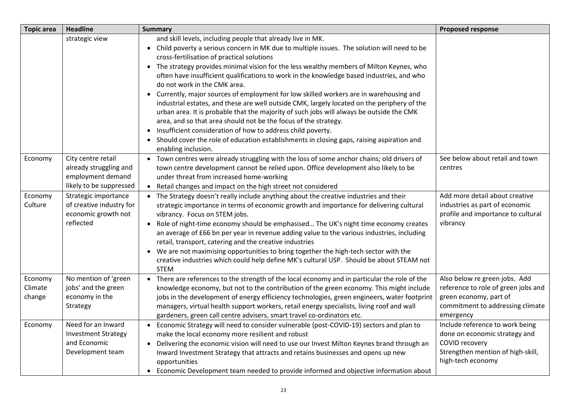| <b>Topic area</b>            | <b>Headline</b>                                                                              | <b>Summary</b>                                                                                                                                                                                                                                                                                                                                                                                                                                                                                                                                                                                                                                                                                                                                                                                                                                                                                                                                                                                                     | <b>Proposed response</b>                                                                                                                        |
|------------------------------|----------------------------------------------------------------------------------------------|--------------------------------------------------------------------------------------------------------------------------------------------------------------------------------------------------------------------------------------------------------------------------------------------------------------------------------------------------------------------------------------------------------------------------------------------------------------------------------------------------------------------------------------------------------------------------------------------------------------------------------------------------------------------------------------------------------------------------------------------------------------------------------------------------------------------------------------------------------------------------------------------------------------------------------------------------------------------------------------------------------------------|-------------------------------------------------------------------------------------------------------------------------------------------------|
|                              | strategic view                                                                               | and skill levels, including people that already live in MK.<br>Child poverty a serious concern in MK due to multiple issues. The solution will need to be<br>$\bullet$<br>cross-fertilisation of practical solutions<br>The strategy provides minimal vision for the less wealthy members of Milton Keynes, who<br>$\bullet$<br>often have insufficient qualifications to work in the knowledge based industries, and who<br>do not work in the CMK area.<br>Currently, major sources of employment for low skilled workers are in warehousing and<br>$\bullet$<br>industrial estates, and these are well outside CMK, largely located on the periphery of the<br>urban area. It is probable that the majority of such jobs will always be outside the CMK<br>area, and so that area should not be the focus of the strategy.<br>• Insufficient consideration of how to address child poverty.<br>Should cover the role of education establishments in closing gaps, raising aspiration and<br>enabling inclusion. |                                                                                                                                                 |
| Economy                      | City centre retail<br>already struggling and<br>employment demand<br>likely to be suppressed | Town centres were already struggling with the loss of some anchor chains; old drivers of<br>$\bullet$<br>town centre development cannot be relied upon. Office development also likely to be<br>under threat from increased home-working<br>• Retail changes and impact on the high street not considered                                                                                                                                                                                                                                                                                                                                                                                                                                                                                                                                                                                                                                                                                                          | See below about retail and town<br>centres                                                                                                      |
| Economy<br>Culture           | Strategic importance<br>of creative industry for<br>economic growth not<br>reflected         | • The Strategy doesn't really include anything about the creative industries and their<br>strategic importance in terms of economic growth and importance for delivering cultural<br>vibrancy. Focus on STEM jobs.<br>Role of night-time economy should be emphasised The UK's night time economy creates<br>$\bullet$<br>an average of £66 bn per year in revenue adding value to the various industries, including<br>retail, transport, catering and the creative industries<br>We are not maximising opportunities to bring together the high-tech sector with the<br>$\bullet$<br>creative industries which could help define MK's cultural USP. Should be about STEAM not<br><b>STEM</b>                                                                                                                                                                                                                                                                                                                     | Add more detail about creative<br>industries as part of economic<br>profile and importance to cultural<br>vibrancy                              |
| Economy<br>Climate<br>change | No mention of 'green<br>jobs' and the green<br>economy in the<br>Strategy                    | • There are references to the strength of the local economy and in particular the role of the<br>knowledge economy, but not to the contribution of the green economy. This might include<br>jobs in the development of energy efficiency technologies, green engineers, water footprint<br>managers, virtual health support workers, retail energy specialists, living roof and wall<br>gardeners, green call centre advisers, smart travel co-ordinators etc.                                                                                                                                                                                                                                                                                                                                                                                                                                                                                                                                                     | Also below re green jobs. Add<br>reference to role of green jobs and<br>green economy, part of<br>commitment to addressing climate<br>emergency |
| Economy                      | Need for an Inward<br><b>Investment Strategy</b><br>and Economic<br>Development team         | Economic Strategy will need to consider vulnerable (post-COVID-19) sectors and plan to<br>make the local economy more resilient and robust<br>• Delivering the economic vision will need to use our Invest Milton Keynes brand through an<br>Inward Investment Strategy that attracts and retains businesses and opens up new<br>opportunities<br>Economic Development team needed to provide informed and objective information about<br>$\bullet$                                                                                                                                                                                                                                                                                                                                                                                                                                                                                                                                                                | Include reference to work being<br>done on economic strategy and<br>COVID recovery<br>Strengthen mention of high-skill,<br>high-tech economy    |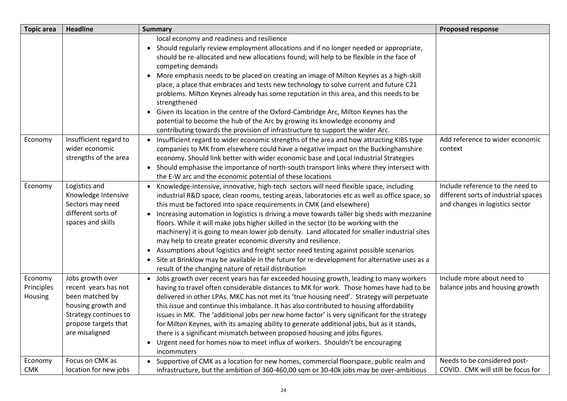| <b>Topic area</b>                | <b>Headline</b>                                                                                                                                      | <b>Summary</b>                                                                                                                                                                                                                                                                                                                                                                                                                                                                                                                                                                                                                                                                                                                                                                                                                                                                                  | <b>Proposed response</b>                                                                                    |
|----------------------------------|------------------------------------------------------------------------------------------------------------------------------------------------------|-------------------------------------------------------------------------------------------------------------------------------------------------------------------------------------------------------------------------------------------------------------------------------------------------------------------------------------------------------------------------------------------------------------------------------------------------------------------------------------------------------------------------------------------------------------------------------------------------------------------------------------------------------------------------------------------------------------------------------------------------------------------------------------------------------------------------------------------------------------------------------------------------|-------------------------------------------------------------------------------------------------------------|
|                                  |                                                                                                                                                      | local economy and readiness and resilience<br>Should regularly review employment allocations and if no longer needed or appropriate,<br>$\bullet$<br>should be re-allocated and new allocations found; will help to be flexible in the face of<br>competing demands<br>• More emphasis needs to be placed on creating an image of Milton Keynes as a high-skill<br>place, a place that embraces and tests new technology to solve current and future C21<br>problems. Milton Keynes already has some reputation in this area, and this needs to be<br>strengthened<br>• Given its location in the centre of the Oxford-Cambridge Arc, Milton Keynes has the<br>potential to become the hub of the Arc by growing its knowledge economy and<br>contributing towards the provision of infrastructure to support the wider Arc.                                                                    |                                                                                                             |
| Economy                          | Insufficient regard to<br>wider economic<br>strengths of the area                                                                                    | • Insufficient regard to wider economic strengths of the area and how attracting KIBS type<br>companies to MK from elsewhere could have a negative impact on the Buckinghamshire<br>economy. Should link better with wider economic base and Local Industrial Strategies<br>• Should emphasise the importance of north-south transport links where they intersect with<br>the E-W arc and the economic potential of these locations                                                                                                                                                                                                                                                                                                                                                                                                                                                             | Add reference to wider economic<br>context                                                                  |
| Economy                          | Logistics and<br>Knowledge Intensive<br>Sectors may need<br>different sorts of<br>spaces and skills                                                  | • Knowledge-intensive, innovative, high-tech sectors will need flexible space, including<br>industrial R&D space, clean rooms, testing areas, laboratories etc as well as office space, so<br>this must be factored into space requirements in CMK (and elsewhere)<br>Increasing automation in logistics is driving a move towards taller big sheds with mezzanine<br>$\bullet$<br>floors. While it will make jobs higher skilled in the sector (to be working with the<br>machinery) it is going to mean lower job density. Land allocated for smaller industrial sites<br>may help to create greater economic diversity and resilience.<br>• Assumptions about logistics and freight sector need testing against possible scenarios<br>• Site at Brinklow may be available in the future for re-development for alternative uses as a<br>result of the changing nature of retail distribution | Include reference to the need to<br>different sorts of industrial spaces<br>and changes in logistics sector |
| Economy<br>Principles<br>Housing | Jobs growth over<br>recent years has not<br>been matched by<br>housing growth and<br>Strategy continues to<br>propose targets that<br>are misaligned | • Jobs growth over recent years has far exceeded housing growth, leading to many workers<br>having to travel often considerable distances to MK for work. Those homes have had to be<br>delivered in other LPAs. MKC has not met its 'true housing need'. Strategy will perpetuate<br>this issue and continue this imbalance. It has also contributed to housing affordability<br>issues in MK. The 'additional jobs per new home factor' is very significant for the strategy<br>for Milton Keynes, with its amazing ability to generate additional jobs, but as it stands,<br>there is a significant mismatch between proposed housing and jobs figures.<br>• Urgent need for homes now to meet influx of workers. Shouldn't be encouraging<br>incommuters                                                                                                                                    | Include more about need to<br>balance jobs and housing growth                                               |
| Economy<br><b>CMK</b>            | Focus on CMK as<br>location for new jobs                                                                                                             | • Supportive of CMK as a location for new homes, commercial floorspace, public realm and<br>infrastructure, but the ambition of 360-460,00 sqm or 30-40k jobs may be over-ambitious                                                                                                                                                                                                                                                                                                                                                                                                                                                                                                                                                                                                                                                                                                             | Needs to be considered post-<br>COVID. CMK will still be focus for                                          |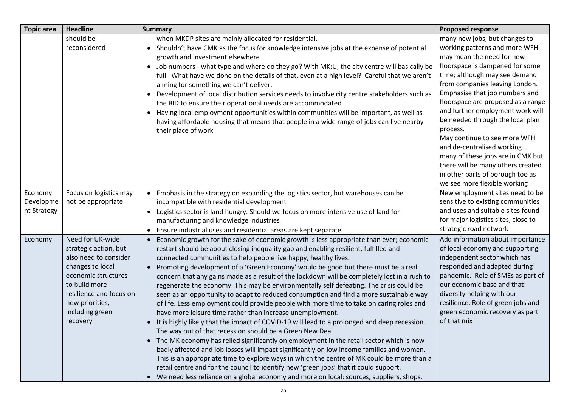| <b>Topic area</b>                   | <b>Headline</b>                                                                                                                                                                                             | <b>Summary</b>                                                                                                                                                                                                                                                                                                                                                                                                                                                                                                                                                                                                                                                                                                                                                                                                                                                                                                                                                                                                                                                                                                                                                                                                                                                                                                                                                                                                                                                       | <b>Proposed response</b>                                                                                                                                                                                                                                                                                                                                                                                                                                                                                                                                                  |
|-------------------------------------|-------------------------------------------------------------------------------------------------------------------------------------------------------------------------------------------------------------|----------------------------------------------------------------------------------------------------------------------------------------------------------------------------------------------------------------------------------------------------------------------------------------------------------------------------------------------------------------------------------------------------------------------------------------------------------------------------------------------------------------------------------------------------------------------------------------------------------------------------------------------------------------------------------------------------------------------------------------------------------------------------------------------------------------------------------------------------------------------------------------------------------------------------------------------------------------------------------------------------------------------------------------------------------------------------------------------------------------------------------------------------------------------------------------------------------------------------------------------------------------------------------------------------------------------------------------------------------------------------------------------------------------------------------------------------------------------|---------------------------------------------------------------------------------------------------------------------------------------------------------------------------------------------------------------------------------------------------------------------------------------------------------------------------------------------------------------------------------------------------------------------------------------------------------------------------------------------------------------------------------------------------------------------------|
|                                     | should be<br>reconsidered                                                                                                                                                                                   | when MKDP sites are mainly allocated for residential.<br>• Shouldn't have CMK as the focus for knowledge intensive jobs at the expense of potential<br>growth and investment elsewhere<br>• Job numbers - what type and where do they go? With MK:U, the city centre will basically be<br>full. What have we done on the details of that, even at a high level? Careful that we aren't<br>aiming for something we can't deliver.<br>Development of local distribution services needs to involve city centre stakeholders such as<br>$\bullet$<br>the BID to ensure their operational needs are accommodated<br>Having local employment opportunities within communities will be important, as well as<br>$\bullet$<br>having affordable housing that means that people in a wide range of jobs can live nearby<br>their place of work                                                                                                                                                                                                                                                                                                                                                                                                                                                                                                                                                                                                                                | many new jobs, but changes to<br>working patterns and more WFH<br>may mean the need for new<br>floorspace is dampened for some<br>time; although may see demand<br>from companies leaving London.<br>Emphasise that job numbers and<br>floorspace are proposed as a range<br>and further employment work will<br>be needed through the local plan<br>process.<br>May continue to see more WFH<br>and de-centralised working<br>many of these jobs are in CMK but<br>there will be many others created<br>in other parts of borough too as<br>we see more flexible working |
| Economy<br>Developme<br>nt Strategy | Focus on logistics may<br>not be appropriate                                                                                                                                                                | Emphasis in the strategy on expanding the logistics sector, but warehouses can be<br>incompatible with residential development<br>Logistics sector is land hungry. Should we focus on more intensive use of land for<br>$\bullet$<br>manufacturing and knowledge industries<br>Ensure industrial uses and residential areas are kept separate                                                                                                                                                                                                                                                                                                                                                                                                                                                                                                                                                                                                                                                                                                                                                                                                                                                                                                                                                                                                                                                                                                                        | New employment sites need to be<br>sensitive to existing communities<br>and uses and suitable sites found<br>for major logistics sites, close to<br>strategic road network                                                                                                                                                                                                                                                                                                                                                                                                |
| Economy                             | Need for UK-wide<br>strategic action, but<br>also need to consider<br>changes to local<br>economic structures<br>to build more<br>resilience and focus on<br>new priorities,<br>including green<br>recovery | Economic growth for the sake of economic growth is less appropriate than ever; economic<br>restart should be about closing inequality gap and enabling resilient, fulfilled and<br>connected communities to help people live happy, healthy lives.<br>Promoting development of a 'Green Economy' would be good but there must be a real<br>$\bullet$<br>concern that any gains made as a result of the lockdown will be completely lost in a rush to<br>regenerate the economy. This may be environmentally self defeating. The crisis could be<br>seen as an opportunity to adapt to reduced consumption and find a more sustainable way<br>of life. Less employment could provide people with more time to take on caring roles and<br>have more leisure time rather than increase unemployment.<br>It is highly likely that the impact of COVID-19 will lead to a prolonged and deep recession.<br>$\bullet$<br>The way out of that recession should be a Green New Deal<br>• The MK economy has relied significantly on employment in the retail sector which is now<br>badly affected and job losses will impact significantly on low income families and women.<br>This is an appropriate time to explore ways in which the centre of MK could be more than a<br>retail centre and for the council to identify new 'green jobs' that it could support.<br>We need less reliance on a global economy and more on local: sources, suppliers, shops,<br>$\bullet$ | Add information about importance<br>of local economy and supporting<br>independent sector which has<br>responded and adapted during<br>pandemic. Role of SMEs as part of<br>our economic base and that<br>diversity helping with our<br>resilience. Role of green jobs and<br>green economic recovery as part<br>of that mix                                                                                                                                                                                                                                              |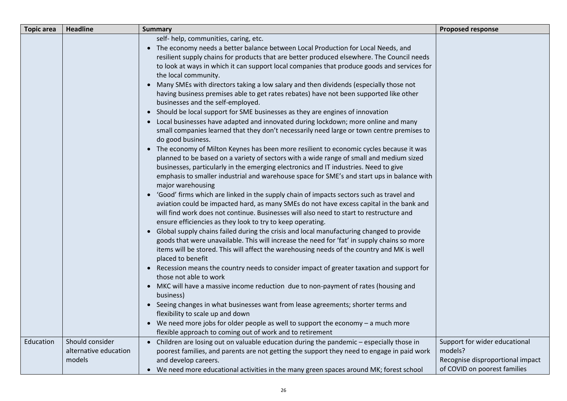| <b>Topic area</b> | <b>Headline</b>                          | <b>Summary</b>                                                                                                                                                                                                                                                                                                                                                                                                                                                                                                                                                                                                                                                                                                                                                                                                                                                                                                                                                                                                                                                                                                                                                                                                                                                                                                                                                                                                                                                                                                                                                                                                                                                                                                                                                                                                                                                                                                                                                                                                                                                                                                                                                                                                                                                                                                                                                                                                                                   | <b>Proposed response</b>                                         |
|-------------------|------------------------------------------|--------------------------------------------------------------------------------------------------------------------------------------------------------------------------------------------------------------------------------------------------------------------------------------------------------------------------------------------------------------------------------------------------------------------------------------------------------------------------------------------------------------------------------------------------------------------------------------------------------------------------------------------------------------------------------------------------------------------------------------------------------------------------------------------------------------------------------------------------------------------------------------------------------------------------------------------------------------------------------------------------------------------------------------------------------------------------------------------------------------------------------------------------------------------------------------------------------------------------------------------------------------------------------------------------------------------------------------------------------------------------------------------------------------------------------------------------------------------------------------------------------------------------------------------------------------------------------------------------------------------------------------------------------------------------------------------------------------------------------------------------------------------------------------------------------------------------------------------------------------------------------------------------------------------------------------------------------------------------------------------------------------------------------------------------------------------------------------------------------------------------------------------------------------------------------------------------------------------------------------------------------------------------------------------------------------------------------------------------------------------------------------------------------------------------------------------------|------------------------------------------------------------------|
|                   |                                          | self- help, communities, caring, etc.<br>• The economy needs a better balance between Local Production for Local Needs, and<br>resilient supply chains for products that are better produced elsewhere. The Council needs<br>to look at ways in which it can support local companies that produce goods and services for<br>the local community.<br>• Many SMEs with directors taking a low salary and then dividends (especially those not<br>having business premises able to get rates rebates) have not been supported like other<br>businesses and the self-employed.<br>• Should be local support for SME businesses as they are engines of innovation<br>• Local businesses have adapted and innovated during lockdown; more online and many<br>small companies learned that they don't necessarily need large or town centre premises to<br>do good business.<br>• The economy of Milton Keynes has been more resilient to economic cycles because it was<br>planned to be based on a variety of sectors with a wide range of small and medium sized<br>businesses, particularly in the emerging electronics and IT industries. Need to give<br>emphasis to smaller industrial and warehouse space for SME's and start ups in balance with<br>major warehousing<br>• 'Good' firms which are linked in the supply chain of impacts sectors such as travel and<br>aviation could be impacted hard, as many SMEs do not have excess capital in the bank and<br>will find work does not continue. Businesses will also need to start to restructure and<br>ensure efficiencies as they look to try to keep operating.<br>• Global supply chains failed during the crisis and local manufacturing changed to provide<br>goods that were unavailable. This will increase the need for 'fat' in supply chains so more<br>items will be stored. This will affect the warehousing needs of the country and MK is well<br>placed to benefit<br>• Recession means the country needs to consider impact of greater taxation and support for<br>those not able to work<br>• MKC will have a massive income reduction due to non-payment of rates (housing and<br>business)<br>• Seeing changes in what businesses want from lease agreements; shorter terms and<br>flexibility to scale up and down<br>• We need more jobs for older people as well to support the economy – a much more<br>flexible approach to coming out of work and to retirement |                                                                  |
| Education         | Should consider<br>alternative education | • Children are losing out on valuable education during the pandemic - especially those in<br>poorest families, and parents are not getting the support they need to engage in paid work                                                                                                                                                                                                                                                                                                                                                                                                                                                                                                                                                                                                                                                                                                                                                                                                                                                                                                                                                                                                                                                                                                                                                                                                                                                                                                                                                                                                                                                                                                                                                                                                                                                                                                                                                                                                                                                                                                                                                                                                                                                                                                                                                                                                                                                          | Support for wider educational<br>models?                         |
|                   | models                                   | and develop careers.<br>• We need more educational activities in the many green spaces around MK; forest school                                                                                                                                                                                                                                                                                                                                                                                                                                                                                                                                                                                                                                                                                                                                                                                                                                                                                                                                                                                                                                                                                                                                                                                                                                                                                                                                                                                                                                                                                                                                                                                                                                                                                                                                                                                                                                                                                                                                                                                                                                                                                                                                                                                                                                                                                                                                  | Recognise disproportional impact<br>of COVID on poorest families |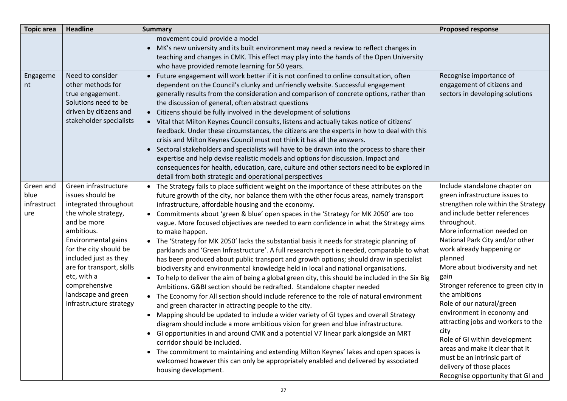| <b>Topic area</b>                       | <b>Headline</b>                                                                                                                                                                                                                                                                                                | <b>Summary</b>                                                                                                                                                                                                                                                                                                                                                                                                                                                                                                                                                                                                                                                                                                                                                                                                                                                                                                                                                                                                                                                                                                                                                                                                                                                                                                                                                                                                                                                                                                                                                                                                                                                                                                          | <b>Proposed response</b>                                                                                                                                                                                                                                                                                                                                                                                                                                                                                                                                                                                                                         |
|-----------------------------------------|----------------------------------------------------------------------------------------------------------------------------------------------------------------------------------------------------------------------------------------------------------------------------------------------------------------|-------------------------------------------------------------------------------------------------------------------------------------------------------------------------------------------------------------------------------------------------------------------------------------------------------------------------------------------------------------------------------------------------------------------------------------------------------------------------------------------------------------------------------------------------------------------------------------------------------------------------------------------------------------------------------------------------------------------------------------------------------------------------------------------------------------------------------------------------------------------------------------------------------------------------------------------------------------------------------------------------------------------------------------------------------------------------------------------------------------------------------------------------------------------------------------------------------------------------------------------------------------------------------------------------------------------------------------------------------------------------------------------------------------------------------------------------------------------------------------------------------------------------------------------------------------------------------------------------------------------------------------------------------------------------------------------------------------------------|--------------------------------------------------------------------------------------------------------------------------------------------------------------------------------------------------------------------------------------------------------------------------------------------------------------------------------------------------------------------------------------------------------------------------------------------------------------------------------------------------------------------------------------------------------------------------------------------------------------------------------------------------|
|                                         |                                                                                                                                                                                                                                                                                                                | movement could provide a model<br>• MK's new university and its built environment may need a review to reflect changes in<br>teaching and changes in CMK. This effect may play into the hands of the Open University<br>who have provided remote learning for 50 years.                                                                                                                                                                                                                                                                                                                                                                                                                                                                                                                                                                                                                                                                                                                                                                                                                                                                                                                                                                                                                                                                                                                                                                                                                                                                                                                                                                                                                                                 |                                                                                                                                                                                                                                                                                                                                                                                                                                                                                                                                                                                                                                                  |
| Engageme<br>nt                          | Need to consider<br>other methods for<br>true engagement.<br>Solutions need to be<br>driven by citizens and<br>stakeholder specialists                                                                                                                                                                         | • Future engagement will work better if it is not confined to online consultation, often<br>dependent on the Council's clunky and unfriendly website. Successful engagement<br>generally results from the consideration and comparison of concrete options, rather than<br>the discussion of general, often abstract questions<br>• Citizens should be fully involved in the development of solutions<br>• Vital that Milton Keynes Council consults, listens and actually takes notice of citizens'<br>feedback. Under these circumstances, the citizens are the experts in how to deal with this<br>crisis and Milton Keynes Council must not think it has all the answers.<br>• Sectoral stakeholders and specialists will have to be drawn into the process to share their<br>expertise and help devise realistic models and options for discussion. Impact and<br>consequences for health, education, care, culture and other sectors need to be explored in<br>detail from both strategic and operational perspectives                                                                                                                                                                                                                                                                                                                                                                                                                                                                                                                                                                                                                                                                                            | Recognise importance of<br>engagement of citizens and<br>sectors in developing solutions                                                                                                                                                                                                                                                                                                                                                                                                                                                                                                                                                         |
| Green and<br>blue<br>infrastruct<br>ure | Green infrastructure<br>issues should be<br>integrated throughout<br>the whole strategy,<br>and be more<br>ambitious.<br>Environmental gains<br>for the city should be<br>included just as they<br>are for transport, skills<br>etc, with a<br>comprehensive<br>landscape and green<br>infrastructure strategy | The Strategy fails to place sufficient weight on the importance of these attributes on the<br>$\bullet$<br>future growth of the city, nor balance them with the other focus areas, namely transport<br>infrastructure, affordable housing and the economy.<br>Commitments about 'green & blue' open spaces in the 'Strategy for MK 2050' are too<br>$\bullet$<br>vague. More focused objectives are needed to earn confidence in what the Strategy aims<br>to make happen.<br>• The 'Strategy for MK 2050' lacks the substantial basis it needs for strategic planning of<br>parklands and 'Green Infrastructure'. A full research report is needed, comparable to what<br>has been produced about public transport and growth options; should draw in specialist<br>biodiversity and environmental knowledge held in local and national organisations.<br>• To help to deliver the aim of being a global green city, this should be included in the Six Big<br>Ambitions. G&BI section should be redrafted. Standalone chapter needed<br>• The Economy for All section should include reference to the role of natural environment<br>and green character in attracting people to the city.<br>Mapping should be updated to include a wider variety of GI types and overall Strategy<br>$\bullet$<br>diagram should include a more ambitious vision for green and blue infrastructure.<br>• Gl opportunities in and around CMK and a potential V7 linear park alongside an MRT<br>corridor should be included.<br>• The commitment to maintaining and extending Milton Keynes' lakes and open spaces is<br>welcomed however this can only be appropriately enabled and delivered by associated<br>housing development. | Include standalone chapter on<br>green infrastructure issues to<br>strengthen role within the Strategy<br>and include better references<br>throughout.<br>More information needed on<br>National Park City and/or other<br>work already happening or<br>planned<br>More about biodiversity and net<br>gain<br>Stronger reference to green city in<br>the ambitions<br>Role of our natural/green<br>environment in economy and<br>attracting jobs and workers to the<br>city<br>Role of GI within development<br>areas and make it clear that it<br>must be an intrinsic part of<br>delivery of those places<br>Recognise opportunity that GI and |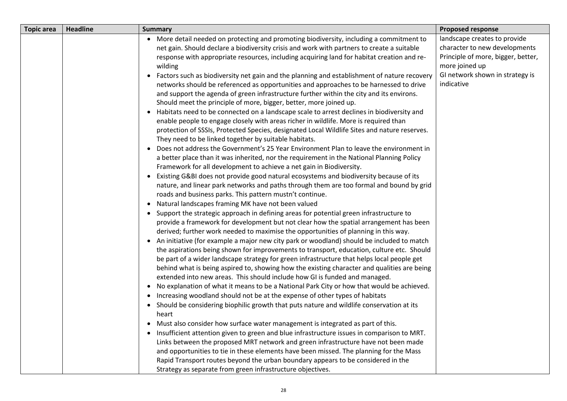| <b>Topic area</b> | <b>Headline</b> | <b>Summary</b>                                                                                                                                                                                                                                                                                                                                                                                                                                                                                                                                                                                                                                                                                                                                                                                                                                  | <b>Proposed response</b>                                                                                                                                               |
|-------------------|-----------------|-------------------------------------------------------------------------------------------------------------------------------------------------------------------------------------------------------------------------------------------------------------------------------------------------------------------------------------------------------------------------------------------------------------------------------------------------------------------------------------------------------------------------------------------------------------------------------------------------------------------------------------------------------------------------------------------------------------------------------------------------------------------------------------------------------------------------------------------------|------------------------------------------------------------------------------------------------------------------------------------------------------------------------|
|                   |                 | • More detail needed on protecting and promoting biodiversity, including a commitment to<br>net gain. Should declare a biodiversity crisis and work with partners to create a suitable<br>response with appropriate resources, including acquiring land for habitat creation and re-<br>wilding<br>Factors such as biodiversity net gain and the planning and establishment of nature recovery<br>networks should be referenced as opportunities and approaches to be harnessed to drive<br>and support the agenda of green infrastructure further within the city and its environs.<br>Should meet the principle of more, bigger, better, more joined up.<br>Habitats need to be connected on a landscape scale to arrest declines in biodiversity and<br>enable people to engage closely with areas richer in wildlife. More is required than | landscape creates to provide<br>character to new developments<br>Principle of more, bigger, better,<br>more joined up<br>GI network shown in strategy is<br>indicative |
|                   |                 | protection of SSSIs, Protected Species, designated Local Wildlife Sites and nature reserves.<br>They need to be linked together by suitable habitats.<br>• Does not address the Government's 25 Year Environment Plan to leave the environment in<br>a better place than it was inherited, nor the requirement in the National Planning Policy<br>Framework for all development to achieve a net gain in Biodiversity.<br>• Existing G&BI does not provide good natural ecosystems and biodiversity because of its<br>nature, and linear park networks and paths through them are too formal and bound by grid<br>roads and business parks. This pattern mustn't continue.<br>• Natural landscapes framing MK have not been valued                                                                                                              |                                                                                                                                                                        |
|                   |                 | • Support the strategic approach in defining areas for potential green infrastructure to<br>provide a framework for development but not clear how the spatial arrangement has been<br>derived; further work needed to maximise the opportunities of planning in this way.<br>• An initiative (for example a major new city park or woodland) should be included to match<br>the aspirations being shown for improvements to transport, education, culture etc. Should<br>be part of a wider landscape strategy for green infrastructure that helps local people get<br>behind what is being aspired to, showing how the existing character and qualities are being<br>extended into new areas. This should include how GI is funded and managed.<br>• No explanation of what it means to be a National Park City or how that would be achieved. |                                                                                                                                                                        |
|                   |                 | • Increasing woodland should not be at the expense of other types of habitats<br>• Should be considering biophilic growth that puts nature and wildlife conservation at its<br>heart<br>Must also consider how surface water management is integrated as part of this.<br>Insufficient attention given to green and blue infrastructure issues in comparison to MRT.<br>Links between the proposed MRT network and green infrastructure have not been made<br>and opportunities to tie in these elements have been missed. The planning for the Mass<br>Rapid Transport routes beyond the urban boundary appears to be considered in the<br>Strategy as separate from green infrastructure objectives.                                                                                                                                          |                                                                                                                                                                        |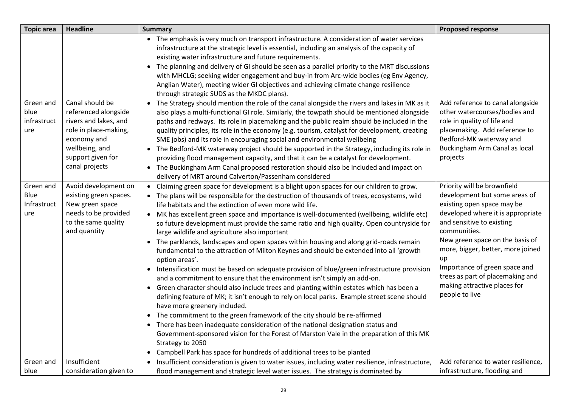| <b>Topic area</b>                       | <b>Headline</b>                                                                                                                                                   | <b>Summary</b>                                                                                                                                                                                                                                                                                                                                                                                                                                                                                                                                                                                                                                                                                                                                                                                                                                                                                                                                                                                                                                                                                                                                                                                                                                                                                                                                                                                                                                                        | <b>Proposed response</b>                                                                                                                                                                                                                                                                                                                                                          |
|-----------------------------------------|-------------------------------------------------------------------------------------------------------------------------------------------------------------------|-----------------------------------------------------------------------------------------------------------------------------------------------------------------------------------------------------------------------------------------------------------------------------------------------------------------------------------------------------------------------------------------------------------------------------------------------------------------------------------------------------------------------------------------------------------------------------------------------------------------------------------------------------------------------------------------------------------------------------------------------------------------------------------------------------------------------------------------------------------------------------------------------------------------------------------------------------------------------------------------------------------------------------------------------------------------------------------------------------------------------------------------------------------------------------------------------------------------------------------------------------------------------------------------------------------------------------------------------------------------------------------------------------------------------------------------------------------------------|-----------------------------------------------------------------------------------------------------------------------------------------------------------------------------------------------------------------------------------------------------------------------------------------------------------------------------------------------------------------------------------|
|                                         |                                                                                                                                                                   | • The emphasis is very much on transport infrastructure. A consideration of water services<br>infrastructure at the strategic level is essential, including an analysis of the capacity of<br>existing water infrastructure and future requirements.<br>• The planning and delivery of GI should be seen as a parallel priority to the MRT discussions<br>with MHCLG; seeking wider engagement and buy-in from Arc-wide bodies (eg Env Agency,<br>Anglian Water), meeting wider GI objectives and achieving climate change resilience<br>through strategic SUDS as the MKDC plans).                                                                                                                                                                                                                                                                                                                                                                                                                                                                                                                                                                                                                                                                                                                                                                                                                                                                                   |                                                                                                                                                                                                                                                                                                                                                                                   |
| Green and<br>blue<br>infrastruct<br>ure | Canal should be<br>referenced alongside<br>rivers and lakes, and<br>role in place-making,<br>economy and<br>wellbeing, and<br>support given for<br>canal projects | • The Strategy should mention the role of the canal alongside the rivers and lakes in MK as it<br>also plays a multi-functional GI role. Similarly, the towpath should be mentioned alongside<br>paths and redways. Its role in placemaking and the public realm should be included in the<br>quality principles, its role in the economy (e.g. tourism, catalyst for development, creating<br>SME jobs) and its role in encouraging social and environmental wellbeing<br>• The Bedford-MK waterway project should be supported in the Strategy, including its role in<br>providing flood management capacity, and that it can be a catalyst for development.<br>• The Buckingham Arm Canal proposed restoration should also be included and impact on<br>delivery of MRT around Calverton/Passenham considered                                                                                                                                                                                                                                                                                                                                                                                                                                                                                                                                                                                                                                                      | Add reference to canal alongside<br>other watercourses/bodies and<br>role in quality of life and<br>placemaking. Add reference to<br>Bedford-MK waterway and<br>Buckingham Arm Canal as local<br>projects                                                                                                                                                                         |
| Green and<br>Blue<br>Infrastruct<br>ure | Avoid development on<br>existing green spaces.<br>New green space<br>needs to be provided<br>to the same quality<br>and quantity                                  | • Claiming green space for development is a blight upon spaces for our children to grow.<br>• The plans will be responsible for the destruction of thousands of trees, ecosystems, wild<br>life habitats and the extinction of even more wild life.<br>• MK has excellent green space and importance is well-documented (wellbeing, wildlife etc)<br>so future development must provide the same ratio and high quality. Open countryside for<br>large wildlife and agriculture also important<br>• The parklands, landscapes and open spaces within housing and along grid-roads remain<br>fundamental to the attraction of Milton Keynes and should be extended into all 'growth<br>option areas'.<br>• Intensification must be based on adequate provision of blue/green infrastructure provision<br>and a commitment to ensure that the environment isn't simply an add-on.<br>• Green character should also include trees and planting within estates which has been a<br>defining feature of MK; it isn't enough to rely on local parks. Example street scene should<br>have more greenery included.<br>• The commitment to the green framework of the city should be re-affirmed<br>• There has been inadequate consideration of the national designation status and<br>Government-sponsored vision for the Forest of Marston Vale in the preparation of this MK<br>Strategy to 2050<br>Campbell Park has space for hundreds of additional trees to be planted | Priority will be brownfield<br>development but some areas of<br>existing open space may be<br>developed where it is appropriate<br>and sensitive to existing<br>communities.<br>New green space on the basis of<br>more, bigger, better, more joined<br>up<br>Importance of green space and<br>trees as part of placemaking and<br>making attractive places for<br>people to live |
| Green and<br>blue                       | Insufficient<br>consideration given to                                                                                                                            | Insufficient consideration is given to water issues, including water resilience, infrastructure,<br>$\bullet$<br>flood management and strategic level water issues. The strategy is dominated by                                                                                                                                                                                                                                                                                                                                                                                                                                                                                                                                                                                                                                                                                                                                                                                                                                                                                                                                                                                                                                                                                                                                                                                                                                                                      | Add reference to water resilience,<br>infrastructure, flooding and                                                                                                                                                                                                                                                                                                                |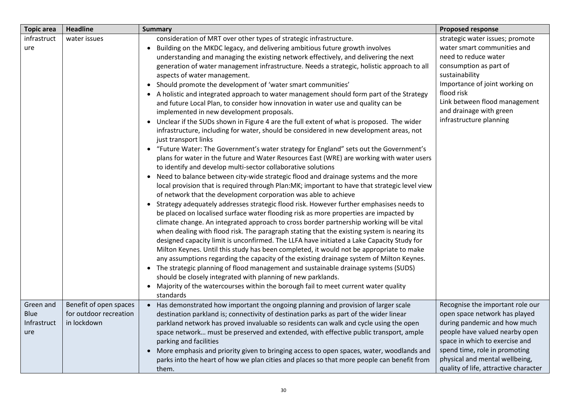| <b>Topic area</b>                       | <b>Headline</b>                                                 | <b>Summary</b>                                                                                                                                                                                                                                                                                                                                                                                                                                                                                                                                                                                                                                                                                                                                                                                                                                                                                                                                                                                                                                                                                                                                                                                                                                                                                                                                                                                                                                                                                                                                                                                                                                                                                                                                                                                                                                                                                                                                                                                                                                                                                                                                                                                                                                                                                                                                   | <b>Proposed response</b>                                                                                                                                                                                                                                                          |
|-----------------------------------------|-----------------------------------------------------------------|--------------------------------------------------------------------------------------------------------------------------------------------------------------------------------------------------------------------------------------------------------------------------------------------------------------------------------------------------------------------------------------------------------------------------------------------------------------------------------------------------------------------------------------------------------------------------------------------------------------------------------------------------------------------------------------------------------------------------------------------------------------------------------------------------------------------------------------------------------------------------------------------------------------------------------------------------------------------------------------------------------------------------------------------------------------------------------------------------------------------------------------------------------------------------------------------------------------------------------------------------------------------------------------------------------------------------------------------------------------------------------------------------------------------------------------------------------------------------------------------------------------------------------------------------------------------------------------------------------------------------------------------------------------------------------------------------------------------------------------------------------------------------------------------------------------------------------------------------------------------------------------------------------------------------------------------------------------------------------------------------------------------------------------------------------------------------------------------------------------------------------------------------------------------------------------------------------------------------------------------------------------------------------------------------------------------------------------------------|-----------------------------------------------------------------------------------------------------------------------------------------------------------------------------------------------------------------------------------------------------------------------------------|
| infrastruct<br>ure                      | water issues                                                    | consideration of MRT over other types of strategic infrastructure.<br>Building on the MKDC legacy, and delivering ambitious future growth involves<br>understanding and managing the existing network effectively, and delivering the next<br>generation of water management infrastructure. Needs a strategic, holistic approach to all<br>aspects of water management.<br>• Should promote the development of 'water smart communities'<br>• A holistic and integrated approach to water management should form part of the Strategy<br>and future Local Plan, to consider how innovation in water use and quality can be<br>implemented in new development proposals.<br>• Unclear if the SUDs shown in Figure 4 are the full extent of what is proposed. The wider<br>infrastructure, including for water, should be considered in new development areas, not<br>just transport links<br>• "Future Water: The Government's water strategy for England" sets out the Government's<br>plans for water in the future and Water Resources East (WRE) are working with water users<br>to identify and develop multi-sector collaborative solutions<br>• Need to balance between city-wide strategic flood and drainage systems and the more<br>local provision that is required through Plan:MK; important to have that strategic level view<br>of network that the development corporation was able to achieve<br>• Strategy adequately addresses strategic flood risk. However further emphasises needs to<br>be placed on localised surface water flooding risk as more properties are impacted by<br>climate change. An integrated approach to cross border partnership working will be vital<br>when dealing with flood risk. The paragraph stating that the existing system is nearing its<br>designed capacity limit is unconfirmed. The LLFA have initiated a Lake Capacity Study for<br>Milton Keynes. Until this study has been completed, it would not be appropriate to make<br>any assumptions regarding the capacity of the existing drainage system of Milton Keynes.<br>• The strategic planning of flood management and sustainable drainage systems (SUDS)<br>should be closely integrated with planning of new parklands.<br>• Majority of the watercourses within the borough fail to meet current water quality<br>standards | strategic water issues; promote<br>water smart communities and<br>need to reduce water<br>consumption as part of<br>sustainability<br>Importance of joint working on<br>flood risk<br>Link between flood management<br>and drainage with green<br>infrastructure planning         |
| Green and<br>Blue<br>Infrastruct<br>ure | Benefit of open spaces<br>for outdoor recreation<br>in lockdown | Has demonstrated how important the ongoing planning and provision of larger scale<br>$\bullet$<br>destination parkland is; connectivity of destination parks as part of the wider linear<br>parkland network has proved invaluable so residents can walk and cycle using the open<br>space network must be preserved and extended, with effective public transport, ample<br>parking and facilities<br>• More emphasis and priority given to bringing access to open spaces, water, woodlands and<br>parks into the heart of how we plan cities and places so that more people can benefit from<br>them.                                                                                                                                                                                                                                                                                                                                                                                                                                                                                                                                                                                                                                                                                                                                                                                                                                                                                                                                                                                                                                                                                                                                                                                                                                                                                                                                                                                                                                                                                                                                                                                                                                                                                                                                         | Recognise the important role our<br>open space network has played<br>during pandemic and how much<br>people have valued nearby open<br>space in which to exercise and<br>spend time, role in promoting<br>physical and mental wellbeing,<br>quality of life, attractive character |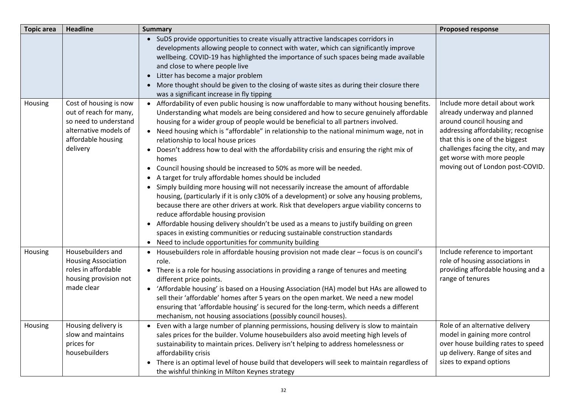| <b>Topic area</b> | <b>Headline</b>                                                                                                                      | <b>Summary</b>                                                                                                                                                                                                                                                                                                                                                                                                                                                                                                                                                                                                                                                                                                                                                                                                                                                                                                                                                                                                                                                                                                                                                                                                                  | <b>Proposed response</b>                                                                                                                                                                                                                                                        |
|-------------------|--------------------------------------------------------------------------------------------------------------------------------------|---------------------------------------------------------------------------------------------------------------------------------------------------------------------------------------------------------------------------------------------------------------------------------------------------------------------------------------------------------------------------------------------------------------------------------------------------------------------------------------------------------------------------------------------------------------------------------------------------------------------------------------------------------------------------------------------------------------------------------------------------------------------------------------------------------------------------------------------------------------------------------------------------------------------------------------------------------------------------------------------------------------------------------------------------------------------------------------------------------------------------------------------------------------------------------------------------------------------------------|---------------------------------------------------------------------------------------------------------------------------------------------------------------------------------------------------------------------------------------------------------------------------------|
|                   |                                                                                                                                      | • SuDS provide opportunities to create visually attractive landscapes corridors in<br>developments allowing people to connect with water, which can significantly improve<br>wellbeing. COVID-19 has highlighted the importance of such spaces being made available<br>and close to where people live<br>Litter has become a major problem<br>More thought should be given to the closing of waste sites as during their closure there<br>was a significant increase in fly tipping                                                                                                                                                                                                                                                                                                                                                                                                                                                                                                                                                                                                                                                                                                                                             |                                                                                                                                                                                                                                                                                 |
| Housing           | Cost of housing is now<br>out of reach for many,<br>so need to understand<br>alternative models of<br>affordable housing<br>delivery | • Affordability of even public housing is now unaffordable to many without housing benefits.<br>Understanding what models are being considered and how to secure genuinely affordable<br>housing for a wider group of people would be beneficial to all partners involved.<br>• Need housing which is "affordable" in relationship to the national minimum wage, not in<br>relationship to local house prices<br>Doesn't address how to deal with the affordability crisis and ensuring the right mix of<br>homes<br>Council housing should be increased to 50% as more will be needed.<br>• A target for truly affordable homes should be included<br>Simply building more housing will not necessarily increase the amount of affordable<br>$\bullet$<br>housing, (particularly if it is only c30% of a development) or solve any housing problems,<br>because there are other drivers at work. Risk that developers argue viability concerns to<br>reduce affordable housing provision<br>• Affordable housing delivery shouldn't be used as a means to justify building on green<br>spaces in existing communities or reducing sustainable construction standards<br>• Need to include opportunities for community building | Include more detail about work<br>already underway and planned<br>around council housing and<br>addressing affordability; recognise<br>that this is one of the biggest<br>challenges facing the city, and may<br>get worse with more people<br>moving out of London post-COVID. |
| Housing           | Housebuilders and<br><b>Housing Association</b><br>roles in affordable<br>housing provision not<br>made clear                        | • Housebuilders role in affordable housing provision not made clear - focus is on council's<br>role.<br>• There is a role for housing associations in providing a range of tenures and meeting<br>different price points.<br>• 'Affordable housing' is based on a Housing Association (HA) model but HAs are allowed to<br>sell their 'affordable' homes after 5 years on the open market. We need a new model<br>ensuring that 'affordable housing' is secured for the long-term, which needs a different<br>mechanism, not housing associations (possibly council houses).                                                                                                                                                                                                                                                                                                                                                                                                                                                                                                                                                                                                                                                    | Include reference to important<br>role of housing associations in<br>providing affordable housing and a<br>range of tenures                                                                                                                                                     |
| Housing           | Housing delivery is<br>slow and maintains<br>prices for<br>housebuilders                                                             | Even with a large number of planning permissions, housing delivery is slow to maintain<br>sales prices for the builder. Volume housebuilders also avoid meeting high levels of<br>sustainability to maintain prices. Delivery isn't helping to address homelessness or<br>affordability crisis<br>There is an optimal level of house build that developers will seek to maintain regardless of<br>$\bullet$<br>the wishful thinking in Milton Keynes strategy                                                                                                                                                                                                                                                                                                                                                                                                                                                                                                                                                                                                                                                                                                                                                                   | Role of an alternative delivery<br>model in gaining more control<br>over house building rates to speed<br>up delivery. Range of sites and<br>sizes to expand options                                                                                                            |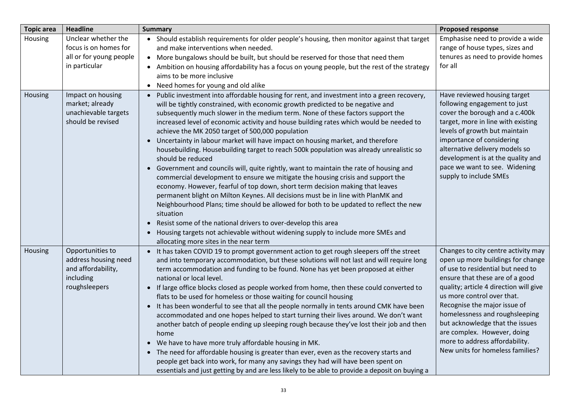| <b>Topic area</b> | <b>Headline</b>                                                                              | <b>Summary</b>                                                                                                                                                                                                                                                                                                                                                                                                                                                                                                                                                                                                                                                                                                                                                                                                                                                                                                                                                                                                                                                                                                                                                                                                                                                                                                                      | <b>Proposed response</b>                                                                                                                                                                                                                                                                                                                                                                                                           |
|-------------------|----------------------------------------------------------------------------------------------|-------------------------------------------------------------------------------------------------------------------------------------------------------------------------------------------------------------------------------------------------------------------------------------------------------------------------------------------------------------------------------------------------------------------------------------------------------------------------------------------------------------------------------------------------------------------------------------------------------------------------------------------------------------------------------------------------------------------------------------------------------------------------------------------------------------------------------------------------------------------------------------------------------------------------------------------------------------------------------------------------------------------------------------------------------------------------------------------------------------------------------------------------------------------------------------------------------------------------------------------------------------------------------------------------------------------------------------|------------------------------------------------------------------------------------------------------------------------------------------------------------------------------------------------------------------------------------------------------------------------------------------------------------------------------------------------------------------------------------------------------------------------------------|
| Housing           | Unclear whether the<br>focus is on homes for<br>all or for young people<br>in particular     | • Should establish requirements for older people's housing, then monitor against that target<br>and make interventions when needed.<br>• More bungalows should be built, but should be reserved for those that need them<br>Ambition on housing affordability has a focus on young people, but the rest of the strategy<br>$\bullet$<br>aims to be more inclusive<br>• Need homes for young and old alike                                                                                                                                                                                                                                                                                                                                                                                                                                                                                                                                                                                                                                                                                                                                                                                                                                                                                                                           | Emphasise need to provide a wide<br>range of house types, sizes and<br>tenures as need to provide homes<br>for all                                                                                                                                                                                                                                                                                                                 |
| Housing           | Impact on housing<br>market; already<br>unachievable targets<br>should be revised            | Public investment into affordable housing for rent, and investment into a green recovery,<br>$\bullet$<br>will be tightly constrained, with economic growth predicted to be negative and<br>subsequently much slower in the medium term. None of these factors support the<br>increased level of economic activity and house building rates which would be needed to<br>achieve the MK 2050 target of 500,000 population<br>Uncertainty in labour market will have impact on housing market, and therefore<br>$\bullet$<br>housebuilding. Housebuilding target to reach 500k population was already unrealistic so<br>should be reduced<br>Government and councils will, quite rightly, want to maintain the rate of housing and<br>$\bullet$<br>commercial development to ensure we mitigate the housing crisis and support the<br>economy. However, fearful of top down, short term decision making that leaves<br>permanent blight on Milton Keynes. All decisions must be in line with PlanMK and<br>Neighbourhood Plans; time should be allowed for both to be updated to reflect the new<br>situation<br>Resist some of the national drivers to over-develop this area<br>$\bullet$<br>Housing targets not achievable without widening supply to include more SMEs and<br>$\bullet$<br>allocating more sites in the near term | Have reviewed housing target<br>following engagement to just<br>cover the borough and a c.400k<br>target, more in line with existing<br>levels of growth but maintain<br>importance of considering<br>alternative delivery models so<br>development is at the quality and<br>pace we want to see. Widening<br>supply to include SMEs                                                                                               |
| Housing           | Opportunities to<br>address housing need<br>and affordability,<br>including<br>roughsleepers | • It has taken COVID 19 to prompt government action to get rough sleepers off the street<br>and into temporary accommodation, but these solutions will not last and will require long<br>term accommodation and funding to be found. None has yet been proposed at either<br>national or local level.<br>• If large office blocks closed as people worked from home, then these could converted to<br>flats to be used for homeless or those waiting for council housing<br>• It has been wonderful to see that all the people normally in tents around CMK have been<br>accommodated and one hopes helped to start turning their lives around. We don't want<br>another batch of people ending up sleeping rough because they've lost their job and then<br>home<br>• We have to have more truly affordable housing in MK.<br>• The need for affordable housing is greater than ever, even as the recovery starts and<br>people get back into work, for many any savings they had will have been spent on<br>essentials and just getting by and are less likely to be able to provide a deposit on buying a                                                                                                                                                                                                                        | Changes to city centre activity may<br>open up more buildings for change<br>of use to residential but need to<br>ensure that these are of a good<br>quality; article 4 direction will give<br>us more control over that.<br>Recognise the major issue of<br>homelessness and roughsleeping<br>but acknowledge that the issues<br>are complex. However, doing<br>more to address affordability.<br>New units for homeless families? |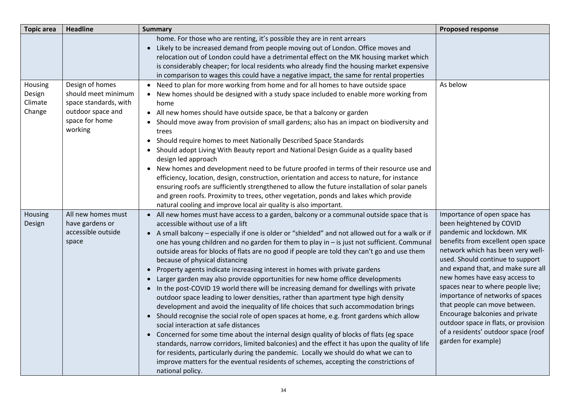| <b>Topic area</b>                      | <b>Headline</b>                                                                                                   | <b>Summary</b>                                                                                                                                                                                                                                                                                                                                                                                                                                                                                                                                                                                                                                                                                                                                                                                                                                                                                                                                                                                                                                                                                                                                                                                                                                                                                                                                                                                                                                       | <b>Proposed response</b>                                                                                                                                                                                                                                                                                                                                                                                                                                                                                                       |
|----------------------------------------|-------------------------------------------------------------------------------------------------------------------|------------------------------------------------------------------------------------------------------------------------------------------------------------------------------------------------------------------------------------------------------------------------------------------------------------------------------------------------------------------------------------------------------------------------------------------------------------------------------------------------------------------------------------------------------------------------------------------------------------------------------------------------------------------------------------------------------------------------------------------------------------------------------------------------------------------------------------------------------------------------------------------------------------------------------------------------------------------------------------------------------------------------------------------------------------------------------------------------------------------------------------------------------------------------------------------------------------------------------------------------------------------------------------------------------------------------------------------------------------------------------------------------------------------------------------------------------|--------------------------------------------------------------------------------------------------------------------------------------------------------------------------------------------------------------------------------------------------------------------------------------------------------------------------------------------------------------------------------------------------------------------------------------------------------------------------------------------------------------------------------|
|                                        |                                                                                                                   | home. For those who are renting, it's possible they are in rent arrears<br>• Likely to be increased demand from people moving out of London. Office moves and<br>relocation out of London could have a detrimental effect on the MK housing market which<br>is considerably cheaper; for local residents who already find the housing market expensive<br>in comparison to wages this could have a negative impact, the same for rental properties                                                                                                                                                                                                                                                                                                                                                                                                                                                                                                                                                                                                                                                                                                                                                                                                                                                                                                                                                                                                   |                                                                                                                                                                                                                                                                                                                                                                                                                                                                                                                                |
| Housing<br>Design<br>Climate<br>Change | Design of homes<br>should meet minimum<br>space standards, with<br>outdoor space and<br>space for home<br>working | Need to plan for more working from home and for all homes to have outside space<br>• New homes should be designed with a study space included to enable more working from<br>home<br>• All new homes should have outside space, be that a balcony or garden<br>Should move away from provision of small gardens; also has an impact on biodiversity and<br>trees<br>Should require homes to meet Nationally Described Space Standards<br>• Should adopt Living With Beauty report and National Design Guide as a quality based<br>design led approach<br>• New homes and development need to be future proofed in terms of their resource use and<br>efficiency, location, design, construction, orientation and access to nature, for instance<br>ensuring roofs are sufficiently strengthened to allow the future installation of solar panels<br>and green roofs. Proximity to trees, other vegetation, ponds and lakes which provide<br>natural cooling and improve local air quality is also important.                                                                                                                                                                                                                                                                                                                                                                                                                                         | As below                                                                                                                                                                                                                                                                                                                                                                                                                                                                                                                       |
| Housing<br>Design                      | All new homes must<br>have gardens or<br>accessible outside<br>space                                              | • All new homes must have access to a garden, balcony or a communal outside space that is<br>accessible without use of a lift<br>• A small balcony - especially if one is older or "shielded" and not allowed out for a walk or if<br>one has young children and no garden for them to play in - is just not sufficient. Communal<br>outside areas for blocks of flats are no good if people are told they can't go and use them<br>because of physical distancing<br>• Property agents indicate increasing interest in homes with private gardens<br>• Larger garden may also provide opportunities for new home office developments<br>• In the post-COVID 19 world there will be increasing demand for dwellings with private<br>outdoor space leading to lower densities, rather than apartment type high density<br>development and avoid the inequality of life choices that such accommodation brings<br>• Should recognise the social role of open spaces at home, e.g. front gardens which allow<br>social interaction at safe distances<br>• Concerned for some time about the internal design quality of blocks of flats (eg space<br>standards, narrow corridors, limited balconies) and the effect it has upon the quality of life<br>for residents, particularly during the pandemic. Locally we should do what we can to<br>improve matters for the eventual residents of schemes, accepting the constrictions of<br>national policy. | Importance of open space has<br>been heightened by COVID<br>pandemic and lockdown. MK<br>benefits from excellent open space<br>network which has been very well-<br>used. Should continue to support<br>and expand that, and make sure all<br>new homes have easy access to<br>spaces near to where people live;<br>importance of networks of spaces<br>that people can move between.<br>Encourage balconies and private<br>outdoor space in flats, or provision<br>of a residents' outdoor space (roof<br>garden for example) |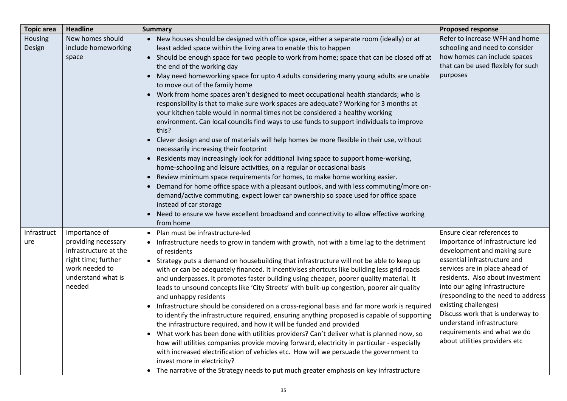| <b>Topic area</b>  | <b>Headline</b>                                                                                                                        | <b>Summary</b>                                                                                                                                                                                                                                                                                                                                                                                                                                                                                                                                                                                                                                                                                                                                                                                                                                                                                                                                                                                                                                                                                                                                                                                                                                                                                                                                                                                                                                                                                                              | <b>Proposed response</b>                                                                                                                                                                                                                                                                                                                                                                                                            |
|--------------------|----------------------------------------------------------------------------------------------------------------------------------------|-----------------------------------------------------------------------------------------------------------------------------------------------------------------------------------------------------------------------------------------------------------------------------------------------------------------------------------------------------------------------------------------------------------------------------------------------------------------------------------------------------------------------------------------------------------------------------------------------------------------------------------------------------------------------------------------------------------------------------------------------------------------------------------------------------------------------------------------------------------------------------------------------------------------------------------------------------------------------------------------------------------------------------------------------------------------------------------------------------------------------------------------------------------------------------------------------------------------------------------------------------------------------------------------------------------------------------------------------------------------------------------------------------------------------------------------------------------------------------------------------------------------------------|-------------------------------------------------------------------------------------------------------------------------------------------------------------------------------------------------------------------------------------------------------------------------------------------------------------------------------------------------------------------------------------------------------------------------------------|
| Housing<br>Design  | New homes should<br>include homeworking<br>space                                                                                       | • New houses should be designed with office space, either a separate room (ideally) or at<br>least added space within the living area to enable this to happen<br>• Should be enough space for two people to work from home; space that can be closed off at<br>the end of the working day<br>• May need homeworking space for upto 4 adults considering many young adults are unable<br>to move out of the family home<br>• Work from home spaces aren't designed to meet occupational health standards; who is<br>responsibility is that to make sure work spaces are adequate? Working for 3 months at<br>your kitchen table would in normal times not be considered a healthy working<br>environment. Can local councils find ways to use funds to support individuals to improve<br>this?<br>• Clever design and use of materials will help homes be more flexible in their use, without<br>necessarily increasing their footprint<br>Residents may increasingly look for additional living space to support home-working,<br>$\bullet$<br>home-schooling and leisure activities, on a regular or occasional basis<br>• Review minimum space requirements for homes, to make home working easier.<br>• Demand for home office space with a pleasant outlook, and with less commuting/more on-<br>demand/active commuting, expect lower car ownership so space used for office space<br>instead of car storage<br>• Need to ensure we have excellent broadband and connectivity to allow effective working<br>from home | Refer to increase WFH and home<br>schooling and need to consider<br>how homes can include spaces<br>that can be used flexibly for such<br>purposes                                                                                                                                                                                                                                                                                  |
| Infrastruct<br>ure | Importance of<br>providing necessary<br>infrastructure at the<br>right time; further<br>work needed to<br>understand what is<br>needed | • Plan must be infrastructure-led<br>• Infrastructure needs to grow in tandem with growth, not with a time lag to the detriment<br>of residents<br>• Strategy puts a demand on housebuilding that infrastructure will not be able to keep up<br>with or can be adequately financed. It incentivises shortcuts like building less grid roads<br>and underpasses. It promotes faster building using cheaper, poorer quality material. It<br>leads to unsound concepts like 'City Streets' with built-up congestion, poorer air quality<br>and unhappy residents<br>• Infrastructure should be considered on a cross-regional basis and far more work is required<br>to identify the infrastructure required, ensuring anything proposed is capable of supporting<br>the infrastructure required, and how it will be funded and provided<br>What work has been done with utilities providers? Can't deliver what is planned now, so<br>$\bullet$<br>how will utilities companies provide moving forward, electricity in particular - especially<br>with increased electrification of vehicles etc. How will we persuade the government to<br>invest more in electricity?<br>• The narrative of the Strategy needs to put much greater emphasis on key infrastructure                                                                                                                                                                                                                                                           | Ensure clear references to<br>importance of infrastructure led<br>development and making sure<br>essential infrastructure and<br>services are in place ahead of<br>residents. Also about investment<br>into our aging infrastructure<br>(responding to the need to address<br>existing challenges)<br>Discuss work that is underway to<br>understand infrastructure<br>requirements and what we do<br>about utilities providers etc |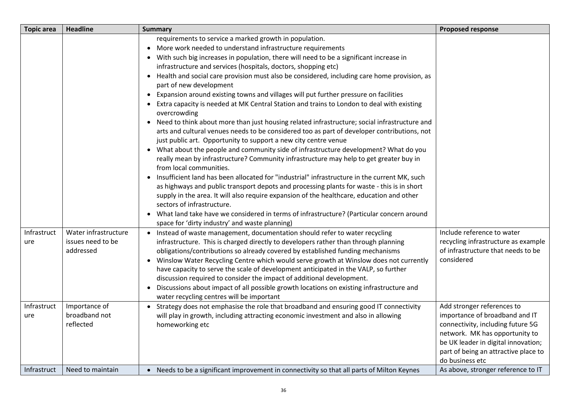| <b>Topic area</b>  | <b>Headline</b>                                        | <b>Summary</b>                                                                                                                                                                                                                                                                                                                                                                                                                                                                                                                                                                                                                                                                                                                                                                                                                                                                                                                                                                                                                                                                                                                                                                                                                                                                                                                                                                                                                                                                                                                                                                         | <b>Proposed response</b>                                                                                                                                                                                                              |
|--------------------|--------------------------------------------------------|----------------------------------------------------------------------------------------------------------------------------------------------------------------------------------------------------------------------------------------------------------------------------------------------------------------------------------------------------------------------------------------------------------------------------------------------------------------------------------------------------------------------------------------------------------------------------------------------------------------------------------------------------------------------------------------------------------------------------------------------------------------------------------------------------------------------------------------------------------------------------------------------------------------------------------------------------------------------------------------------------------------------------------------------------------------------------------------------------------------------------------------------------------------------------------------------------------------------------------------------------------------------------------------------------------------------------------------------------------------------------------------------------------------------------------------------------------------------------------------------------------------------------------------------------------------------------------------|---------------------------------------------------------------------------------------------------------------------------------------------------------------------------------------------------------------------------------------|
|                    |                                                        | requirements to service a marked growth in population.<br>• More work needed to understand infrastructure requirements<br>• With such big increases in population, there will need to be a significant increase in<br>infrastructure and services (hospitals, doctors, shopping etc)<br>• Health and social care provision must also be considered, including care home provision, as<br>part of new development<br>• Expansion around existing towns and villages will put further pressure on facilities<br>• Extra capacity is needed at MK Central Station and trains to London to deal with existing<br>overcrowding<br>• Need to think about more than just housing related infrastructure; social infrastructure and<br>arts and cultural venues needs to be considered too as part of developer contributions, not<br>just public art. Opportunity to support a new city centre venue<br>• What about the people and community side of infrastructure development? What do you<br>really mean by infrastructure? Community infrastructure may help to get greater buy in<br>from local communities.<br>• Insufficient land has been allocated for "industrial" infrastructure in the current MK, such<br>as highways and public transport depots and processing plants for waste - this is in short<br>supply in the area. It will also require expansion of the healthcare, education and other<br>sectors of infrastructure.<br>• What land take have we considered in terms of infrastructure? (Particular concern around<br>space for 'dirty industry' and waste planning) |                                                                                                                                                                                                                                       |
| Infrastruct<br>ure | Water infrastructure<br>issues need to be<br>addressed | • Instead of waste management, documentation should refer to water recycling<br>infrastructure. This is charged directly to developers rather than through planning<br>obligations/contributions so already covered by established funding mechanisms<br>• Winslow Water Recycling Centre which would serve growth at Winslow does not currently<br>have capacity to serve the scale of development anticipated in the VALP, so further<br>discussion required to consider the impact of additional development.<br>• Discussions about impact of all possible growth locations on existing infrastructure and<br>water recycling centres will be important                                                                                                                                                                                                                                                                                                                                                                                                                                                                                                                                                                                                                                                                                                                                                                                                                                                                                                                            | Include reference to water<br>recycling infrastructure as example<br>of infrastructure that needs to be<br>considered                                                                                                                 |
| Infrastruct<br>ure | Importance of<br>broadband not<br>reflected            | • Strategy does not emphasise the role that broadband and ensuring good IT connectivity<br>will play in growth, including attracting economic investment and also in allowing<br>homeworking etc                                                                                                                                                                                                                                                                                                                                                                                                                                                                                                                                                                                                                                                                                                                                                                                                                                                                                                                                                                                                                                                                                                                                                                                                                                                                                                                                                                                       | Add stronger references to<br>importance of broadband and IT<br>connectivity, including future 5G<br>network. MK has opportunity to<br>be UK leader in digital innovation;<br>part of being an attractive place to<br>do business etc |
| Infrastruct        | Need to maintain                                       | • Needs to be a significant improvement in connectivity so that all parts of Milton Keynes                                                                                                                                                                                                                                                                                                                                                                                                                                                                                                                                                                                                                                                                                                                                                                                                                                                                                                                                                                                                                                                                                                                                                                                                                                                                                                                                                                                                                                                                                             | As above, stronger reference to IT                                                                                                                                                                                                    |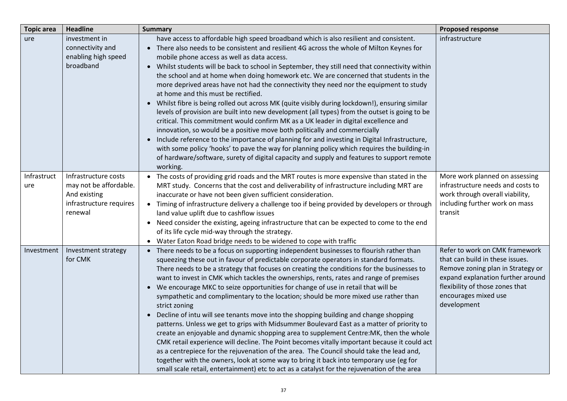| <b>Topic area</b>  | <b>Headline</b>                                                                                      | <b>Summary</b>                                                                                                                                                                                                                                                                                                                                                                                                                                                                                                                                                                                                                                                                                                                                                                                                                                                                                                                                                                                                                                                                                                                                                                                                                                      | <b>Proposed response</b>                                                                                                                                                                                              |
|--------------------|------------------------------------------------------------------------------------------------------|-----------------------------------------------------------------------------------------------------------------------------------------------------------------------------------------------------------------------------------------------------------------------------------------------------------------------------------------------------------------------------------------------------------------------------------------------------------------------------------------------------------------------------------------------------------------------------------------------------------------------------------------------------------------------------------------------------------------------------------------------------------------------------------------------------------------------------------------------------------------------------------------------------------------------------------------------------------------------------------------------------------------------------------------------------------------------------------------------------------------------------------------------------------------------------------------------------------------------------------------------------|-----------------------------------------------------------------------------------------------------------------------------------------------------------------------------------------------------------------------|
| ure                | investment in<br>connectivity and<br>enabling high speed<br>broadband                                | have access to affordable high speed broadband which is also resilient and consistent.<br>• There also needs to be consistent and resilient 4G across the whole of Milton Keynes for<br>mobile phone access as well as data access.<br>• Whilst students will be back to school in September, they still need that connectivity within<br>the school and at home when doing homework etc. We are concerned that students in the<br>more deprived areas have not had the connectivity they need nor the equipment to study<br>at home and this must be rectified.<br>• Whilst fibre is being rolled out across MK (quite visibly during lockdown!), ensuring similar<br>levels of provision are built into new development (all types) from the outset is going to be<br>critical. This commitment would confirm MK as a UK leader in digital excellence and<br>innovation, so would be a positive move both politically and commercially<br>• Include reference to the importance of planning for and investing in Digital Infrastructure,<br>with some policy 'hooks' to pave the way for planning policy which requires the building-in<br>of hardware/software, surety of digital capacity and supply and features to support remote<br>working. | infrastructure                                                                                                                                                                                                        |
| Infrastruct<br>ure | Infrastructure costs<br>may not be affordable.<br>And existing<br>infrastructure requires<br>renewal | • The costs of providing grid roads and the MRT routes is more expensive than stated in the<br>MRT study. Concerns that the cost and deliverability of infrastructure including MRT are<br>inaccurate or have not been given sufficient consideration.<br>• Timing of infrastructure delivery a challenge too if being provided by developers or through<br>land value uplift due to cashflow issues<br>• Need consider the existing, ageing infrastructure that can be expected to come to the end<br>of its life cycle mid-way through the strategy.<br>• Water Eaton Road bridge needs to be widened to cope with traffic                                                                                                                                                                                                                                                                                                                                                                                                                                                                                                                                                                                                                        | More work planned on assessing<br>infrastructure needs and costs to<br>work through overall viability,<br>including further work on mass<br>transit                                                                   |
| Investment         | Investment strategy<br>for CMK                                                                       | • There needs to be a focus on supporting independent businesses to flourish rather than<br>squeezing these out in favour of predictable corporate operators in standard formats.<br>There needs to be a strategy that focuses on creating the conditions for the businesses to<br>want to invest in CMK which tackles the ownerships, rents, rates and range of premises<br>• We encourage MKC to seize opportunities for change of use in retail that will be<br>sympathetic and complimentary to the location; should be more mixed use rather than<br>strict zoning<br>• Decline of intu will see tenants move into the shopping building and change shopping<br>patterns. Unless we get to grips with Midsummer Boulevard East as a matter of priority to<br>create an enjoyable and dynamic shopping area to supplement Centre: MK, then the whole<br>CMK retail experience will decline. The Point becomes vitally important because it could act<br>as a centrepiece for the rejuvenation of the area. The Council should take the lead and,<br>together with the owners, look at some way to bring it back into temporary use (eg for<br>small scale retail, entertainment) etc to act as a catalyst for the rejuvenation of the area      | Refer to work on CMK framework<br>that can build in these issues.<br>Remove zoning plan in Strategy or<br>expand explanation further around<br>flexibility of those zones that<br>encourages mixed use<br>development |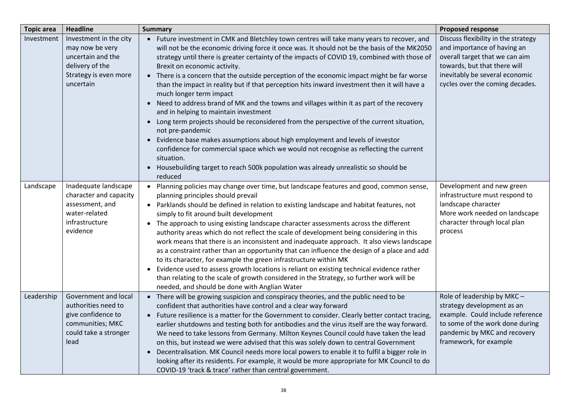| <b>Topic area</b> | <b>Headline</b>                                                                                                         | <b>Summary</b>                                                                                                                                                                                                                                                                                                                                                                                                                                                                                                                                                                                                                                                                                                                                                                                                                                                                                                                                                                                                                                                                                                     | <b>Proposed response</b>                                                                                                                                                                                  |
|-------------------|-------------------------------------------------------------------------------------------------------------------------|--------------------------------------------------------------------------------------------------------------------------------------------------------------------------------------------------------------------------------------------------------------------------------------------------------------------------------------------------------------------------------------------------------------------------------------------------------------------------------------------------------------------------------------------------------------------------------------------------------------------------------------------------------------------------------------------------------------------------------------------------------------------------------------------------------------------------------------------------------------------------------------------------------------------------------------------------------------------------------------------------------------------------------------------------------------------------------------------------------------------|-----------------------------------------------------------------------------------------------------------------------------------------------------------------------------------------------------------|
| Investment        | Investment in the city<br>may now be very<br>uncertain and the<br>delivery of the<br>Strategy is even more<br>uncertain | • Future investment in CMK and Bletchley town centres will take many years to recover, and<br>will not be the economic driving force it once was. It should not be the basis of the MK2050<br>strategy until there is greater certainty of the impacts of COVID 19, combined with those of<br>Brexit on economic activity.<br>• There is a concern that the outside perception of the economic impact might be far worse<br>than the impact in reality but if that perception hits inward investment then it will have a<br>much longer term impact<br>• Need to address brand of MK and the towns and villages within it as part of the recovery<br>and in helping to maintain investment<br>• Long term projects should be reconsidered from the perspective of the current situation,<br>not pre-pandemic<br>Evidence base makes assumptions about high employment and levels of investor<br>$\bullet$<br>confidence for commercial space which we would not recognise as reflecting the current<br>situation.<br>Housebuilding target to reach 500k population was already unrealistic so should be<br>reduced | Discuss flexibility in the strategy<br>and importance of having an<br>overall target that we can aim<br>towards, but that there will<br>inevitably be several economic<br>cycles over the coming decades. |
| Landscape         | Inadequate landscape<br>character and capacity<br>assessment, and<br>water-related<br>infrastructure<br>evidence        | • Planning policies may change over time, but landscape features and good, common sense,<br>planning principles should prevail<br>Parklands should be defined in relation to existing landscape and habitat features, not<br>$\bullet$<br>simply to fit around built development<br>The approach to using existing landscape character assessments across the different<br>authority areas which do not reflect the scale of development being considering in this<br>work means that there is an inconsistent and inadequate approach. It also views landscape<br>as a constraint rather than an opportunity that can influence the design of a place and add<br>to its character, for example the green infrastructure within MK<br>Evidence used to assess growth locations is reliant on existing technical evidence rather<br>$\bullet$<br>than relating to the scale of growth considered in the Strategy, so further work will be<br>needed, and should be done with Anglian Water                                                                                                                          | Development and new green<br>infrastructure must respond to<br>landscape character<br>More work needed on landscape<br>character through local plan<br>process                                            |
| Leadership        | Government and local<br>authorities need to<br>give confidence to<br>communities; MKC<br>could take a stronger<br>lead  | • There will be growing suspicion and conspiracy theories, and the public need to be<br>confident that authorities have control and a clear way forward<br>• Future resilience is a matter for the Government to consider. Clearly better contact tracing,<br>earlier shutdowns and testing both for antibodies and the virus itself are the way forward.<br>We need to take lessons from Germany. Milton Keynes Council could have taken the lead<br>on this, but instead we were advised that this was solely down to central Government<br>• Decentralisation. MK Council needs more local powers to enable it to fulfil a bigger role in<br>looking after its residents. For example, it would be more appropriate for MK Council to do<br>COVID-19 'track & trace' rather than central government.                                                                                                                                                                                                                                                                                                            | Role of leadership by MKC-<br>strategy development as an<br>example. Could include reference<br>to some of the work done during<br>pandemic by MKC and recovery<br>framework, for example                 |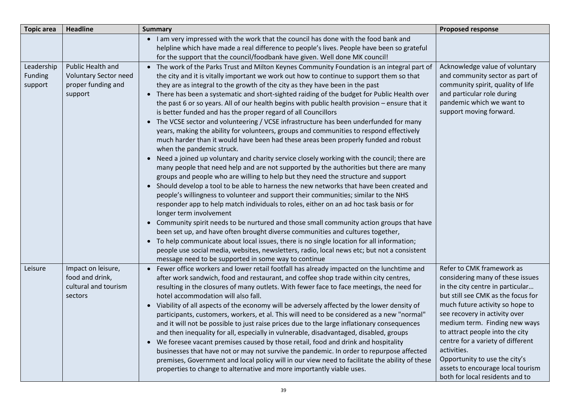| <b>Topic area</b>                | <b>Headline</b>                                                                    | <b>Summary</b>                                                                                                                                                                                                                                                                                                                                                                                                                                                                                                                                                                                                                                                                                                                                                                                                                                                                                                                                                                                                                                                                                                                                                                                                                                                                                                                                                                                                                                                                                                                                                                                                                                                                                                                                                                                                                                                                                         | <b>Proposed response</b>                                                                                                                                                                                                                                                                                                                                                                                                                     |
|----------------------------------|------------------------------------------------------------------------------------|--------------------------------------------------------------------------------------------------------------------------------------------------------------------------------------------------------------------------------------------------------------------------------------------------------------------------------------------------------------------------------------------------------------------------------------------------------------------------------------------------------------------------------------------------------------------------------------------------------------------------------------------------------------------------------------------------------------------------------------------------------------------------------------------------------------------------------------------------------------------------------------------------------------------------------------------------------------------------------------------------------------------------------------------------------------------------------------------------------------------------------------------------------------------------------------------------------------------------------------------------------------------------------------------------------------------------------------------------------------------------------------------------------------------------------------------------------------------------------------------------------------------------------------------------------------------------------------------------------------------------------------------------------------------------------------------------------------------------------------------------------------------------------------------------------------------------------------------------------------------------------------------------------|----------------------------------------------------------------------------------------------------------------------------------------------------------------------------------------------------------------------------------------------------------------------------------------------------------------------------------------------------------------------------------------------------------------------------------------------|
|                                  |                                                                                    | • I am very impressed with the work that the council has done with the food bank and<br>helpline which have made a real difference to people's lives. People have been so grateful<br>for the support that the council/foodbank have given. Well done MK council!                                                                                                                                                                                                                                                                                                                                                                                                                                                                                                                                                                                                                                                                                                                                                                                                                                                                                                                                                                                                                                                                                                                                                                                                                                                                                                                                                                                                                                                                                                                                                                                                                                      |                                                                                                                                                                                                                                                                                                                                                                                                                                              |
| Leadership<br>Funding<br>support | Public Health and<br><b>Voluntary Sector need</b><br>proper funding and<br>support | • The work of the Parks Trust and Milton Keynes Community Foundation is an integral part of<br>the city and it is vitally important we work out how to continue to support them so that<br>they are as integral to the growth of the city as they have been in the past<br>There has been a systematic and short-sighted raiding of the budget for Public Health over<br>$\bullet$<br>the past 6 or so years. All of our health begins with public health provision - ensure that it<br>is better funded and has the proper regard of all Councillors<br>• The VCSE sector and volunteering / VCSE infrastructure has been underfunded for many<br>years, making the ability for volunteers, groups and communities to respond effectively<br>much harder than it would have been had these areas been properly funded and robust<br>when the pandemic struck.<br>Need a joined up voluntary and charity service closely working with the council; there are<br>$\bullet$<br>many people that need help and are not supported by the authorities but there are many<br>groups and people who are willing to help but they need the structure and support<br>• Should develop a tool to be able to harness the new networks that have been created and<br>people's willingness to volunteer and support their communities; similar to the NHS<br>responder app to help match individuals to roles, either on an ad hoc task basis or for<br>longer term involvement<br>• Community spirit needs to be nurtured and those small community action groups that have<br>been set up, and have often brought diverse communities and cultures together,<br>• To help communicate about local issues, there is no single location for all information;<br>people use social media, websites, newsletters, radio, local news etc; but not a consistent<br>message need to be supported in some way to continue | Acknowledge value of voluntary<br>and community sector as part of<br>community spirit, quality of life<br>and particular role during<br>pandemic which we want to<br>support moving forward.                                                                                                                                                                                                                                                 |
| Leisure                          | Impact on leisure,<br>food and drink,<br>cultural and tourism<br>sectors           | Fewer office workers and lower retail footfall has already impacted on the lunchtime and<br>$\bullet$<br>after work sandwich, food and restaurant, and coffee shop trade within city centres,<br>resulting in the closures of many outlets. With fewer face to face meetings, the need for<br>hotel accommodation will also fall.<br>• Viability of all aspects of the economy will be adversely affected by the lower density of<br>participants, customers, workers, et al. This will need to be considered as a new "normal"<br>and it will not be possible to just raise prices due to the large inflationary consequences<br>and then inequality for all, especially in vulnerable, disadvantaged, disabled, groups<br>• We foresee vacant premises caused by those retail, food and drink and hospitality<br>businesses that have not or may not survive the pandemic. In order to repurpose affected<br>premises, Government and local policy will in our view need to facilitate the ability of these<br>properties to change to alternative and more importantly viable uses.                                                                                                                                                                                                                                                                                                                                                                                                                                                                                                                                                                                                                                                                                                                                                                                                                 | Refer to CMK framework as<br>considering many of these issues<br>in the city centre in particular<br>but still see CMK as the focus for<br>much future activity so hope to<br>see recovery in activity over<br>medium term. Finding new ways<br>to attract people into the city<br>centre for a variety of different<br>activities.<br>Opportunity to use the city's<br>assets to encourage local tourism<br>both for local residents and to |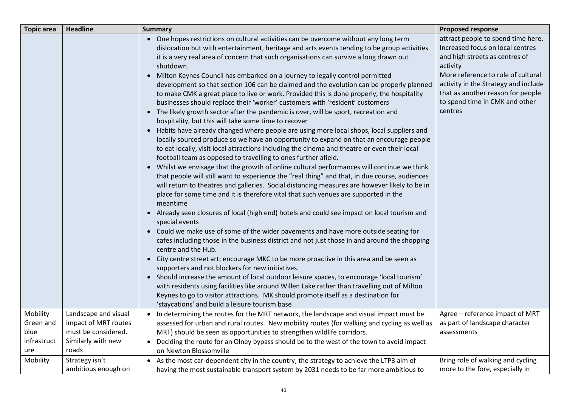| <b>Topic area</b>                       | <b>Headline</b>                                                            | <b>Summary</b>                                                                                                                                                                                                                                                                                                                                                                                                                                                                                                                                                                                                                                                                                                                                                                                                                                                                                                                                                                                                                                                                                                                                                                                                                                                                                                                                                                                                                                                                                                                                                                                                                                                                                                                                                                                                                                                                                                                                                                                                                                                                                                                                                                                                                                                                                                                          | <b>Proposed response</b>                                                                                                                                                                                                                                                             |
|-----------------------------------------|----------------------------------------------------------------------------|-----------------------------------------------------------------------------------------------------------------------------------------------------------------------------------------------------------------------------------------------------------------------------------------------------------------------------------------------------------------------------------------------------------------------------------------------------------------------------------------------------------------------------------------------------------------------------------------------------------------------------------------------------------------------------------------------------------------------------------------------------------------------------------------------------------------------------------------------------------------------------------------------------------------------------------------------------------------------------------------------------------------------------------------------------------------------------------------------------------------------------------------------------------------------------------------------------------------------------------------------------------------------------------------------------------------------------------------------------------------------------------------------------------------------------------------------------------------------------------------------------------------------------------------------------------------------------------------------------------------------------------------------------------------------------------------------------------------------------------------------------------------------------------------------------------------------------------------------------------------------------------------------------------------------------------------------------------------------------------------------------------------------------------------------------------------------------------------------------------------------------------------------------------------------------------------------------------------------------------------------------------------------------------------------------------------------------------------|--------------------------------------------------------------------------------------------------------------------------------------------------------------------------------------------------------------------------------------------------------------------------------------|
|                                         |                                                                            | • One hopes restrictions on cultural activities can be overcome without any long term<br>dislocation but with entertainment, heritage and arts events tending to be group activities<br>it is a very real area of concern that such organisations can survive a long drawn out<br>shutdown.<br>Milton Keynes Council has embarked on a journey to legally control permitted<br>development so that section 106 can be claimed and the evolution can be properly planned<br>to make CMK a great place to live or work. Provided this is done properly, the hospitality<br>businesses should replace their 'worker' customers with 'resident' customers<br>• The likely growth sector after the pandemic is over, will be sport, recreation and<br>hospitality, but this will take some time to recover<br>Habits have already changed where people are using more local shops, local suppliers and<br>locally sourced produce so we have an opportunity to expand on that an encourage people<br>to eat locally, visit local attractions including the cinema and theatre or even their local<br>football team as opposed to travelling to ones further afield.<br>• Whilst we envisage that the growth of online cultural performances will continue we think<br>that people will still want to experience the "real thing" and that, in due course, audiences<br>will return to theatres and galleries. Social distancing measures are however likely to be in<br>place for some time and it is therefore vital that such venues are supported in the<br>meantime<br>• Already seen closures of local (high end) hotels and could see impact on local tourism and<br>special events<br>• Could we make use of some of the wider pavements and have more outside seating for<br>cafes including those in the business district and not just those in and around the shopping<br>centre and the Hub.<br>• City centre street art; encourage MKC to be more proactive in this area and be seen as<br>supporters and not blockers for new initiatives.<br>• Should increase the amount of local outdoor leisure spaces, to encourage 'local tourism'<br>with residents using facilities like around Willen Lake rather than travelling out of Milton<br>Keynes to go to visitor attractions. MK should promote itself as a destination for | attract people to spend time here.<br>Increased focus on local centres<br>and high streets as centres of<br>activity<br>More reference to role of cultural<br>activity in the Strategy and include<br>that as another reason for people<br>to spend time in CMK and other<br>centres |
| Mobility                                | Landscape and visual                                                       | 'staycations' and build a leisure tourism base                                                                                                                                                                                                                                                                                                                                                                                                                                                                                                                                                                                                                                                                                                                                                                                                                                                                                                                                                                                                                                                                                                                                                                                                                                                                                                                                                                                                                                                                                                                                                                                                                                                                                                                                                                                                                                                                                                                                                                                                                                                                                                                                                                                                                                                                                          | Agree - reference impact of MRT                                                                                                                                                                                                                                                      |
| Green and<br>blue<br>infrastruct<br>ure | impact of MRT routes<br>must be considered.<br>Similarly with new<br>roads | In determining the routes for the MRT network, the landscape and visual impact must be<br>assessed for urban and rural routes. New mobility routes (for walking and cycling as well as<br>MRT) should be seen as opportunities to strengthen wildlife corridors.<br>• Deciding the route for an Olney bypass should be to the west of the town to avoid impact<br>on Newton Blossomville                                                                                                                                                                                                                                                                                                                                                                                                                                                                                                                                                                                                                                                                                                                                                                                                                                                                                                                                                                                                                                                                                                                                                                                                                                                                                                                                                                                                                                                                                                                                                                                                                                                                                                                                                                                                                                                                                                                                                | as part of landscape character<br>assessments                                                                                                                                                                                                                                        |
| Mobility                                | Strategy isn't<br>ambitious enough on                                      | • As the most car-dependent city in the country, the strategy to achieve the LTP3 aim of<br>having the most sustainable transport system by 2031 needs to be far more ambitious to                                                                                                                                                                                                                                                                                                                                                                                                                                                                                                                                                                                                                                                                                                                                                                                                                                                                                                                                                                                                                                                                                                                                                                                                                                                                                                                                                                                                                                                                                                                                                                                                                                                                                                                                                                                                                                                                                                                                                                                                                                                                                                                                                      | Bring role of walking and cycling<br>more to the fore, especially in                                                                                                                                                                                                                 |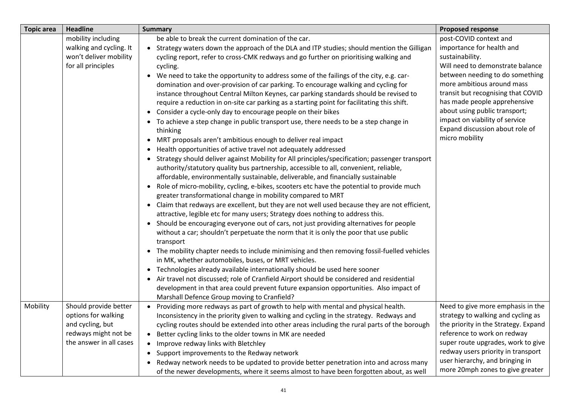| <b>Topic area</b> | <b>Headline</b>                                                                                                     | <b>Summary</b>                                                                                                                                                                                                                                                                                                                                                                                                                                                                                                                                                                                                                                                                                                                                                                                                                                                                                                                                                                                                                                                                                                                                                                                                                                                                                                                                                                                                                                                                                                                                                                                                                                                                                                                                                                                                                                                                                                                                                                                                      | <b>Proposed response</b>                                                                                                                                                                                                                                                                                                                                                  |
|-------------------|---------------------------------------------------------------------------------------------------------------------|---------------------------------------------------------------------------------------------------------------------------------------------------------------------------------------------------------------------------------------------------------------------------------------------------------------------------------------------------------------------------------------------------------------------------------------------------------------------------------------------------------------------------------------------------------------------------------------------------------------------------------------------------------------------------------------------------------------------------------------------------------------------------------------------------------------------------------------------------------------------------------------------------------------------------------------------------------------------------------------------------------------------------------------------------------------------------------------------------------------------------------------------------------------------------------------------------------------------------------------------------------------------------------------------------------------------------------------------------------------------------------------------------------------------------------------------------------------------------------------------------------------------------------------------------------------------------------------------------------------------------------------------------------------------------------------------------------------------------------------------------------------------------------------------------------------------------------------------------------------------------------------------------------------------------------------------------------------------------------------------------------------------|---------------------------------------------------------------------------------------------------------------------------------------------------------------------------------------------------------------------------------------------------------------------------------------------------------------------------------------------------------------------------|
|                   | mobility including<br>walking and cycling. It<br>won't deliver mobility<br>for all principles                       | be able to break the current domination of the car.<br>• Strategy waters down the approach of the DLA and ITP studies; should mention the Gilligan<br>cycling report, refer to cross-CMK redways and go further on prioritising walking and<br>cycling.<br>We need to take the opportunity to address some of the failings of the city, e.g. car-<br>domination and over-provision of car parking. To encourage walking and cycling for<br>instance throughout Central Milton Keynes, car parking standards should be revised to<br>require a reduction in on-site car parking as a starting point for facilitating this shift.<br>• Consider a cycle-only day to encourage people on their bikes<br>• To achieve a step change in public transport use, there needs to be a step change in<br>thinking<br>MRT proposals aren't ambitious enough to deliver real impact<br>• Health opportunities of active travel not adequately addressed<br>• Strategy should deliver against Mobility for All principles/specification; passenger transport<br>authority/statutory quality bus partnership, accessible to all, convenient, reliable,<br>affordable, environmentally sustainable, deliverable, and financially sustainable<br>Role of micro-mobility, cycling, e-bikes, scooters etc have the potential to provide much<br>greater transformational change in mobility compared to MRT<br>• Claim that redways are excellent, but they are not well used because they are not efficient,<br>attractive, legible etc for many users; Strategy does nothing to address this.<br>• Should be encouraging everyone out of cars, not just providing alternatives for people<br>without a car; shouldn't perpetuate the norm that it is only the poor that use public<br>transport<br>• The mobility chapter needs to include minimising and then removing fossil-fuelled vehicles<br>in MK, whether automobiles, buses, or MRT vehicles.<br>Technologies already available internationally should be used here sooner | post-COVID context and<br>importance for health and<br>sustainability.<br>Will need to demonstrate balance<br>between needing to do something<br>more ambitious around mass<br>transit but recognising that COVID<br>has made people apprehensive<br>about using public transport;<br>impact on viability of service<br>Expand discussion about role of<br>micro mobility |
|                   |                                                                                                                     | • Air travel not discussed; role of Cranfield Airport should be considered and residential<br>development in that area could prevent future expansion opportunities. Also impact of<br>Marshall Defence Group moving to Cranfield?                                                                                                                                                                                                                                                                                                                                                                                                                                                                                                                                                                                                                                                                                                                                                                                                                                                                                                                                                                                                                                                                                                                                                                                                                                                                                                                                                                                                                                                                                                                                                                                                                                                                                                                                                                                  |                                                                                                                                                                                                                                                                                                                                                                           |
| Mobility          | Should provide better<br>options for walking<br>and cycling, but<br>redways might not be<br>the answer in all cases | Providing more redways as part of growth to help with mental and physical health.<br>Inconsistency in the priority given to walking and cycling in the strategy. Redways and<br>cycling routes should be extended into other areas including the rural parts of the borough<br>Better cycling links to the older towns in MK are needed<br>Improve redway links with Bletchley<br>$\bullet$<br>• Support improvements to the Redway network<br>Redway network needs to be updated to provide better penetration into and across many<br>$\bullet$<br>of the newer developments, where it seems almost to have been forgotten about, as well                                                                                                                                                                                                                                                                                                                                                                                                                                                                                                                                                                                                                                                                                                                                                                                                                                                                                                                                                                                                                                                                                                                                                                                                                                                                                                                                                                         | Need to give more emphasis in the<br>strategy to walking and cycling as<br>the priority in the Strategy. Expand<br>reference to work on redway<br>super route upgrades, work to give<br>redway users priority in transport<br>user hierarchy, and bringing in<br>more 20mph zones to give greater                                                                         |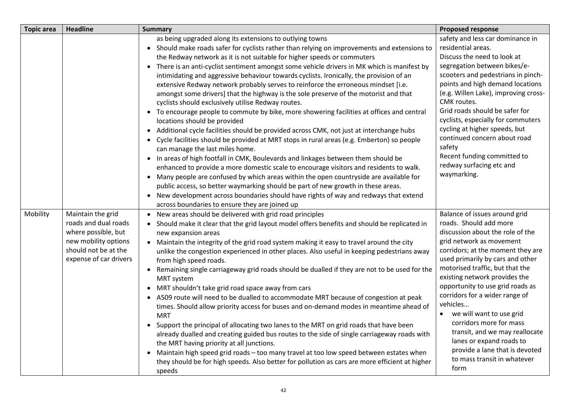| <b>Topic area</b> | <b>Headline</b>                                                                                                                            | <b>Summary</b>                                                                                                                                                                                                                                                                                                                                                                                                                                                                                                                                                                                                                                                                                                                                                                                                                                                                                                                                                                                                                                                                                                                                                                                                                                                                                                                                                                                                                                                                                                                           | <b>Proposed response</b>                                                                                                                                                                                                                                                                                                                                                                                                                                                                                                                                          |
|-------------------|--------------------------------------------------------------------------------------------------------------------------------------------|------------------------------------------------------------------------------------------------------------------------------------------------------------------------------------------------------------------------------------------------------------------------------------------------------------------------------------------------------------------------------------------------------------------------------------------------------------------------------------------------------------------------------------------------------------------------------------------------------------------------------------------------------------------------------------------------------------------------------------------------------------------------------------------------------------------------------------------------------------------------------------------------------------------------------------------------------------------------------------------------------------------------------------------------------------------------------------------------------------------------------------------------------------------------------------------------------------------------------------------------------------------------------------------------------------------------------------------------------------------------------------------------------------------------------------------------------------------------------------------------------------------------------------------|-------------------------------------------------------------------------------------------------------------------------------------------------------------------------------------------------------------------------------------------------------------------------------------------------------------------------------------------------------------------------------------------------------------------------------------------------------------------------------------------------------------------------------------------------------------------|
|                   |                                                                                                                                            | as being upgraded along its extensions to outlying towns<br>• Should make roads safer for cyclists rather than relying on improvements and extensions to<br>the Redway network as it is not suitable for higher speeds or commuters<br>• There is an anti-cyclist sentiment amongst some vehicle drivers in MK which is manifest by<br>intimidating and aggressive behaviour towards cyclists. Ironically, the provision of an<br>extensive Redway network probably serves to reinforce the erroneous mindset [i.e.<br>amongst some drivers] that the highway is the sole preserve of the motorist and that<br>cyclists should exclusively utilise Redway routes.<br>• To encourage people to commute by bike, more showering facilities at offices and central<br>locations should be provided<br>• Additional cycle facilities should be provided across CMK, not just at interchange hubs<br>• Cycle facilities should be provided at MRT stops in rural areas (e.g. Emberton) so people<br>can manage the last miles home.<br>• In areas of high footfall in CMK, Boulevards and linkages between them should be<br>enhanced to provide a more domestic scale to encourage visitors and residents to walk.<br>• Many people are confused by which areas within the open countryside are available for<br>public access, so better waymarking should be part of new growth in these areas.<br>• New development across boundaries should have rights of way and redways that extend<br>across boundaries to ensure they are joined up | safety and less car dominance in<br>residential areas.<br>Discuss the need to look at<br>segregation between bikes/e-<br>scooters and pedestrians in pinch-<br>points and high demand locations<br>(e.g. Willen Lake), improving cross-<br>CMK routes.<br>Grid roads should be safer for<br>cyclists, especially for commuters<br>cycling at higher speeds, but<br>continued concern about road<br>safety<br>Recent funding committed to<br>redway surfacing etc and<br>waymarking.                                                                               |
| Mobility          | Maintain the grid<br>roads and dual roads<br>where possible, but<br>new mobility options<br>should not be at the<br>expense of car drivers | • New areas should be delivered with grid road principles<br>• Should make it clear that the grid layout model offers benefits and should be replicated in<br>new expansion areas<br>• Maintain the integrity of the grid road system making it easy to travel around the city<br>unlike the congestion experienced in other places. Also useful in keeping pedestrians away<br>from high speed roads.<br>• Remaining single carriageway grid roads should be dualled if they are not to be used for the<br><b>MRT</b> system<br>• MRT shouldn't take grid road space away from cars<br>• A509 route will need to be dualled to accommodate MRT because of congestion at peak<br>times. Should allow priority access for buses and on-demand modes in meantime ahead of<br><b>MRT</b><br>• Support the principal of allocating two lanes to the MRT on grid roads that have been<br>already dualled and creating guided bus routes to the side of single carriageway roads with<br>the MRT having priority at all junctions.<br>• Maintain high speed grid roads - too many travel at too low speed between estates when<br>they should be for high speeds. Also better for pollution as cars are more efficient at higher<br>speeds                                                                                                                                                                                                                                                                                                     | Balance of issues around grid<br>roads. Should add more<br>discussion about the role of the<br>grid network as movement<br>corridors; at the moment they are<br>used primarily by cars and other<br>motorised traffic, but that the<br>existing network provides the<br>opportunity to use grid roads as<br>corridors for a wider range of<br>vehicles<br>we will want to use grid<br>$\bullet$<br>corridors more for mass<br>transit, and we may reallocate<br>lanes or expand roads to<br>provide a lane that is devoted<br>to mass transit in whatever<br>form |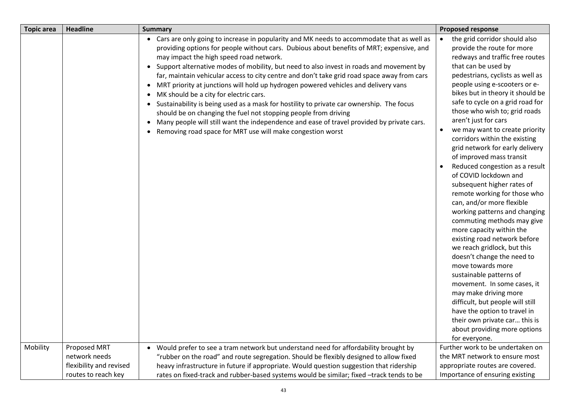| <b>Topic area</b> | <b>Headline</b>         | <b>Summary</b>                                                                                                                                                                                                                                                                                                                                                                                                                                                                                                                                                                                                                                                                                                                                                                                                                                                                               | <b>Proposed response</b>                                                                                                                                                                                                                                                                                                                                                                                                                                                                                                                                                                                                                                                                                                                                                                                                                                                                                                                                                                                                                                                                                                   |
|-------------------|-------------------------|----------------------------------------------------------------------------------------------------------------------------------------------------------------------------------------------------------------------------------------------------------------------------------------------------------------------------------------------------------------------------------------------------------------------------------------------------------------------------------------------------------------------------------------------------------------------------------------------------------------------------------------------------------------------------------------------------------------------------------------------------------------------------------------------------------------------------------------------------------------------------------------------|----------------------------------------------------------------------------------------------------------------------------------------------------------------------------------------------------------------------------------------------------------------------------------------------------------------------------------------------------------------------------------------------------------------------------------------------------------------------------------------------------------------------------------------------------------------------------------------------------------------------------------------------------------------------------------------------------------------------------------------------------------------------------------------------------------------------------------------------------------------------------------------------------------------------------------------------------------------------------------------------------------------------------------------------------------------------------------------------------------------------------|
| Mobility          | Proposed MRT            | • Cars are only going to increase in popularity and MK needs to accommodate that as well as<br>providing options for people without cars. Dubious about benefits of MRT; expensive, and<br>may impact the high speed road network.<br>• Support alternative modes of mobility, but need to also invest in roads and movement by<br>far, maintain vehicular access to city centre and don't take grid road space away from cars<br>MRT priority at junctions will hold up hydrogen powered vehicles and delivery vans<br>MK should be a city for electric cars.<br>• Sustainability is being used as a mask for hostility to private car ownership. The focus<br>should be on changing the fuel not stopping people from driving<br>• Many people will still want the independence and ease of travel provided by private cars.<br>Removing road space for MRT use will make congestion worst | the grid corridor should also<br>provide the route for more<br>redways and traffic free routes<br>that can be used by<br>pedestrians, cyclists as well as<br>people using e-scooters or e-<br>bikes but in theory it should be<br>safe to cycle on a grid road for<br>those who wish to; grid roads<br>aren't just for cars<br>we may want to create priority<br>$\bullet$<br>corridors within the existing<br>grid network for early delivery<br>of improved mass transit<br>Reduced congestion as a result<br>of COVID lockdown and<br>subsequent higher rates of<br>remote working for those who<br>can, and/or more flexible<br>working patterns and changing<br>commuting methods may give<br>more capacity within the<br>existing road network before<br>we reach gridlock, but this<br>doesn't change the need to<br>move towards more<br>sustainable patterns of<br>movement. In some cases, it<br>may make driving more<br>difficult, but people will still<br>have the option to travel in<br>their own private car this is<br>about providing more options<br>for everyone.<br>Further work to be undertaken on |
|                   | network needs           | Would prefer to see a tram network but understand need for affordability brought by<br>"rubber on the road" and route segregation. Should be flexibly designed to allow fixed                                                                                                                                                                                                                                                                                                                                                                                                                                                                                                                                                                                                                                                                                                                | the MRT network to ensure most                                                                                                                                                                                                                                                                                                                                                                                                                                                                                                                                                                                                                                                                                                                                                                                                                                                                                                                                                                                                                                                                                             |
|                   | flexibility and revised | heavy infrastructure in future if appropriate. Would question suggestion that ridership                                                                                                                                                                                                                                                                                                                                                                                                                                                                                                                                                                                                                                                                                                                                                                                                      | appropriate routes are covered.                                                                                                                                                                                                                                                                                                                                                                                                                                                                                                                                                                                                                                                                                                                                                                                                                                                                                                                                                                                                                                                                                            |
|                   | routes to reach key     | rates on fixed-track and rubber-based systems would be similar; fixed -track tends to be                                                                                                                                                                                                                                                                                                                                                                                                                                                                                                                                                                                                                                                                                                                                                                                                     | Importance of ensuring existing                                                                                                                                                                                                                                                                                                                                                                                                                                                                                                                                                                                                                                                                                                                                                                                                                                                                                                                                                                                                                                                                                            |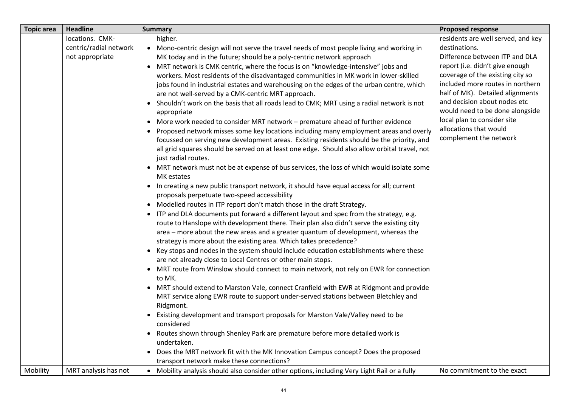| <b>Topic area</b> | <b>Headline</b>        | <b>Summary</b>                                                                                                       | <b>Proposed response</b>                              |
|-------------------|------------------------|----------------------------------------------------------------------------------------------------------------------|-------------------------------------------------------|
|                   | locations. CMK-        | higher.                                                                                                              | residents are well served, and key                    |
|                   | centric/radial network | • Mono-centric design will not serve the travel needs of most people living and working in                           | destinations.                                         |
|                   | not appropriate        | MK today and in the future; should be a poly-centric network approach                                                | Difference between ITP and DLA                        |
|                   |                        | • MRT network is CMK centric, where the focus is on "knowledge-intensive" jobs and                                   | report (i.e. didn't give enough                       |
|                   |                        | workers. Most residents of the disadvantaged communities in MK work in lower-skilled                                 | coverage of the existing city so                      |
|                   |                        | jobs found in industrial estates and warehousing on the edges of the urban centre, which                             | included more routes in northern                      |
|                   |                        | are not well-served by a CMK-centric MRT approach.                                                                   | half of MK). Detailed alignments                      |
|                   |                        | • Shouldn't work on the basis that all roads lead to CMK; MRT using a radial network is not                          | and decision about nodes etc                          |
|                   |                        | appropriate                                                                                                          | would need to be done alongside                       |
|                   |                        | • More work needed to consider MRT network - premature ahead of further evidence                                     | local plan to consider site<br>allocations that would |
|                   |                        | • Proposed network misses some key locations including many employment areas and overly                              | complement the network                                |
|                   |                        | focussed on serving new development areas. Existing residents should be the priority, and                            |                                                       |
|                   |                        | all grid squares should be served on at least one edge. Should also allow orbital travel, not<br>just radial routes. |                                                       |
|                   |                        | • MRT network must not be at expense of bus services, the loss of which would isolate some                           |                                                       |
|                   |                        | MK estates                                                                                                           |                                                       |
|                   |                        | • In creating a new public transport network, it should have equal access for all; current                           |                                                       |
|                   |                        | proposals perpetuate two-speed accessibility                                                                         |                                                       |
|                   |                        | • Modelled routes in ITP report don't match those in the draft Strategy.                                             |                                                       |
|                   |                        | • ITP and DLA documents put forward a different layout and spec from the strategy, e.g.                              |                                                       |
|                   |                        | route to Hanslope with development there. Their plan also didn't serve the existing city                             |                                                       |
|                   |                        | area – more about the new areas and a greater quantum of development, whereas the                                    |                                                       |
|                   |                        | strategy is more about the existing area. Which takes precedence?                                                    |                                                       |
|                   |                        | • Key stops and nodes in the system should include education establishments where these                              |                                                       |
|                   |                        | are not already close to Local Centres or other main stops.                                                          |                                                       |
|                   |                        | • MRT route from Winslow should connect to main network, not rely on EWR for connection                              |                                                       |
|                   |                        | to MK.                                                                                                               |                                                       |
|                   |                        | • MRT should extend to Marston Vale, connect Cranfield with EWR at Ridgmont and provide                              |                                                       |
|                   |                        | MRT service along EWR route to support under-served stations between Bletchley and                                   |                                                       |
|                   |                        | Ridgmont.                                                                                                            |                                                       |
|                   |                        | • Existing development and transport proposals for Marston Vale/Valley need to be<br>considered                      |                                                       |
|                   |                        | • Routes shown through Shenley Park are premature before more detailed work is                                       |                                                       |
|                   |                        | undertaken.                                                                                                          |                                                       |
|                   |                        | • Does the MRT network fit with the MK Innovation Campus concept? Does the proposed                                  |                                                       |
|                   |                        | transport network make these connections?                                                                            |                                                       |
| Mobility          | MRT analysis has not   | • Mobility analysis should also consider other options, including Very Light Rail or a fully                         | No commitment to the exact                            |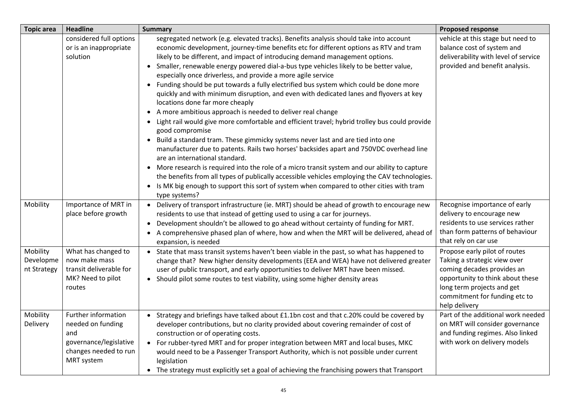| <b>Topic area</b>                    | <b>Headline</b>                                                                                                  | <b>Summary</b>                                                                                                                                                                                                                                                                                                                                                                                                                                                                                                                                                                                                                                                                                                                                                                                                                                                                                                                                                                                                                                                                                                                                                                                                                                                                                                                                                            | <b>Proposed response</b>                                                                                                                                                                                        |
|--------------------------------------|------------------------------------------------------------------------------------------------------------------|---------------------------------------------------------------------------------------------------------------------------------------------------------------------------------------------------------------------------------------------------------------------------------------------------------------------------------------------------------------------------------------------------------------------------------------------------------------------------------------------------------------------------------------------------------------------------------------------------------------------------------------------------------------------------------------------------------------------------------------------------------------------------------------------------------------------------------------------------------------------------------------------------------------------------------------------------------------------------------------------------------------------------------------------------------------------------------------------------------------------------------------------------------------------------------------------------------------------------------------------------------------------------------------------------------------------------------------------------------------------------|-----------------------------------------------------------------------------------------------------------------------------------------------------------------------------------------------------------------|
|                                      | considered full options<br>or is an inappropriate<br>solution                                                    | segregated network (e.g. elevated tracks). Benefits analysis should take into account<br>economic development, journey-time benefits etc for different options as RTV and tram<br>likely to be different, and impact of introducing demand management options.<br>• Smaller, renewable energy powered dial-a-bus type vehicles likely to be better value,<br>especially once driverless, and provide a more agile service<br>• Funding should be put towards a fully electrified bus system which could be done more<br>quickly and with minimum disruption, and even with dedicated lanes and flyovers at key<br>locations done far more cheaply<br>• A more ambitious approach is needed to deliver real change<br>• Light rail would give more comfortable and efficient travel; hybrid trolley bus could provide<br>good compromise<br>• Build a standard tram. These gimmicky systems never last and are tied into one<br>manufacturer due to patents. Rails two horses' backsides apart and 750VDC overhead line<br>are an international standard.<br>• More research is required into the role of a micro transit system and our ability to capture<br>the benefits from all types of publically accessible vehicles employing the CAV technologies.<br>• Is MK big enough to support this sort of system when compared to other cities with tram<br>type systems? | vehicle at this stage but need to<br>balance cost of system and<br>deliverability with level of service<br>provided and benefit analysis.                                                                       |
| Mobility                             | Importance of MRT in<br>place before growth                                                                      | • Delivery of transport infrastructure (ie. MRT) should be ahead of growth to encourage new<br>residents to use that instead of getting used to using a car for journeys.<br>• Development shouldn't be allowed to go ahead without certainty of funding for MRT.<br>• A comprehensive phased plan of where, how and when the MRT will be delivered, ahead of<br>expansion, is needed                                                                                                                                                                                                                                                                                                                                                                                                                                                                                                                                                                                                                                                                                                                                                                                                                                                                                                                                                                                     | Recognise importance of early<br>delivery to encourage new<br>residents to use services rather<br>than form patterns of behaviour<br>that rely on car use                                                       |
| Mobility<br>Developme<br>nt Strategy | What has changed to<br>now make mass<br>transit deliverable for<br>MK? Need to pilot<br>routes                   | • State that mass transit systems haven't been viable in the past, so what has happened to<br>change that? New higher density developments (EEA and WEA) have not delivered greater<br>user of public transport, and early opportunities to deliver MRT have been missed.<br>• Should pilot some routes to test viability, using some higher density areas                                                                                                                                                                                                                                                                                                                                                                                                                                                                                                                                                                                                                                                                                                                                                                                                                                                                                                                                                                                                                | Propose early pilot of routes<br>Taking a strategic view over<br>coming decades provides an<br>opportunity to think about these<br>long term projects and get<br>commitment for funding etc to<br>help delivery |
| Mobility<br>Delivery                 | Further information<br>needed on funding<br>and<br>governance/legislative<br>changes needed to run<br>MRT system | Strategy and briefings have talked about £1.1bn cost and that c.20% could be covered by<br>$\bullet$<br>developer contributions, but no clarity provided about covering remainder of cost of<br>construction or of operating costs.<br>• For rubber-tyred MRT and for proper integration between MRT and local buses, MKC<br>would need to be a Passenger Transport Authority, which is not possible under current<br>legislation<br>• The strategy must explicitly set a goal of achieving the franchising powers that Transport                                                                                                                                                                                                                                                                                                                                                                                                                                                                                                                                                                                                                                                                                                                                                                                                                                         | Part of the additional work needed<br>on MRT will consider governance<br>and funding regimes. Also linked<br>with work on delivery models                                                                       |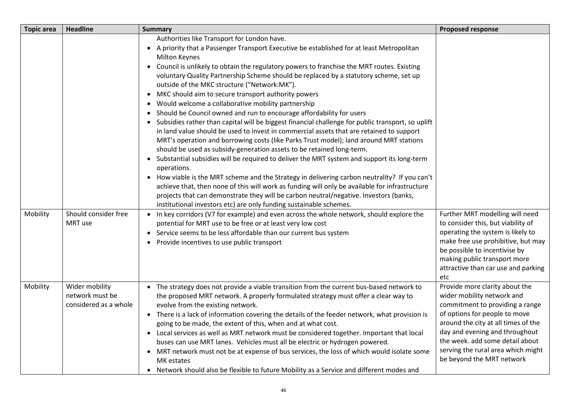| <b>Topic area</b> | <b>Headline</b>                                            | <b>Summary</b>                                                                                                                                                                                                                                                                                                                                                                                                                                                                                                                                                                                                                                                                                                                                                                                                                                                                                                                                                                                                                                                                                                                                                                                                                                                                                                                                                                                                                                          | <b>Proposed response</b>                                                                                                                                                                                                                                                                                        |
|-------------------|------------------------------------------------------------|---------------------------------------------------------------------------------------------------------------------------------------------------------------------------------------------------------------------------------------------------------------------------------------------------------------------------------------------------------------------------------------------------------------------------------------------------------------------------------------------------------------------------------------------------------------------------------------------------------------------------------------------------------------------------------------------------------------------------------------------------------------------------------------------------------------------------------------------------------------------------------------------------------------------------------------------------------------------------------------------------------------------------------------------------------------------------------------------------------------------------------------------------------------------------------------------------------------------------------------------------------------------------------------------------------------------------------------------------------------------------------------------------------------------------------------------------------|-----------------------------------------------------------------------------------------------------------------------------------------------------------------------------------------------------------------------------------------------------------------------------------------------------------------|
|                   |                                                            | Authorities like Transport for London have.<br>• A priority that a Passenger Transport Executive be established for at least Metropolitan<br><b>Milton Keynes</b><br>• Council is unlikely to obtain the regulatory powers to franchise the MRT routes. Existing<br>voluntary Quality Partnership Scheme should be replaced by a statutory scheme, set up<br>outside of the MKC structure ("Network:MK").<br>• MKC should aim to secure transport authority powers<br>Would welcome a collaborative mobility partnership<br>Should be Council owned and run to encourage affordability for users<br>• Subsidies rather than capital will be biggest financial challenge for public transport, so uplift<br>in land value should be used to invest in commercial assets that are retained to support<br>MRT's operation and borrowing costs (like Parks Trust model); land around MRT stations<br>should be used as subsidy-generation assets to be retained long-term.<br>• Substantial subsidies will be required to deliver the MRT system and support its long-term<br>operations.<br>• How viable is the MRT scheme and the Strategy in delivering carbon neutrality? If you can't<br>achieve that, then none of this will work as funding will only be available for infrastructure<br>projects that can demonstrate they will be carbon neutral/negative. Investors (banks,<br>institutional investors etc) are only funding sustainable schemes. |                                                                                                                                                                                                                                                                                                                 |
| Mobility          | Should consider free<br>MRT use                            | • In key corridors (V7 for example) and even across the whole network, should explore the<br>potential for MRT use to be free or at least very low cost<br>• Service seems to be less affordable than our current bus system<br>• Provide incentives to use public transport                                                                                                                                                                                                                                                                                                                                                                                                                                                                                                                                                                                                                                                                                                                                                                                                                                                                                                                                                                                                                                                                                                                                                                            | Further MRT modelling will need<br>to consider this, but viability of<br>operating the system is likely to<br>make free use prohibitive, but may<br>be possible to incentivise by<br>making public transport more<br>attractive than car use and parking<br>etc                                                 |
| Mobility          | Wider mobility<br>network must be<br>considered as a whole | • The strategy does not provide a viable transition from the current bus-based network to<br>the proposed MRT network. A properly formulated strategy must offer a clear way to<br>evolve from the existing network.<br>• There is a lack of information covering the details of the feeder network, what provision is<br>going to be made, the extent of this, when and at what cost.<br>• Local services as well as MRT network must be considered together. Important that local<br>buses can use MRT lanes. Vehicles must all be electric or hydrogen powered.<br>• MRT network must not be at expense of bus services, the loss of which would isolate some<br>MK estates<br>• Network should also be flexible to future Mobility as a Service and different modes and                                                                                                                                                                                                                                                                                                                                                                                                                                                                                                                                                                                                                                                                             | Provide more clarity about the<br>wider mobility network and<br>commitment to providing a range<br>of options for people to move<br>around the city at all times of the<br>day and evening and throughout<br>the week. add some detail about<br>serving the rural area which might<br>be beyond the MRT network |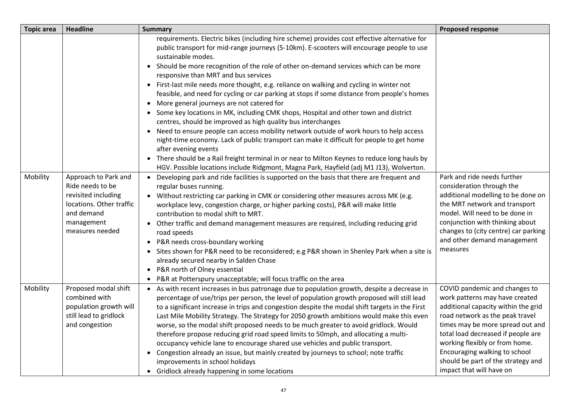| <b>Topic area</b> | <b>Headline</b>                                                                                             | <b>Summary</b>                                                                                                                                                                                                                                                                                                                                                                                                                                                                   | <b>Proposed response</b>                                                                                                                                                                             |
|-------------------|-------------------------------------------------------------------------------------------------------------|----------------------------------------------------------------------------------------------------------------------------------------------------------------------------------------------------------------------------------------------------------------------------------------------------------------------------------------------------------------------------------------------------------------------------------------------------------------------------------|------------------------------------------------------------------------------------------------------------------------------------------------------------------------------------------------------|
|                   |                                                                                                             | requirements. Electric bikes (including hire scheme) provides cost effective alternative for<br>public transport for mid-range journeys (5-10km). E-scooters will encourage people to use<br>sustainable modes.                                                                                                                                                                                                                                                                  |                                                                                                                                                                                                      |
|                   |                                                                                                             | • Should be more recognition of the role of other on-demand services which can be more<br>responsive than MRT and bus services                                                                                                                                                                                                                                                                                                                                                   |                                                                                                                                                                                                      |
|                   |                                                                                                             | First-last mile needs more thought, e.g. reliance on walking and cycling in winter not<br>$\bullet$<br>feasible, and need for cycling or car parking at stops if some distance from people's homes                                                                                                                                                                                                                                                                               |                                                                                                                                                                                                      |
|                   |                                                                                                             | More general journeys are not catered for<br>• Some key locations in MK, including CMK shops, Hospital and other town and district<br>centres, should be improved as high quality bus interchanges                                                                                                                                                                                                                                                                               |                                                                                                                                                                                                      |
|                   |                                                                                                             | Need to ensure people can access mobility network outside of work hours to help access<br>night-time economy. Lack of public transport can make it difficult for people to get home<br>after evening events                                                                                                                                                                                                                                                                      |                                                                                                                                                                                                      |
|                   |                                                                                                             | • There should be a Rail freight terminal in or near to Milton Keynes to reduce long hauls by<br>HGV. Possible locations include Ridgmont, Magna Park, Hayfield (adj M1 J13), Wolverton.                                                                                                                                                                                                                                                                                         |                                                                                                                                                                                                      |
| Mobility          | Approach to Park and<br>Ride needs to be<br>revisited including<br>locations. Other traffic<br>and demand   | Developing park and ride facilities is supported on the basis that there are frequent and<br>regular buses running.<br>Without restricting car parking in CMK or considering other measures across MK (e.g.<br>workplace levy, congestion charge, or higher parking costs), P&R will make little<br>contribution to modal shift to MRT.                                                                                                                                          | Park and ride needs further<br>consideration through the<br>additional modelling to be done on<br>the MRT network and transport<br>model. Will need to be done in<br>conjunction with thinking about |
|                   | management<br>measures needed                                                                               | Other traffic and demand management measures are required, including reducing grid<br>$\bullet$<br>road speeds<br>• P&R needs cross-boundary working<br>• Sites shown for P&R need to be reconsidered; e.g P&R shown in Shenley Park when a site is                                                                                                                                                                                                                              | changes to (city centre) car parking<br>and other demand management<br>measures                                                                                                                      |
|                   |                                                                                                             | already secured nearby in Salden Chase<br>P&R north of Olney essential<br>$\bullet$<br>• P&R at Potterspury unacceptable; will focus traffic on the area                                                                                                                                                                                                                                                                                                                         |                                                                                                                                                                                                      |
| Mobility          | Proposed modal shift<br>combined with<br>population growth will<br>still lead to gridlock<br>and congestion | • As with recent increases in bus patronage due to population growth, despite a decrease in<br>percentage of use/trips per person, the level of population growth proposed will still lead<br>to a significant increase in trips and congestion despite the modal shift targets in the First<br>Last Mile Mobility Strategy. The Strategy for 2050 growth ambitions would make this even<br>worse, so the modal shift proposed needs to be much greater to avoid gridlock. Would | COVID pandemic and changes to<br>work patterns may have created<br>additional capacity within the grid<br>road network as the peak travel<br>times may be more spread out and                        |
|                   |                                                                                                             | therefore propose reducing grid road speed limits to 50mph, and allocating a multi-<br>occupancy vehicle lane to encourage shared use vehicles and public transport.                                                                                                                                                                                                                                                                                                             | total load decreased if people are<br>working flexibly or from home.                                                                                                                                 |
|                   |                                                                                                             | • Congestion already an issue, but mainly created by journeys to school; note traffic<br>improvements in school holidays<br>• Gridlock already happening in some locations                                                                                                                                                                                                                                                                                                       | Encouraging walking to school<br>should be part of the strategy and<br>impact that will have on                                                                                                      |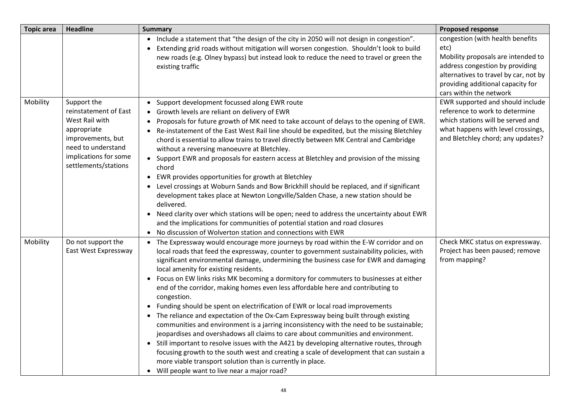| <b>Topic area</b> | <b>Headline</b>                                                                                                                                                   | <b>Summary</b>                                                                                                                                                                                                                                                                                                                                                                                                                                                                                                                                                                                                                                                                                                                                                                                                                                                                                                                                                                                                                                                                                                                                                                                | <b>Proposed response</b>                                                                                                                                                                                                   |
|-------------------|-------------------------------------------------------------------------------------------------------------------------------------------------------------------|-----------------------------------------------------------------------------------------------------------------------------------------------------------------------------------------------------------------------------------------------------------------------------------------------------------------------------------------------------------------------------------------------------------------------------------------------------------------------------------------------------------------------------------------------------------------------------------------------------------------------------------------------------------------------------------------------------------------------------------------------------------------------------------------------------------------------------------------------------------------------------------------------------------------------------------------------------------------------------------------------------------------------------------------------------------------------------------------------------------------------------------------------------------------------------------------------|----------------------------------------------------------------------------------------------------------------------------------------------------------------------------------------------------------------------------|
|                   |                                                                                                                                                                   | Include a statement that "the design of the city in 2050 will not design in congestion".<br>$\bullet$<br>Extending grid roads without mitigation will worsen congestion. Shouldn't look to build<br>new roads (e.g. Olney bypass) but instead look to reduce the need to travel or green the<br>existing traffic                                                                                                                                                                                                                                                                                                                                                                                                                                                                                                                                                                                                                                                                                                                                                                                                                                                                              | congestion (with health benefits<br>etc)<br>Mobility proposals are intended to<br>address congestion by providing<br>alternatives to travel by car, not by<br>providing additional capacity for<br>cars within the network |
| Mobility          | Support the<br>reinstatement of East<br>West Rail with<br>appropriate<br>improvements, but<br>need to understand<br>implications for some<br>settlements/stations | Support development focussed along EWR route<br>• Growth levels are reliant on delivery of EWR<br>Proposals for future growth of MK need to take account of delays to the opening of EWR.<br>$\bullet$<br>Re-instatement of the East West Rail line should be expedited, but the missing Bletchley<br>chord is essential to allow trains to travel directly between MK Central and Cambridge<br>without a reversing manoeuvre at Bletchley.<br>• Support EWR and proposals for eastern access at Bletchley and provision of the missing<br>chord<br>EWR provides opportunities for growth at Bletchley<br>$\bullet$<br>Level crossings at Woburn Sands and Bow Brickhill should be replaced, and if significant<br>$\bullet$<br>development takes place at Newton Longville/Salden Chase, a new station should be<br>delivered.<br>Need clarity over which stations will be open; need to address the uncertainty about EWR<br>$\bullet$<br>and the implications for communities of potential station and road closures<br>No discussion of Wolverton station and connections with EWR                                                                                                        | EWR supported and should include<br>reference to work to determine<br>which stations will be served and<br>what happens with level crossings,<br>and Bletchley chord; any updates?                                         |
| Mobility          | Do not support the<br>East West Expressway                                                                                                                        | The Expressway would encourage more journeys by road within the E-W corridor and on<br>local roads that feed the expressway, counter to government sustainability policies, with<br>significant environmental damage, undermining the business case for EWR and damaging<br>local amenity for existing residents.<br>Focus on EW links risks MK becoming a dormitory for commuters to businesses at either<br>$\bullet$<br>end of the corridor, making homes even less affordable here and contributing to<br>congestion.<br>• Funding should be spent on electrification of EWR or local road improvements<br>• The reliance and expectation of the Ox-Cam Expressway being built through existing<br>communities and environment is a jarring inconsistency with the need to be sustainable;<br>jeopardises and overshadows all claims to care about communities and environment.<br>• Still important to resolve issues with the A421 by developing alternative routes, through<br>focusing growth to the south west and creating a scale of development that can sustain a<br>more viable transport solution than is currently in place.<br>• Will people want to live near a major road? | Check MKC status on expressway.<br>Project has been paused; remove<br>from mapping?                                                                                                                                        |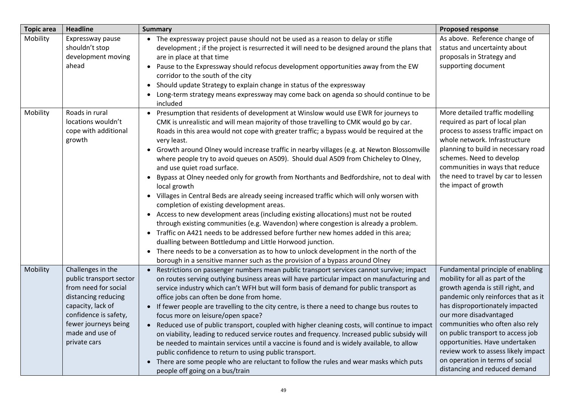| <b>Topic area</b> | <b>Headline</b>                                                                                                                                                                                      | <b>Summary</b>                                                                                                                                                                                                                                                                                                                                                                                                                                                                                                                                                                                                                                                                                                                                                                                                                                                                                                                                                                                                                                                                                                                                                                                                                                                                                  | <b>Proposed response</b>                                                                                                                                                                                                                                                                                                                                                                                                           |
|-------------------|------------------------------------------------------------------------------------------------------------------------------------------------------------------------------------------------------|-------------------------------------------------------------------------------------------------------------------------------------------------------------------------------------------------------------------------------------------------------------------------------------------------------------------------------------------------------------------------------------------------------------------------------------------------------------------------------------------------------------------------------------------------------------------------------------------------------------------------------------------------------------------------------------------------------------------------------------------------------------------------------------------------------------------------------------------------------------------------------------------------------------------------------------------------------------------------------------------------------------------------------------------------------------------------------------------------------------------------------------------------------------------------------------------------------------------------------------------------------------------------------------------------|------------------------------------------------------------------------------------------------------------------------------------------------------------------------------------------------------------------------------------------------------------------------------------------------------------------------------------------------------------------------------------------------------------------------------------|
| Mobility          | Expressway pause<br>shouldn't stop<br>development moving<br>ahead                                                                                                                                    | • The expressway project pause should not be used as a reason to delay or stifle<br>development; if the project is resurrected it will need to be designed around the plans that<br>are in place at that time<br>• Pause to the Expressway should refocus development opportunities away from the EW<br>corridor to the south of the city<br>• Should update Strategy to explain change in status of the expressway<br>Long-term strategy means expressway may come back on agenda so should continue to be<br>included                                                                                                                                                                                                                                                                                                                                                                                                                                                                                                                                                                                                                                                                                                                                                                         | As above. Reference change of<br>status and uncertainty about<br>proposals in Strategy and<br>supporting document                                                                                                                                                                                                                                                                                                                  |
| Mobility          | Roads in rural<br>locations wouldn't<br>cope with additional<br>growth                                                                                                                               | Presumption that residents of development at Winslow would use EWR for journeys to<br>CMK is unrealistic and will mean majority of those travelling to CMK would go by car.<br>Roads in this area would not cope with greater traffic; a bypass would be required at the<br>very least.<br>• Growth around Olney would increase traffic in nearby villages (e.g. at Newton Blossomville<br>where people try to avoid queues on A509). Should dual A509 from Chicheley to Olney,<br>and use quiet road surface.<br>• Bypass at Olney needed only for growth from Northants and Bedfordshire, not to deal with<br>local growth<br>• Villages in Central Beds are already seeing increased traffic which will only worsen with<br>completion of existing development areas.<br>• Access to new development areas (including existing allocations) must not be routed<br>through existing communities (e.g. Wavendon) where congestion is already a problem.<br>Traffic on A421 needs to be addressed before further new homes added in this area;<br>dualling between Bottledump and Little Horwood junction.<br>There needs to be a conversation as to how to unlock development in the north of the<br>$\bullet$<br>borough in a sensitive manner such as the provision of a bypass around Olney | More detailed traffic modelling<br>required as part of local plan<br>process to assess traffic impact on<br>whole network. Infrastructure<br>planning to build in necessary road<br>schemes. Need to develop<br>communities in ways that reduce<br>the need to travel by car to lessen<br>the impact of growth                                                                                                                     |
| Mobility          | Challenges in the<br>public transport sector<br>from need for social<br>distancing reducing<br>capacity, lack of<br>confidence is safety,<br>fewer journeys being<br>made and use of<br>private cars | • Restrictions on passenger numbers mean public transport services cannot survive; impact<br>on routes serving outlying business areas will have particular impact on manufacturing and<br>service industry which can't WFH but will form basis of demand for public transport as<br>office jobs can often be done from home.<br>• If fewer people are travelling to the city centre, is there a need to change bus routes to<br>focus more on leisure/open space?<br>Reduced use of public transport, coupled with higher cleaning costs, will continue to impact<br>on viability, leading to reduced service routes and frequency. Increased public subsidy will<br>be needed to maintain services until a vaccine is found and is widely available, to allow<br>public confidence to return to using public transport.<br>• There are some people who are reluctant to follow the rules and wear masks which puts<br>people off going on a bus/train                                                                                                                                                                                                                                                                                                                                         | Fundamental principle of enabling<br>mobility for all as part of the<br>growth agenda is still right, and<br>pandemic only reinforces that as it<br>has disproportionately impacted<br>our more disadvantaged<br>communities who often also rely<br>on public transport to access job<br>opportunities. Have undertaken<br>review work to assess likely impact<br>on operation in terms of social<br>distancing and reduced demand |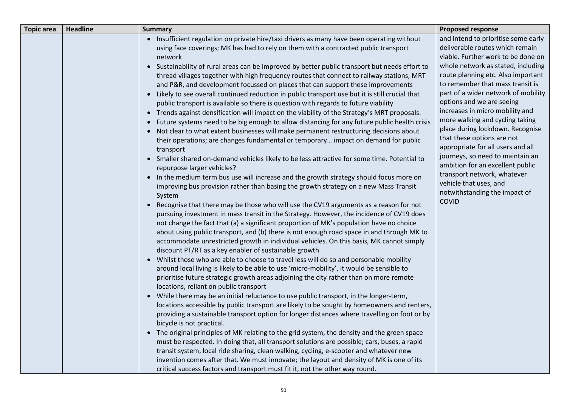| <b>Topic area</b> | <b>Headline</b> | <b>Summary</b>                                                                                                                                                                                                                                                                                                                                                                                                                                                                                                                                                                                                                                                                                                                                                                                                                                                                                                                                                                                                                                                                                                                                                                                                                                                                                                                                                                                                                                                                                                                                                                                                                                                                                                                                                                                                                                                                                                                                                                                                                                                                                                                                                                                                                                                                                                                                                                                                                                                                                                                                                                                                                                                                                                                                                                                                                                                                                                                                                                                                                                                   | <b>Proposed response</b>                                                                                                                                                                                                                                                                                                                                                                                                                                                                                                                                                                                                                                 |
|-------------------|-----------------|------------------------------------------------------------------------------------------------------------------------------------------------------------------------------------------------------------------------------------------------------------------------------------------------------------------------------------------------------------------------------------------------------------------------------------------------------------------------------------------------------------------------------------------------------------------------------------------------------------------------------------------------------------------------------------------------------------------------------------------------------------------------------------------------------------------------------------------------------------------------------------------------------------------------------------------------------------------------------------------------------------------------------------------------------------------------------------------------------------------------------------------------------------------------------------------------------------------------------------------------------------------------------------------------------------------------------------------------------------------------------------------------------------------------------------------------------------------------------------------------------------------------------------------------------------------------------------------------------------------------------------------------------------------------------------------------------------------------------------------------------------------------------------------------------------------------------------------------------------------------------------------------------------------------------------------------------------------------------------------------------------------------------------------------------------------------------------------------------------------------------------------------------------------------------------------------------------------------------------------------------------------------------------------------------------------------------------------------------------------------------------------------------------------------------------------------------------------------------------------------------------------------------------------------------------------------------------------------------------------------------------------------------------------------------------------------------------------------------------------------------------------------------------------------------------------------------------------------------------------------------------------------------------------------------------------------------------------------------------------------------------------------------------------------------------------|----------------------------------------------------------------------------------------------------------------------------------------------------------------------------------------------------------------------------------------------------------------------------------------------------------------------------------------------------------------------------------------------------------------------------------------------------------------------------------------------------------------------------------------------------------------------------------------------------------------------------------------------------------|
|                   |                 | • Insufficient regulation on private hire/taxi drivers as many have been operating without<br>using face coverings; MK has had to rely on them with a contracted public transport<br>network<br>• Sustainability of rural areas can be improved by better public transport but needs effort to<br>thread villages together with high frequency routes that connect to railway stations, MRT<br>and P&R, and development focussed on places that can support these improvements<br>• Likely to see overall continued reduction in public transport use but it is still crucial that<br>public transport is available so there is question with regards to future viability<br>• Trends against densification will impact on the viability of the Strategy's MRT proposals.<br>• Future systems need to be big enough to allow distancing for any future public health crisis<br>• Not clear to what extent businesses will make permanent restructuring decisions about<br>their operations; are changes fundamental or temporary impact on demand for public<br>transport<br>• Smaller shared on-demand vehicles likely to be less attractive for some time. Potential to<br>repurpose larger vehicles?<br>• In the medium term bus use will increase and the growth strategy should focus more on<br>improving bus provision rather than basing the growth strategy on a new Mass Transit<br>System<br>• Recognise that there may be those who will use the CV19 arguments as a reason for not<br>pursuing investment in mass transit in the Strategy. However, the incidence of CV19 does<br>not change the fact that (a) a significant proportion of MK's population have no choice<br>about using public transport, and (b) there is not enough road space in and through MK to<br>accommodate unrestricted growth in individual vehicles. On this basis, MK cannot simply<br>discount PT/RT as a key enabler of sustainable growth<br>• Whilst those who are able to choose to travel less will do so and personable mobility<br>around local living is likely to be able to use 'micro-mobility', it would be sensible to<br>prioritise future strategic growth areas adjoining the city rather than on more remote<br>locations, reliant on public transport<br>• While there may be an initial reluctance to use public transport, in the longer-term,<br>locations accessible by public transport are likely to be sought by homeowners and renters,<br>providing a sustainable transport option for longer distances where travelling on foot or by<br>bicycle is not practical.<br>• The original principles of MK relating to the grid system, the density and the green space<br>must be respected. In doing that, all transport solutions are possible; cars, buses, a rapid<br>transit system, local ride sharing, clean walking, cycling, e-scooter and whatever new<br>invention comes after that. We must innovate; the layout and density of MK is one of its<br>critical success factors and transport must fit it, not the other way round. | and intend to prioritise some early<br>deliverable routes which remain<br>viable. Further work to be done on<br>whole network as stated, including<br>route planning etc. Also important<br>to remember that mass transit is<br>part of a wider network of mobility<br>options and we are seeing<br>increases in micro mobility and<br>more walking and cycling taking<br>place during lockdown. Recognise<br>that these options are not<br>appropriate for all users and all<br>journeys, so need to maintain an<br>ambition for an excellent public<br>transport network, whatever<br>vehicle that uses, and<br>notwithstanding the impact of<br>COVID |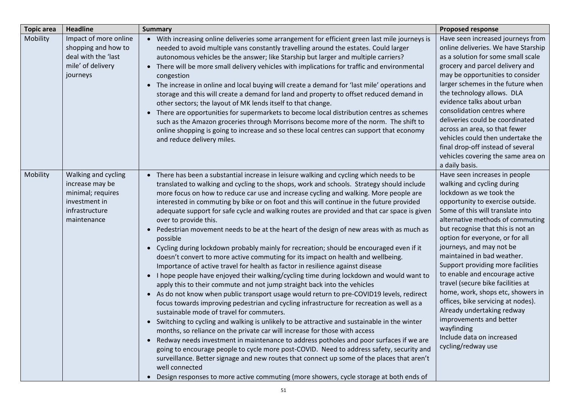| <b>Topic area</b> | <b>Headline</b>                                                                                               | <b>Summary</b>                                                                                                                                                                                                                                                                                                                                                                                                                                                                                                                                                                                                                                                                                                                                                                                                                                                                                                                                                                                                                                                                                                                                                                                                                                                                                                                                                                                                                                                                                                                                                                                                                                                                                                                                                                                                                                                                                                                           | <b>Proposed response</b>                                                                                                                                                                                                                                                                                                                                                                                                                                                                                                                                                                                                                              |
|-------------------|---------------------------------------------------------------------------------------------------------------|------------------------------------------------------------------------------------------------------------------------------------------------------------------------------------------------------------------------------------------------------------------------------------------------------------------------------------------------------------------------------------------------------------------------------------------------------------------------------------------------------------------------------------------------------------------------------------------------------------------------------------------------------------------------------------------------------------------------------------------------------------------------------------------------------------------------------------------------------------------------------------------------------------------------------------------------------------------------------------------------------------------------------------------------------------------------------------------------------------------------------------------------------------------------------------------------------------------------------------------------------------------------------------------------------------------------------------------------------------------------------------------------------------------------------------------------------------------------------------------------------------------------------------------------------------------------------------------------------------------------------------------------------------------------------------------------------------------------------------------------------------------------------------------------------------------------------------------------------------------------------------------------------------------------------------------|-------------------------------------------------------------------------------------------------------------------------------------------------------------------------------------------------------------------------------------------------------------------------------------------------------------------------------------------------------------------------------------------------------------------------------------------------------------------------------------------------------------------------------------------------------------------------------------------------------------------------------------------------------|
| Mobility          | Impact of more online<br>shopping and how to<br>deal with the 'last<br>mile' of delivery<br>journeys          | • With increasing online deliveries some arrangement for efficient green last mile journeys is<br>needed to avoid multiple vans constantly travelling around the estates. Could larger<br>autonomous vehicles be the answer; like Starship but larger and multiple carriers?<br>• There will be more small delivery vehicles with implications for traffic and environmental<br>congestion<br>• The increase in online and local buying will create a demand for 'last mile' operations and<br>storage and this will create a demand for land and property to offset reduced demand in<br>other sectors; the layout of MK lends itself to that change.<br>There are opportunities for supermarkets to become local distribution centres as schemes<br>$\bullet$<br>such as the Amazon groceries through Morrisons become more of the norm. The shift to<br>online shopping is going to increase and so these local centres can support that economy<br>and reduce delivery miles.                                                                                                                                                                                                                                                                                                                                                                                                                                                                                                                                                                                                                                                                                                                                                                                                                                                                                                                                                        | Have seen increased journeys from<br>online deliveries. We have Starship<br>as a solution for some small scale<br>grocery and parcel delivery and<br>may be opportunities to consider<br>larger schemes in the future when<br>the technology allows. DLA<br>evidence talks about urban<br>consolidation centres where<br>deliveries could be coordinated<br>across an area, so that fewer<br>vehicles could then undertake the<br>final drop-off instead of several<br>vehicles covering the same area on<br>a daily basis.                                                                                                                           |
| Mobility          | Walking and cycling<br>increase may be<br>minimal; requires<br>investment in<br>infrastructure<br>maintenance | There has been a substantial increase in leisure walking and cycling which needs to be<br>$\bullet$<br>translated to walking and cycling to the shops, work and schools. Strategy should include<br>more focus on how to reduce car use and increase cycling and walking. More people are<br>interested in commuting by bike or on foot and this will continue in the future provided<br>adequate support for safe cycle and walking routes are provided and that car space is given<br>over to provide this.<br>Pedestrian movement needs to be at the heart of the design of new areas with as much as<br>$\bullet$<br>possible<br>• Cycling during lockdown probably mainly for recreation; should be encouraged even if it<br>doesn't convert to more active commuting for its impact on health and wellbeing.<br>Importance of active travel for health as factor in resilience against disease<br>I hope people have enjoyed their walking/cycling time during lockdown and would want to<br>$\bullet$<br>apply this to their commute and not jump straight back into the vehicles<br>• As do not know when public transport usage would return to pre-COVID19 levels, redirect<br>focus towards improving pedestrian and cycling infrastructure for recreation as well as a<br>sustainable mode of travel for commuters.<br>• Switching to cycling and walking is unlikely to be attractive and sustainable in the winter<br>months, so reliance on the private car will increase for those with access<br>Redway needs investment in maintenance to address potholes and poor surfaces if we are<br>$\bullet$<br>going to encourage people to cycle more post-COVID. Need to address safety, security and<br>surveillance. Better signage and new routes that connect up some of the places that aren't<br>well connected<br>Design responses to more active commuting (more showers, cycle storage at both ends of<br>$\bullet$ | Have seen increases in people<br>walking and cycling during<br>lockdown as we took the<br>opportunity to exercise outside.<br>Some of this will translate into<br>alternative methods of commuting<br>but recognise that this is not an<br>option for everyone, or for all<br>journeys, and may not be<br>maintained in bad weather.<br>Support providing more facilities<br>to enable and encourage active<br>travel (secure bike facilities at<br>home, work, shops etc, showers in<br>offices, bike servicing at nodes).<br>Already undertaking redway<br>improvements and better<br>wayfinding<br>Include data on increased<br>cycling/redway use |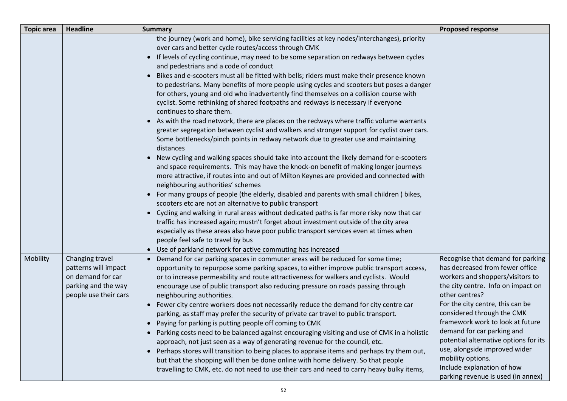| <b>Topic area</b> | <b>Headline</b>                                                                                              | <b>Summary</b>                                                                                                                                                                                                                                                                                                                                                                                                                                                                                                                                                                                                                  | <b>Proposed response</b>                                                                                                                                                                                                  |
|-------------------|--------------------------------------------------------------------------------------------------------------|---------------------------------------------------------------------------------------------------------------------------------------------------------------------------------------------------------------------------------------------------------------------------------------------------------------------------------------------------------------------------------------------------------------------------------------------------------------------------------------------------------------------------------------------------------------------------------------------------------------------------------|---------------------------------------------------------------------------------------------------------------------------------------------------------------------------------------------------------------------------|
|                   |                                                                                                              | the journey (work and home), bike servicing facilities at key nodes/interchanges), priority<br>over cars and better cycle routes/access through CMK<br>• If levels of cycling continue, may need to be some separation on redways between cycles<br>and pedestrians and a code of conduct                                                                                                                                                                                                                                                                                                                                       |                                                                                                                                                                                                                           |
|                   |                                                                                                              | Bikes and e-scooters must all be fitted with bells; riders must make their presence known<br>to pedestrians. Many benefits of more people using cycles and scooters but poses a danger<br>for others, young and old who inadvertently find themselves on a collision course with<br>cyclist. Some rethinking of shared footpaths and redways is necessary if everyone<br>continues to share them.<br>• As with the road network, there are places on the redways where traffic volume warrants<br>greater segregation between cyclist and walkers and stronger support for cyclist over cars.                                   |                                                                                                                                                                                                                           |
|                   |                                                                                                              | Some bottlenecks/pinch points in redway network due to greater use and maintaining<br>distances                                                                                                                                                                                                                                                                                                                                                                                                                                                                                                                                 |                                                                                                                                                                                                                           |
|                   |                                                                                                              | • New cycling and walking spaces should take into account the likely demand for e-scooters<br>and space requirements. This may have the knock-on benefit of making longer journeys<br>more attractive, if routes into and out of Milton Keynes are provided and connected with<br>neighbouring authorities' schemes                                                                                                                                                                                                                                                                                                             |                                                                                                                                                                                                                           |
|                   |                                                                                                              | • For many groups of people (the elderly, disabled and parents with small children) bikes,<br>scooters etc are not an alternative to public transport<br>Cycling and walking in rural areas without dedicated paths is far more risky now that car                                                                                                                                                                                                                                                                                                                                                                              |                                                                                                                                                                                                                           |
|                   |                                                                                                              | traffic has increased again; mustn't forget about investment outside of the city area<br>especially as these areas also have poor public transport services even at times when<br>people feel safe to travel by bus                                                                                                                                                                                                                                                                                                                                                                                                             |                                                                                                                                                                                                                           |
|                   |                                                                                                              | • Use of parkland network for active commuting has increased                                                                                                                                                                                                                                                                                                                                                                                                                                                                                                                                                                    |                                                                                                                                                                                                                           |
| Mobility          | Changing travel<br>patterns will impact<br>on demand for car<br>parking and the way<br>people use their cars | Demand for car parking spaces in commuter areas will be reduced for some time;<br>opportunity to repurpose some parking spaces, to either improve public transport access,<br>or to increase permeability and route attractiveness for walkers and cyclists. Would<br>encourage use of public transport also reducing pressure on roads passing through<br>neighbouring authorities.<br>• Fewer city centre workers does not necessarily reduce the demand for city centre car                                                                                                                                                  | Recognise that demand for parking<br>has decreased from fewer office<br>workers and shoppers/visitors to<br>the city centre. Info on impact on<br>other centres?<br>For the city centre, this can be                      |
|                   |                                                                                                              | parking, as staff may prefer the security of private car travel to public transport.<br>• Paying for parking is putting people off coming to CMK<br>Parking costs need to be balanced against encouraging visiting and use of CMK in a holistic<br>$\bullet$<br>approach, not just seen as a way of generating revenue for the council, etc.<br>• Perhaps stores will transition to being places to appraise items and perhaps try them out,<br>but that the shopping will then be done online with home delivery. So that people<br>travelling to CMK, etc. do not need to use their cars and need to carry heavy bulky items, | considered through the CMK<br>framework work to look at future<br>demand for car parking and<br>potential alternative options for its<br>use, alongside improved wider<br>mobility options.<br>Include explanation of how |
|                   |                                                                                                              |                                                                                                                                                                                                                                                                                                                                                                                                                                                                                                                                                                                                                                 | parking revenue is used (in annex)                                                                                                                                                                                        |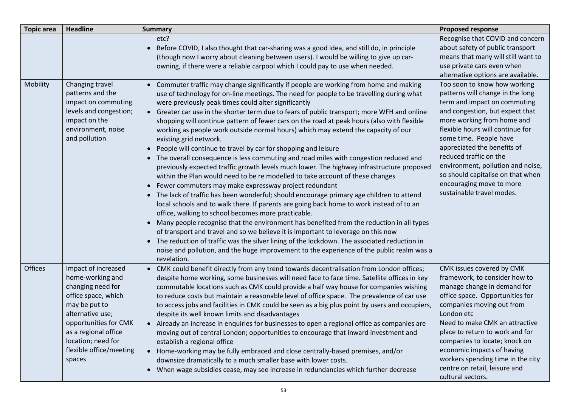| <b>Topic area</b> | <b>Headline</b>                                                                                                                                                                                                                      | <b>Summary</b>                                                                                                                                                                                                                                                                                                                                                                                                                                                                                                                                                                                                                                                                                                                                                                                                                                                                                                                                                                                                                                                                                                                                                                                                                                                                                                                                                                                                                                                                                                                                                                                                                    | <b>Proposed response</b>                                                                                                                                                                                                                                                                                                                                                                                                    |
|-------------------|--------------------------------------------------------------------------------------------------------------------------------------------------------------------------------------------------------------------------------------|-----------------------------------------------------------------------------------------------------------------------------------------------------------------------------------------------------------------------------------------------------------------------------------------------------------------------------------------------------------------------------------------------------------------------------------------------------------------------------------------------------------------------------------------------------------------------------------------------------------------------------------------------------------------------------------------------------------------------------------------------------------------------------------------------------------------------------------------------------------------------------------------------------------------------------------------------------------------------------------------------------------------------------------------------------------------------------------------------------------------------------------------------------------------------------------------------------------------------------------------------------------------------------------------------------------------------------------------------------------------------------------------------------------------------------------------------------------------------------------------------------------------------------------------------------------------------------------------------------------------------------------|-----------------------------------------------------------------------------------------------------------------------------------------------------------------------------------------------------------------------------------------------------------------------------------------------------------------------------------------------------------------------------------------------------------------------------|
|                   |                                                                                                                                                                                                                                      | etc?<br>Before COVID, I also thought that car-sharing was a good idea, and still do, in principle<br>$\bullet$<br>(though now I worry about cleaning between users). I would be willing to give up car-<br>owning, if there were a reliable carpool which I could pay to use when needed.                                                                                                                                                                                                                                                                                                                                                                                                                                                                                                                                                                                                                                                                                                                                                                                                                                                                                                                                                                                                                                                                                                                                                                                                                                                                                                                                         | Recognise that COVID and concern<br>about safety of public transport<br>means that many will still want to<br>use private cars even when<br>alternative options are available.                                                                                                                                                                                                                                              |
| Mobility          | Changing travel<br>patterns and the<br>impact on commuting<br>levels and congestion;<br>impact on the<br>environment, noise<br>and pollution                                                                                         | • Commuter traffic may change significantly if people are working from home and making<br>use of technology for on-line meetings. The need for people to be travelling during what<br>were previously peak times could alter significantly<br>• Greater car use in the shorter term due to fears of public transport; more WFH and online<br>shopping will continue pattern of fewer cars on the road at peak hours (also with flexible<br>working as people work outside normal hours) which may extend the capacity of our<br>existing grid network.<br>People will continue to travel by car for shopping and leisure<br>• The overall consequence is less commuting and road miles with congestion reduced and<br>previously expected traffic growth levels much lower. The highway infrastructure proposed<br>within the Plan would need to be re modelled to take account of these changes<br>• Fewer commuters may make expressway project redundant<br>The lack of traffic has been wonderful; should encourage primary age children to attend<br>$\bullet$<br>local schools and to walk there. If parents are going back home to work instead of to an<br>office, walking to school becomes more practicable.<br>Many people recognise that the environment has benefited from the reduction in all types<br>$\bullet$<br>of transport and travel and so we believe it is important to leverage on this now<br>• The reduction of traffic was the silver lining of the lockdown. The associated reduction in<br>noise and pollution, and the huge improvement to the experience of the public realm was a<br>revelation. | Too soon to know how working<br>patterns will change in the long<br>term and impact on commuting<br>and congestion, but expect that<br>more working from home and<br>flexible hours will continue for<br>some time. People have<br>appreciated the benefits of<br>reduced traffic on the<br>environment, pollution and noise,<br>so should capitalise on that when<br>encouraging move to more<br>sustainable travel modes. |
| Offices           | Impact of increased<br>home-working and<br>changing need for<br>office space, which<br>may be put to<br>alternative use;<br>opportunities for CMK<br>as a regional office<br>location; need for<br>flexible office/meeting<br>spaces | CMK could benefit directly from any trend towards decentralisation from London offices;<br>$\bullet$<br>despite home working, some businesses will need face to face time. Satellite offices in key<br>commutable locations such as CMK could provide a half way house for companies wishing<br>to reduce costs but maintain a reasonable level of office space. The prevalence of car use<br>to access jobs and facilities in CMK could be seen as a big plus point by users and occupiers,<br>despite its well known limits and disadvantages<br>• Already an increase in enquiries for businesses to open a regional office as companies are<br>moving out of central London; opportunities to encourage that inward investment and<br>establish a regional office<br>• Home-working may be fully embraced and close centrally-based premises, and/or<br>downsize dramatically to a much smaller base with lower costs.<br>• When wage subsidies cease, may see increase in redundancies which further decrease                                                                                                                                                                                                                                                                                                                                                                                                                                                                                                                                                                                                                | CMK issues covered by CMK<br>framework, to consider how to<br>manage change in demand for<br>office space. Opportunities for<br>companies moving out from<br>London etc<br>Need to make CMK an attractive<br>place to return to work and for<br>companies to locate; knock on<br>economic impacts of having<br>workers spending time in the city<br>centre on retail, leisure and<br>cultural sectors.                      |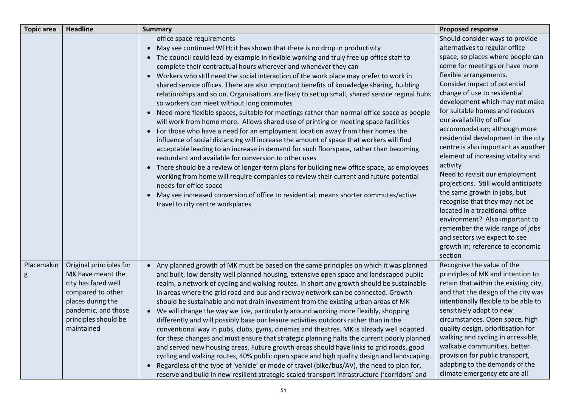| <b>Topic area</b> | <b>Headline</b>                                                                                                                                                            | <b>Summary</b>                                                                                                                                                                                                                                                                                                                                                                                                                                                                                                                                                                                                                                                                                                                                                                                                                                                                                                                                                                                                                                                                                                                                                                                                                                                                                                                                                                                                                                                                                                       | <b>Proposed response</b>                                                                                                                                                                                                                                                                                                                                                                                                                                                                                                                                                                                                                                                                                                                                                                                                               |
|-------------------|----------------------------------------------------------------------------------------------------------------------------------------------------------------------------|----------------------------------------------------------------------------------------------------------------------------------------------------------------------------------------------------------------------------------------------------------------------------------------------------------------------------------------------------------------------------------------------------------------------------------------------------------------------------------------------------------------------------------------------------------------------------------------------------------------------------------------------------------------------------------------------------------------------------------------------------------------------------------------------------------------------------------------------------------------------------------------------------------------------------------------------------------------------------------------------------------------------------------------------------------------------------------------------------------------------------------------------------------------------------------------------------------------------------------------------------------------------------------------------------------------------------------------------------------------------------------------------------------------------------------------------------------------------------------------------------------------------|----------------------------------------------------------------------------------------------------------------------------------------------------------------------------------------------------------------------------------------------------------------------------------------------------------------------------------------------------------------------------------------------------------------------------------------------------------------------------------------------------------------------------------------------------------------------------------------------------------------------------------------------------------------------------------------------------------------------------------------------------------------------------------------------------------------------------------------|
|                   |                                                                                                                                                                            | office space requirements<br>May see continued WFH; it has shown that there is no drop in productivity<br>• The council could lead by example in flexible working and truly free up office staff to<br>complete their contractual hours wherever and whenever they can<br>• Workers who still need the social interaction of the work place may prefer to work in<br>shared service offices. There are also important benefits of knowledge sharing, building<br>relationships and so on. Organisations are likely to set up small, shared service reginal hubs<br>so workers can meet without long commutes<br>• Need more flexible spaces, suitable for meetings rather than normal office space as people<br>will work from home more. Allows shared use of printing or meeting space facilities<br>For those who have a need for an employment location away from their homes the<br>$\bullet$<br>influence of social distancing will increase the amount of space that workers will find<br>acceptable leading to an increase in demand for such floorspace, rather than becoming<br>redundant and available for conversion to other uses<br>There should be a review of longer-term plans for building new office space, as employees<br>$\bullet$<br>working from home will require companies to review their current and future potential<br>needs for office space<br>May see increased conversion of office to residential; means shorter commutes/active<br>$\bullet$<br>travel to city centre workplaces | Should consider ways to provide<br>alternatives to regular office<br>space, so places where people can<br>come for meetings or have more<br>flexible arrangements.<br>Consider impact of potential<br>change of use to residential<br>development which may not make<br>for suitable homes and reduces<br>our availability of office<br>accommodation; although more<br>residential development in the city<br>centre is also important as another<br>element of increasing vitality and<br>activity<br>Need to revisit our employment<br>projections. Still would anticipate<br>the same growth in jobs, but<br>recognise that they may not be<br>located in a traditional office<br>environment? Also important to<br>remember the wide range of jobs<br>and sectors we expect to see<br>growth in; reference to economic<br>section |
| Placemakin        | Original principles for<br>MK have meant the<br>city has fared well<br>compared to other<br>places during the<br>pandemic, and those<br>principles should be<br>maintained | • Any planned growth of MK must be based on the same principles on which it was planned<br>and built, low density well planned housing, extensive open space and landscaped public<br>realm, a network of cycling and walking routes. In short any growth should be sustainable<br>in areas where the grid road and bus and redway network can be connected. Growth<br>should be sustainable and not drain investment from the existing urban areas of MK<br>• We will change the way we live, particularly around working more flexibly, shopping<br>differently and will possibly base our leisure activities outdoors rather than in the<br>conventional way in pubs, clubs, gyms, cinemas and theatres. MK is already well adapted<br>for these changes and must ensure that strategic planning halts the current poorly planned<br>and served new housing areas. Future growth areas should have links to grid roads, good<br>cycling and walking routes, 40% public open space and high quality design and landscaping<br>Regardless of the type of 'vehicle' or mode of travel (bike/bus/AV), the need to plan for,<br>$\bullet$<br>reserve and build in new resilient strategic-scaled transport infrastructure ('corridors' and                                                                                                                                                                                                                                                                             | Recognise the value of the<br>principles of MK and intention to<br>retain that within the existing city,<br>and that the design of the city was<br>intentionally flexible to be able to<br>sensitively adapt to new<br>circumstances. Open space, high<br>quality design, prioritisation for<br>walking and cycling in accessible,<br>walkable communities, better<br>provision for public transport,<br>adapting to the demands of the<br>climate emergency etc are all                                                                                                                                                                                                                                                                                                                                                               |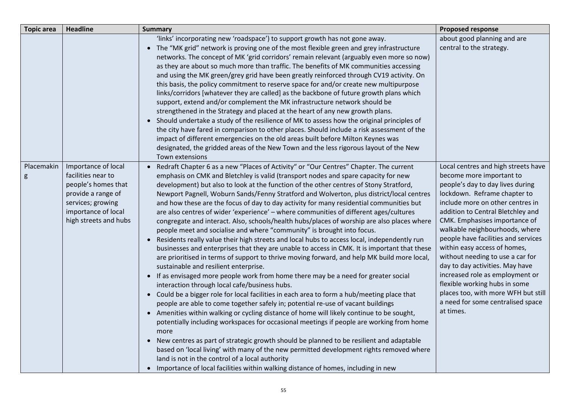| <b>Topic area</b> | <b>Headline</b>                                                                                                                                             | <b>Summary</b>                                                                                                                                                                                                                                                                                                                                                                                                                                                                                                                                                                                                                                                                                                                                                                                                                                                                                                                                                                                                                                                                                                                                                                                                                                                                                                                                                                                                                                                                                                                                                                                                                                                                                                                                                                                                                                                                                                                       | <b>Proposed response</b>                                                                                                                                                                                                                                                                                                                                                                                                                                                                                                                                                                   |
|-------------------|-------------------------------------------------------------------------------------------------------------------------------------------------------------|--------------------------------------------------------------------------------------------------------------------------------------------------------------------------------------------------------------------------------------------------------------------------------------------------------------------------------------------------------------------------------------------------------------------------------------------------------------------------------------------------------------------------------------------------------------------------------------------------------------------------------------------------------------------------------------------------------------------------------------------------------------------------------------------------------------------------------------------------------------------------------------------------------------------------------------------------------------------------------------------------------------------------------------------------------------------------------------------------------------------------------------------------------------------------------------------------------------------------------------------------------------------------------------------------------------------------------------------------------------------------------------------------------------------------------------------------------------------------------------------------------------------------------------------------------------------------------------------------------------------------------------------------------------------------------------------------------------------------------------------------------------------------------------------------------------------------------------------------------------------------------------------------------------------------------------|--------------------------------------------------------------------------------------------------------------------------------------------------------------------------------------------------------------------------------------------------------------------------------------------------------------------------------------------------------------------------------------------------------------------------------------------------------------------------------------------------------------------------------------------------------------------------------------------|
|                   |                                                                                                                                                             | 'links' incorporating new 'roadspace') to support growth has not gone away.<br>• The "MK grid" network is proving one of the most flexible green and grey infrastructure<br>networks. The concept of MK 'grid corridors' remain relevant (arguably even more so now)<br>as they are about so much more than traffic. The benefits of MK communities accessing<br>and using the MK green/grey grid have been greatly reinforced through CV19 activity. On<br>this basis, the policy commitment to reserve space for and/or create new multipurpose<br>links/corridors [whatever they are called] as the backbone of future growth plans which<br>support, extend and/or complement the MK infrastructure network should be<br>strengthened in the Strategy and placed at the heart of any new growth plans.<br>• Should undertake a study of the resilience of MK to assess how the original principles of<br>the city have fared in comparison to other places. Should include a risk assessment of the<br>impact of different emergencies on the old areas built before Milton Keynes was<br>designated, the gridded areas of the New Town and the less rigorous layout of the New<br>Town extensions                                                                                                                                                                                                                                                                                                                                                                                                                                                                                                                                                                                                                                                                                                                               | about good planning and are<br>central to the strategy.                                                                                                                                                                                                                                                                                                                                                                                                                                                                                                                                    |
| Placemakin<br>g   | Importance of local<br>facilities near to<br>people's homes that<br>provide a range of<br>services; growing<br>importance of local<br>high streets and hubs | Redraft Chapter 6 as a new "Places of Activity" or "Our Centres" Chapter. The current<br>emphasis on CMK and Bletchley is valid (transport nodes and spare capacity for new<br>development) but also to look at the function of the other centres of Stony Stratford,<br>Newport Pagnell, Woburn Sands/Fenny Stratford and Wolverton, plus district/local centres<br>and how these are the focus of day to day activity for many residential communities but<br>are also centres of wider 'experience' - where communities of different ages/cultures<br>congregate and interact. Also, schools/health hubs/places of worship are also places where<br>people meet and socialise and where "community" is brought into focus.<br>• Residents really value their high streets and local hubs to access local, independently run<br>businesses and enterprises that they are unable to access in CMK. It is important that these<br>are prioritised in terms of support to thrive moving forward, and help MK build more local,<br>sustainable and resilient enterprise.<br>• If as envisaged more people work from home there may be a need for greater social<br>interaction through local cafe/business hubs.<br>• Could be a bigger role for local facilities in each area to form a hub/meeting place that<br>people are able to come together safely in; potential re-use of vacant buildings<br>• Amenities within walking or cycling distance of home will likely continue to be sought,<br>potentially including workspaces for occasional meetings if people are working from home<br>more<br>• New centres as part of strategic growth should be planned to be resilient and adaptable<br>based on 'local living' with many of the new permitted development rights removed where<br>land is not in the control of a local authority<br>• Importance of local facilities within walking distance of homes, including in new | Local centres and high streets have<br>become more important to<br>people's day to day lives during<br>lockdown. Reframe chapter to<br>include more on other centres in<br>addition to Central Bletchley and<br>CMK. Emphasises importance of<br>walkable neighbourhoods, where<br>people have facilities and services<br>within easy access of homes,<br>without needing to use a car for<br>day to day activities. May have<br>increased role as employment or<br>flexible working hubs in some<br>places too, with more WFH but still<br>a need for some centralised space<br>at times. |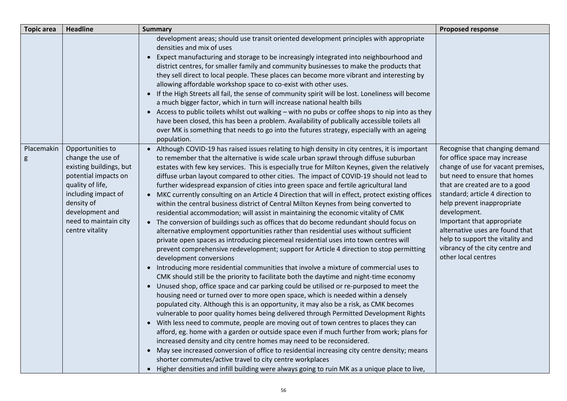| <b>Topic area</b> | <b>Headline</b>                                                                                                                                                                                                  | <b>Summary</b>                                                                                                                                                                                                                                                                                                                                                                                                                                                                                                                                                                                                                                                                                                                                                                                                                                                                                                                                                                                                                                                                                                                                                                                                                                                                                                                                                                                                                                                                                                                                                                                                                                                                                                                                                                                                                                                                                                                                                                                                                                                                                                                                                                                                                                           | <b>Proposed response</b>                                                                                                                                                                                                                                                                                                                                                                                                  |
|-------------------|------------------------------------------------------------------------------------------------------------------------------------------------------------------------------------------------------------------|----------------------------------------------------------------------------------------------------------------------------------------------------------------------------------------------------------------------------------------------------------------------------------------------------------------------------------------------------------------------------------------------------------------------------------------------------------------------------------------------------------------------------------------------------------------------------------------------------------------------------------------------------------------------------------------------------------------------------------------------------------------------------------------------------------------------------------------------------------------------------------------------------------------------------------------------------------------------------------------------------------------------------------------------------------------------------------------------------------------------------------------------------------------------------------------------------------------------------------------------------------------------------------------------------------------------------------------------------------------------------------------------------------------------------------------------------------------------------------------------------------------------------------------------------------------------------------------------------------------------------------------------------------------------------------------------------------------------------------------------------------------------------------------------------------------------------------------------------------------------------------------------------------------------------------------------------------------------------------------------------------------------------------------------------------------------------------------------------------------------------------------------------------------------------------------------------------------------------------------------------------|---------------------------------------------------------------------------------------------------------------------------------------------------------------------------------------------------------------------------------------------------------------------------------------------------------------------------------------------------------------------------------------------------------------------------|
|                   |                                                                                                                                                                                                                  | development areas; should use transit oriented development principles with appropriate<br>densities and mix of uses<br>Expect manufacturing and storage to be increasingly integrated into neighbourhood and<br>$\bullet$<br>district centres, for smaller family and community businesses to make the products that<br>they sell direct to local people. These places can become more vibrant and interesting by<br>allowing affordable workshop space to co-exist with other uses.<br>• If the High Streets all fail, the sense of community spirit will be lost. Loneliness will become<br>a much bigger factor, which in turn will increase national health bills<br>• Access to public toilets whilst out walking - with no pubs or coffee shops to nip into as they<br>have been closed, this has been a problem. Availability of publically accessible toilets all<br>over MK is something that needs to go into the futures strategy, especially with an ageing<br>population.                                                                                                                                                                                                                                                                                                                                                                                                                                                                                                                                                                                                                                                                                                                                                                                                                                                                                                                                                                                                                                                                                                                                                                                                                                                                   |                                                                                                                                                                                                                                                                                                                                                                                                                           |
| Placemakin<br>g   | Opportunities to<br>change the use of<br>existing buildings, but<br>potential impacts on<br>quality of life,<br>including impact of<br>density of<br>development and<br>need to maintain city<br>centre vitality | • Although COVID-19 has raised issues relating to high density in city centres, it is important<br>to remember that the alternative is wide scale urban sprawl through diffuse suburban<br>estates with few key services. This is especially true for Milton Keynes, given the relatively<br>diffuse urban layout compared to other cities. The impact of COVID-19 should not lead to<br>further widespread expansion of cities into green space and fertile agricultural land<br>• MKC currently consulting on an Article 4 Direction that will in effect, protect existing offices<br>within the central business district of Central Milton Keynes from being converted to<br>residential accommodation; will assist in maintaining the economic vitality of CMK<br>• The conversion of buildings such as offices that do become redundant should focus on<br>alternative employment opportunities rather than residential uses without sufficient<br>private open spaces as introducing piecemeal residential uses into town centres will<br>prevent comprehensive redevelopment; support for Article 4 direction to stop permitting<br>development conversions<br>• Introducing more residential communities that involve a mixture of commercial uses to<br>CMK should still be the priority to facilitate both the daytime and night-time economy<br>• Unused shop, office space and car parking could be utilised or re-purposed to meet the<br>housing need or turned over to more open space, which is needed within a densely<br>populated city. Although this is an opportunity, it may also be a risk, as CMK becomes<br>vulnerable to poor quality homes being delivered through Permitted Development Rights<br>• With less need to commute, people are moving out of town centres to places they can<br>afford, eg. home with a garden or outside space even if much further from work; plans for<br>increased density and city centre homes may need to be reconsidered.<br>• May see increased conversion of office to residential increasing city centre density; means<br>shorter commutes/active travel to city centre workplaces<br>• Higher densities and infill building were always going to ruin MK as a unique place to live, | Recognise that changing demand<br>for office space may increase<br>change of use for vacant premises,<br>but need to ensure that homes<br>that are created are to a good<br>standard; article 4 direction to<br>help prevent inappropriate<br>development.<br>Important that appropriate<br>alternative uses are found that<br>help to support the vitality and<br>vibrancy of the city centre and<br>other local centres |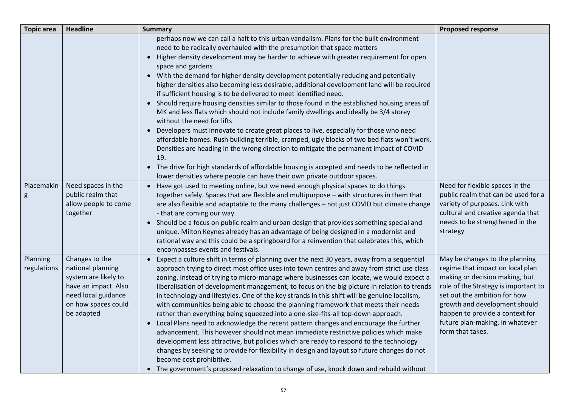| <b>Topic area</b>       | <b>Headline</b>                                                                                                                                 | <b>Summary</b>                                                                                                                                                                                                                                                                                                                                                                                                                                                                                                                                                                                                                                                                                                                                                                                                                                                                                                                                                                                                                                                                                                                                                                                                                                | <b>Proposed response</b>                                                                                                                                                                                                                                                                                |
|-------------------------|-------------------------------------------------------------------------------------------------------------------------------------------------|-----------------------------------------------------------------------------------------------------------------------------------------------------------------------------------------------------------------------------------------------------------------------------------------------------------------------------------------------------------------------------------------------------------------------------------------------------------------------------------------------------------------------------------------------------------------------------------------------------------------------------------------------------------------------------------------------------------------------------------------------------------------------------------------------------------------------------------------------------------------------------------------------------------------------------------------------------------------------------------------------------------------------------------------------------------------------------------------------------------------------------------------------------------------------------------------------------------------------------------------------|---------------------------------------------------------------------------------------------------------------------------------------------------------------------------------------------------------------------------------------------------------------------------------------------------------|
|                         |                                                                                                                                                 | perhaps now we can call a halt to this urban vandalism. Plans for the built environment<br>need to be radically overhauled with the presumption that space matters<br>• Higher density development may be harder to achieve with greater requirement for open<br>space and gardens<br>• With the demand for higher density development potentially reducing and potentially<br>higher densities also becoming less desirable, additional development land will be required<br>if sufficient housing is to be delivered to meet identified need.<br>• Should require housing densities similar to those found in the established housing areas of<br>MK and less flats which should not include family dwellings and ideally be 3/4 storey<br>without the need for lifts<br>Developers must innovate to create great places to live, especially for those who need<br>affordable homes. Rush building terrible, cramped, ugly blocks of two bed flats won't work.<br>Densities are heading in the wrong direction to mitigate the permanent impact of COVID<br>19.<br>• The drive for high standards of affordable housing is accepted and needs to be reflected in<br>lower densities where people can have their own private outdoor spaces. |                                                                                                                                                                                                                                                                                                         |
| Placemakin<br>g         | Need spaces in the<br>public realm that<br>allow people to come<br>together                                                                     | • Have got used to meeting online, but we need enough physical spaces to do things<br>together safely. Spaces that are flexible and multipurpose - with structures in them that<br>are also flexible and adaptable to the many challenges - not just COVID but climate change<br>- that are coming our way.<br>• Should be a focus on public realm and urban design that provides something special and<br>unique. Milton Keynes already has an advantage of being designed in a modernist and<br>rational way and this could be a springboard for a reinvention that celebrates this, which<br>encompasses events and festivals.                                                                                                                                                                                                                                                                                                                                                                                                                                                                                                                                                                                                             | Need for flexible spaces in the<br>public realm that can be used for a<br>variety of purposes. Link with<br>cultural and creative agenda that<br>needs to be strengthened in the<br>strategy                                                                                                            |
| Planning<br>regulations | Changes to the<br>national planning<br>system are likely to<br>have an impact. Also<br>need local guidance<br>on how spaces could<br>be adapted | • Expect a culture shift in terms of planning over the next 30 years, away from a sequential<br>approach trying to direct most office uses into town centres and away from strict use class<br>zoning. Instead of trying to micro-manage where businesses can locate, we would expect a<br>liberalisation of development management, to focus on the big picture in relation to trends<br>in technology and lifestyles. One of the key strands in this shift will be genuine localism,<br>with communities being able to choose the planning framework that meets their needs<br>rather than everything being squeezed into a one-size-fits-all top-down approach.<br>• Local Plans need to acknowledge the recent pattern changes and encourage the further<br>advancement. This however should not mean immediate restrictive policies which make<br>development less attractive, but policies which are ready to respond to the technology<br>changes by seeking to provide for flexibility in design and layout so future changes do not<br>become cost prohibitive.<br>• The government's proposed relaxation to change of use, knock down and rebuild without                                                                           | May be changes to the planning<br>regime that impact on local plan<br>making or decision making, but<br>role of the Strategy is important to<br>set out the ambition for how<br>growth and development should<br>happen to provide a context for<br>future plan-making, in whatever<br>form that takes. |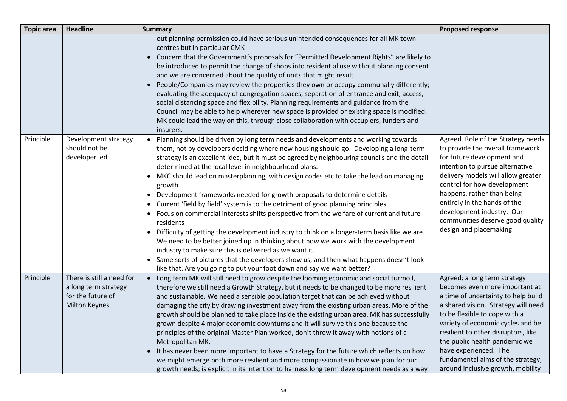| <b>Topic area</b> | <b>Headline</b>                                                                                | <b>Summary</b>                                                                                                                                                                                                                                                                                                                                                                                                                                                                                                                                                                                                                                                                                                                                                                                                                                                                                                                                                                                                                                                                                                                              | <b>Proposed response</b>                                                                                                                                                                                                                                                                                                                                                                      |
|-------------------|------------------------------------------------------------------------------------------------|---------------------------------------------------------------------------------------------------------------------------------------------------------------------------------------------------------------------------------------------------------------------------------------------------------------------------------------------------------------------------------------------------------------------------------------------------------------------------------------------------------------------------------------------------------------------------------------------------------------------------------------------------------------------------------------------------------------------------------------------------------------------------------------------------------------------------------------------------------------------------------------------------------------------------------------------------------------------------------------------------------------------------------------------------------------------------------------------------------------------------------------------|-----------------------------------------------------------------------------------------------------------------------------------------------------------------------------------------------------------------------------------------------------------------------------------------------------------------------------------------------------------------------------------------------|
|                   |                                                                                                | out planning permission could have serious unintended consequences for all MK town<br>centres but in particular CMK<br>• Concern that the Government's proposals for "Permitted Development Rights" are likely to<br>be introduced to permit the change of shops into residential use without planning consent<br>and we are concerned about the quality of units that might result<br>• People/Companies may review the properties they own or occupy communally differently;<br>evaluating the adequacy of congregation spaces, separation of entrance and exit, access,<br>social distancing space and flexibility. Planning requirements and guidance from the<br>Council may be able to help wherever new space is provided or existing space is modified.<br>MK could lead the way on this, through close collaboration with occupiers, funders and<br>insurers.                                                                                                                                                                                                                                                                      |                                                                                                                                                                                                                                                                                                                                                                                               |
| Principle         | Development strategy<br>should not be<br>developer led                                         | • Planning should be driven by long term needs and developments and working towards<br>them, not by developers deciding where new housing should go. Developing a long-term<br>strategy is an excellent idea, but it must be agreed by neighbouring councils and the detail<br>determined at the local level in neighbourhood plans.<br>• MKC should lead on masterplanning, with design codes etc to take the lead on managing<br>growth<br>• Development frameworks needed for growth proposals to determine details<br>• Current 'field by field' system is to the detriment of good planning principles<br>• Focus on commercial interests shifts perspective from the welfare of current and future<br>residents<br>• Difficulty of getting the development industry to think on a longer-term basis like we are.<br>We need to be better joined up in thinking about how we work with the development<br>industry to make sure this is delivered as we want it.<br>• Same sorts of pictures that the developers show us, and then what happens doesn't look<br>like that. Are you going to put your foot down and say we want better? | Agreed. Role of the Strategy needs<br>to provide the overall framework<br>for future development and<br>intention to pursue alternative<br>delivery models will allow greater<br>control for how development<br>happens, rather than being<br>entirely in the hands of the<br>development industry. Our<br>communities deserve good quality<br>design and placemaking                         |
| Principle         | There is still a need for<br>a long term strategy<br>for the future of<br><b>Milton Keynes</b> | • Long term MK will still need to grow despite the looming economic and social turmoil,<br>therefore we still need a Growth Strategy, but it needs to be changed to be more resilient<br>and sustainable. We need a sensible population target that can be achieved without<br>damaging the city by drawing investment away from the existing urban areas. More of the<br>growth should be planned to take place inside the existing urban area. MK has successfully<br>grown despite 4 major economic downturns and it will survive this one because the<br>principles of the original Master Plan worked, don't throw it away with notions of a<br>Metropolitan MK.<br>• It has never been more important to have a Strategy for the future which reflects on how<br>we might emerge both more resilient and more compassionate in how we plan for our<br>growth needs; is explicit in its intention to harness long term development needs as a way                                                                                                                                                                                      | Agreed; a long term strategy<br>becomes even more important at<br>a time of uncertainty to help build<br>a shared vision. Strategy will need<br>to be flexible to cope with a<br>variety of economic cycles and be<br>resilient to other disruptors, like<br>the public health pandemic we<br>have experienced. The<br>fundamental aims of the strategy,<br>around inclusive growth, mobility |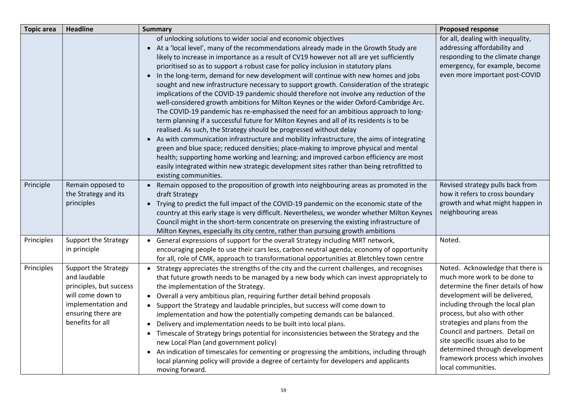| <b>Topic area</b> | <b>Headline</b>                                                                                                                                      | <b>Summary</b>                                                                                                                                                                                                                                                                                                                                                                                                                                                                                                                                                                                                                                                                                                                                                                                                                                                                                                                                                                                                                                                                                                                                                                                                                                                                                                                                                                    | <b>Proposed response</b>                                                                                                                                                                                                                                                                                                                                                                                        |
|-------------------|------------------------------------------------------------------------------------------------------------------------------------------------------|-----------------------------------------------------------------------------------------------------------------------------------------------------------------------------------------------------------------------------------------------------------------------------------------------------------------------------------------------------------------------------------------------------------------------------------------------------------------------------------------------------------------------------------------------------------------------------------------------------------------------------------------------------------------------------------------------------------------------------------------------------------------------------------------------------------------------------------------------------------------------------------------------------------------------------------------------------------------------------------------------------------------------------------------------------------------------------------------------------------------------------------------------------------------------------------------------------------------------------------------------------------------------------------------------------------------------------------------------------------------------------------|-----------------------------------------------------------------------------------------------------------------------------------------------------------------------------------------------------------------------------------------------------------------------------------------------------------------------------------------------------------------------------------------------------------------|
|                   |                                                                                                                                                      | of unlocking solutions to wider social and economic objectives<br>• At a 'local level', many of the recommendations already made in the Growth Study are<br>likely to increase in importance as a result of CV19 however not all are yet sufficiently<br>prioritised so as to support a robust case for policy inclusion in statutory plans<br>In the long-term, demand for new development will continue with new homes and jobs<br>sought and new infrastructure necessary to support growth. Consideration of the strategic<br>implications of the COVID-19 pandemic should therefore not involve any reduction of the<br>well-considered growth ambitions for Milton Keynes or the wider Oxford-Cambridge Arc.<br>The COVID-19 pandemic has re-emphasised the need for an ambitious approach to long-<br>term planning if a successful future for Milton Keynes and all of its residents is to be<br>realised. As such, the Strategy should be progressed without delay<br>• As with communication infrastructure and mobility infrastructure, the aims of integrating<br>green and blue space; reduced densities; place-making to improve physical and mental<br>health; supporting home working and learning; and improved carbon efficiency are most<br>easily integrated within new strategic development sites rather than being retrofitted to<br>existing communities. | for all, dealing with inequality,<br>addressing affordability and<br>responding to the climate change<br>emergency, for example, become<br>even more important post-COVID                                                                                                                                                                                                                                       |
| Principle         | Remain opposed to<br>the Strategy and its<br>principles                                                                                              | Remain opposed to the proposition of growth into neighbouring areas as promoted in the<br>draft Strategy<br>• Trying to predict the full impact of the COVID-19 pandemic on the economic state of the<br>country at this early stage is very difficult. Nevertheless, we wonder whether Milton Keynes<br>Council might in the short-term concentrate on preserving the existing infrastructure of<br>Milton Keynes, especially its city centre, rather than pursuing growth ambitions                                                                                                                                                                                                                                                                                                                                                                                                                                                                                                                                                                                                                                                                                                                                                                                                                                                                                             | Revised strategy pulls back from<br>how it refers to cross boundary<br>growth and what might happen in<br>neighbouring areas                                                                                                                                                                                                                                                                                    |
| Principles        | <b>Support the Strategy</b><br>in principle                                                                                                          | • General expressions of support for the overall Strategy including MRT network,<br>encouraging people to use their cars less, carbon neutral agenda; economy of opportunity<br>for all, role of CMK, approach to transformational opportunities at Bletchley town centre                                                                                                                                                                                                                                                                                                                                                                                                                                                                                                                                                                                                                                                                                                                                                                                                                                                                                                                                                                                                                                                                                                         | Noted.                                                                                                                                                                                                                                                                                                                                                                                                          |
| Principles        | Support the Strategy<br>and laudable<br>principles, but success<br>will come down to<br>implementation and<br>ensuring there are<br>benefits for all | • Strategy appreciates the strengths of the city and the current challenges, and recognises<br>that future growth needs to be managed by a new body which can invest appropriately to<br>the implementation of the Strategy.<br>• Overall a very ambitious plan, requiring further detail behind proposals<br>• Support the Strategy and laudable principles, but success will come down to<br>implementation and how the potentially competing demands can be balanced.<br>• Delivery and implementation needs to be built into local plans.<br>• Timescale of Strategy brings potential for inconsistencies between the Strategy and the<br>new Local Plan (and government policy)<br>• An indication of timescales for cementing or progressing the ambitions, including through<br>local planning policy will provide a degree of certainty for developers and applicants<br>moving forward.                                                                                                                                                                                                                                                                                                                                                                                                                                                                                  | Noted. Acknowledge that there is<br>much more work to be done to<br>determine the finer details of how<br>development will be delivered,<br>including through the local plan<br>process, but also with other<br>strategies and plans from the<br>Council and partners. Detail on<br>site specific issues also to be<br>determined through development<br>framework process which involves<br>local communities. |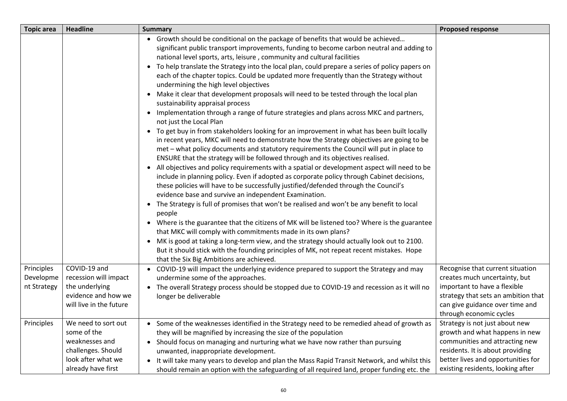| <b>Topic area</b>                      | <b>Headline</b>                                                                                                        | <b>Summary</b>                                                                                                                                                                                                                                                                                                                                                                                                                                                                                                                                                                                                                                                                                                                                                                                                                                                                                                                                                                                                                                                                                                                                                                                                                                                                                                                                                                                                                                                                                                                                                                                                                                                                                                                                                                                                                                                                                                                                                                                   | <b>Proposed response</b>                                                                                                                                                                                          |
|----------------------------------------|------------------------------------------------------------------------------------------------------------------------|--------------------------------------------------------------------------------------------------------------------------------------------------------------------------------------------------------------------------------------------------------------------------------------------------------------------------------------------------------------------------------------------------------------------------------------------------------------------------------------------------------------------------------------------------------------------------------------------------------------------------------------------------------------------------------------------------------------------------------------------------------------------------------------------------------------------------------------------------------------------------------------------------------------------------------------------------------------------------------------------------------------------------------------------------------------------------------------------------------------------------------------------------------------------------------------------------------------------------------------------------------------------------------------------------------------------------------------------------------------------------------------------------------------------------------------------------------------------------------------------------------------------------------------------------------------------------------------------------------------------------------------------------------------------------------------------------------------------------------------------------------------------------------------------------------------------------------------------------------------------------------------------------------------------------------------------------------------------------------------------------|-------------------------------------------------------------------------------------------------------------------------------------------------------------------------------------------------------------------|
|                                        |                                                                                                                        | • Growth should be conditional on the package of benefits that would be achieved<br>significant public transport improvements, funding to become carbon neutral and adding to<br>national level sports, arts, leisure, community and cultural facilities<br>• To help translate the Strategy into the local plan, could prepare a series of policy papers on<br>each of the chapter topics. Could be updated more frequently than the Strategy without<br>undermining the high level objectives<br>• Make it clear that development proposals will need to be tested through the local plan<br>sustainability appraisal process<br>• Implementation through a range of future strategies and plans across MKC and partners,<br>not just the Local Plan<br>• To get buy in from stakeholders looking for an improvement in what has been built locally<br>in recent years, MKC will need to demonstrate how the Strategy objectives are going to be<br>met - what policy documents and statutory requirements the Council will put in place to<br>ENSURE that the strategy will be followed through and its objectives realised.<br>• All objectives and policy requirements with a spatial or development aspect will need to be<br>include in planning policy. Even if adopted as corporate policy through Cabinet decisions,<br>these policies will have to be successfully justified/defended through the Council's<br>evidence base and survive an independent Examination.<br>• The Strategy is full of promises that won't be realised and won't be any benefit to local<br>people<br>• Where is the guarantee that the citizens of MK will be listened too? Where is the guarantee<br>that MKC will comply with commitments made in its own plans?<br>• MK is good at taking a long-term view, and the strategy should actually look out to 2100.<br>But it should stick with the founding principles of MK, not repeat recent mistakes. Hope<br>that the Six Big Ambitions are achieved. |                                                                                                                                                                                                                   |
| Principles<br>Developme<br>nt Strategy | COVID-19 and<br>recession will impact<br>the underlying<br>evidence and how we<br>will live in the future              | • COVID-19 will impact the underlying evidence prepared to support the Strategy and may<br>undermine some of the approaches.<br>• The overall Strategy process should be stopped due to COVID-19 and recession as it will no<br>longer be deliverable                                                                                                                                                                                                                                                                                                                                                                                                                                                                                                                                                                                                                                                                                                                                                                                                                                                                                                                                                                                                                                                                                                                                                                                                                                                                                                                                                                                                                                                                                                                                                                                                                                                                                                                                            | Recognise that current situation<br>creates much uncertainty, but<br>important to have a flexible<br>strategy that sets an ambition that<br>can give guidance over time and<br>through economic cycles            |
| Principles                             | We need to sort out<br>some of the<br>weaknesses and<br>challenges. Should<br>look after what we<br>already have first | • Some of the weaknesses identified in the Strategy need to be remedied ahead of growth as<br>they will be magnified by increasing the size of the population<br>• Should focus on managing and nurturing what we have now rather than pursuing<br>unwanted, inappropriate development.<br>• It will take many years to develop and plan the Mass Rapid Transit Network, and whilst this<br>should remain an option with the safeguarding of all required land, proper funding etc. the                                                                                                                                                                                                                                                                                                                                                                                                                                                                                                                                                                                                                                                                                                                                                                                                                                                                                                                                                                                                                                                                                                                                                                                                                                                                                                                                                                                                                                                                                                          | Strategy is not just about new<br>growth and what happens in new<br>communities and attracting new<br>residents. It is about providing<br>better lives and opportunities for<br>existing residents, looking after |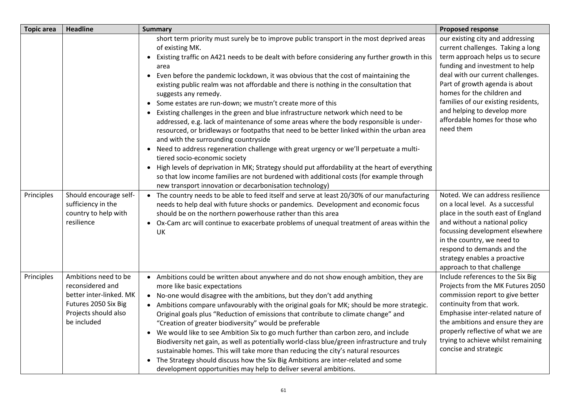| <b>Topic area</b> | <b>Headline</b>                                                                                                                    | <b>Summary</b>                                                                                                                                                                                                                                                                                                                                                                                                                                                                                                                                                                                                                                                                                                                                                                                                                                                                                                                                                                                                                                                                                                                                                                                                                                 | <b>Proposed response</b>                                                                                                                                                                                                                                                                                                                                              |
|-------------------|------------------------------------------------------------------------------------------------------------------------------------|------------------------------------------------------------------------------------------------------------------------------------------------------------------------------------------------------------------------------------------------------------------------------------------------------------------------------------------------------------------------------------------------------------------------------------------------------------------------------------------------------------------------------------------------------------------------------------------------------------------------------------------------------------------------------------------------------------------------------------------------------------------------------------------------------------------------------------------------------------------------------------------------------------------------------------------------------------------------------------------------------------------------------------------------------------------------------------------------------------------------------------------------------------------------------------------------------------------------------------------------|-----------------------------------------------------------------------------------------------------------------------------------------------------------------------------------------------------------------------------------------------------------------------------------------------------------------------------------------------------------------------|
|                   |                                                                                                                                    | short term priority must surely be to improve public transport in the most deprived areas<br>of existing MK.<br>Existing traffic on A421 needs to be dealt with before considering any further growth in this<br>$\bullet$<br>area<br>Even before the pandemic lockdown, it was obvious that the cost of maintaining the<br>$\bullet$<br>existing public realm was not affordable and there is nothing in the consultation that<br>suggests any remedy.<br>• Some estates are run-down; we mustn't create more of this<br>• Existing challenges in the green and blue infrastructure network which need to be<br>addressed, e.g. lack of maintenance of some areas where the body responsible is under-<br>resourced, or bridleways or footpaths that need to be better linked within the urban area<br>and with the surrounding countryside<br>Need to address regeneration challenge with great urgency or we'll perpetuate a multi-<br>$\bullet$<br>tiered socio-economic society<br>• High levels of deprivation in MK; Strategy should put affordability at the heart of everything<br>so that low income families are not burdened with additional costs (for example through<br>new transport innovation or decarbonisation technology) | our existing city and addressing<br>current challenges. Taking a long<br>term approach helps us to secure<br>funding and investment to help<br>deal with our current challenges.<br>Part of growth agenda is about<br>homes for the children and<br>families of our existing residents,<br>and helping to develop more<br>affordable homes for those who<br>need them |
| Principles        | Should encourage self-<br>sufficiency in the<br>country to help with<br>resilience                                                 | • The country needs to be able to feed itself and serve at least 20/30% of our manufacturing<br>needs to help deal with future shocks or pandemics. Development and economic focus<br>should be on the northern powerhouse rather than this area<br>Ox-Cam arc will continue to exacerbate problems of unequal treatment of areas within the<br>$\bullet$<br>UK                                                                                                                                                                                                                                                                                                                                                                                                                                                                                                                                                                                                                                                                                                                                                                                                                                                                                | Noted. We can address resilience<br>on a local level. As a successful<br>place in the south east of England<br>and without a national policy<br>focussing development elsewhere<br>in the country, we need to<br>respond to demands and the<br>strategy enables a proactive<br>approach to that challenge                                                             |
| Principles        | Ambitions need to be<br>reconsidered and<br>better inter-linked. MK<br>Futures 2050 Six Big<br>Projects should also<br>be included | • Ambitions could be written about anywhere and do not show enough ambition, they are<br>more like basic expectations<br>• No-one would disagree with the ambitions, but they don't add anything<br>• Ambitions compare unfavourably with the original goals for MK; should be more strategic.<br>Original goals plus "Reduction of emissions that contribute to climate change" and<br>"Creation of greater biodiversity" would be preferable<br>• We would like to see Ambition Six to go much further than carbon zero, and include<br>Biodiversity net gain, as well as potentially world-class blue/green infrastructure and truly<br>sustainable homes. This will take more than reducing the city's natural resources<br>• The Strategy should discuss how the Six Big Ambitions are inter-related and some<br>development opportunities may help to deliver several ambitions.                                                                                                                                                                                                                                                                                                                                                         | Include references to the Six Big<br>Projects from the MK Futures 2050<br>commission report to give better<br>continuity from that work.<br>Emphasise inter-related nature of<br>the ambitions and ensure they are<br>properly reflective of what we are<br>trying to achieve whilst remaining<br>concise and strategic                                               |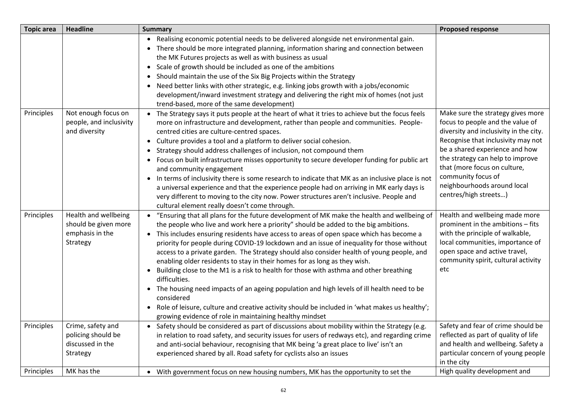| <b>Topic area</b> | <b>Headline</b>                                                             | <b>Summary</b>                                                                                                                                                                                                                                                                                                                                                                                                                                                                                                                                                                                                                                                                                                                                                                                                                                                                                                                                          | <b>Proposed response</b>                                                                                                                                                                                                                                                                                                                  |
|-------------------|-----------------------------------------------------------------------------|---------------------------------------------------------------------------------------------------------------------------------------------------------------------------------------------------------------------------------------------------------------------------------------------------------------------------------------------------------------------------------------------------------------------------------------------------------------------------------------------------------------------------------------------------------------------------------------------------------------------------------------------------------------------------------------------------------------------------------------------------------------------------------------------------------------------------------------------------------------------------------------------------------------------------------------------------------|-------------------------------------------------------------------------------------------------------------------------------------------------------------------------------------------------------------------------------------------------------------------------------------------------------------------------------------------|
|                   |                                                                             | Realising economic potential needs to be delivered alongside net environmental gain.<br>• There should be more integrated planning, information sharing and connection between<br>the MK Futures projects as well as with business as usual<br>Scale of growth should be included as one of the ambitions<br>Should maintain the use of the Six Big Projects within the Strategy<br>Need better links with other strategic, e.g. linking jobs growth with a jobs/economic<br>development/inward investment strategy and delivering the right mix of homes (not just<br>trend-based, more of the same development)                                                                                                                                                                                                                                                                                                                                       |                                                                                                                                                                                                                                                                                                                                           |
| Principles        | Not enough focus on<br>people, and inclusivity<br>and diversity             | The Strategy says it puts people at the heart of what it tries to achieve but the focus feels<br>more on infrastructure and development, rather than people and communities. People-<br>centred cities are culture-centred spaces.<br>• Culture provides a tool and a platform to deliver social cohesion.<br>Strategy should address challenges of inclusion, not compound them<br>$\bullet$<br>Focus on built infrastructure misses opportunity to secure developer funding for public art<br>and community engagement<br>• In terms of inclusivity there is some research to indicate that MK as an inclusive place is not<br>a universal experience and that the experience people had on arriving in MK early days is<br>very different to moving to the city now. Power structures aren't inclusive. People and<br>cultural element really doesn't come through.                                                                                  | Make sure the strategy gives more<br>focus to people and the value of<br>diversity and inclusivity in the city.<br>Recognise that inclusivity may not<br>be a shared experience and how<br>the strategy can help to improve<br>that (more focus on culture,<br>community focus of<br>neighbourhoods around local<br>centres/high streets) |
| Principles        | Health and wellbeing<br>should be given more<br>emphasis in the<br>Strategy | "Ensuring that all plans for the future development of MK make the health and wellbeing of<br>$\bullet$<br>the people who live and work here a priority" should be added to the big ambitions.<br>• This includes ensuring residents have access to areas of open space which has become a<br>priority for people during COVID-19 lockdown and an issue of inequality for those without<br>access to a private garden. The Strategy should also consider health of young people, and<br>enabling older residents to stay in their homes for as long as they wish.<br>Building close to the M1 is a risk to health for those with asthma and other breathing<br>difficulties.<br>• The housing need impacts of an ageing population and high levels of ill health need to be<br>considered<br>• Role of leisure, culture and creative activity should be included in 'what makes us healthy';<br>growing evidence of role in maintaining healthy mindset | Health and wellbeing made more<br>prominent in the ambitions - fits<br>with the principle of walkable,<br>local communities, importance of<br>open space and active travel,<br>community spirit, cultural activity<br>etc                                                                                                                 |
| Principles        | Crime, safety and<br>policing should be<br>discussed in the<br>Strategy     | Safety should be considered as part of discussions about mobility within the Strategy (e.g.<br>$\bullet$<br>in relation to road safety, and security issues for users of redways etc), and regarding crime<br>and anti-social behaviour, recognising that MK being 'a great place to live' isn't an<br>experienced shared by all. Road safety for cyclists also an issues                                                                                                                                                                                                                                                                                                                                                                                                                                                                                                                                                                               | Safety and fear of crime should be<br>reflected as part of quality of life<br>and health and wellbeing. Safety a<br>particular concern of young people<br>in the city                                                                                                                                                                     |
| Principles        | MK has the                                                                  | • With government focus on new housing numbers, MK has the opportunity to set the                                                                                                                                                                                                                                                                                                                                                                                                                                                                                                                                                                                                                                                                                                                                                                                                                                                                       | High quality development and                                                                                                                                                                                                                                                                                                              |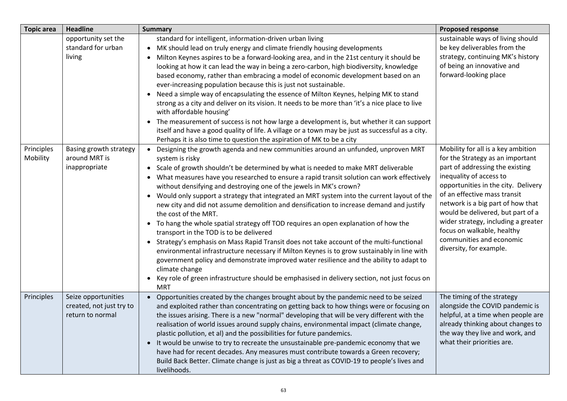| <b>Topic area</b>      | <b>Headline</b>                                                                                                 | <b>Summary</b>                                                                                                                                                                                                                                                                                                                                                                                                                                                                                                                                                                                                                                                                                                                                                                                                                                                                                                                                                                                                                                                                                                                                                                             | <b>Proposed response</b>                                                                                                                                                                                                                                                                             |
|------------------------|-----------------------------------------------------------------------------------------------------------------|--------------------------------------------------------------------------------------------------------------------------------------------------------------------------------------------------------------------------------------------------------------------------------------------------------------------------------------------------------------------------------------------------------------------------------------------------------------------------------------------------------------------------------------------------------------------------------------------------------------------------------------------------------------------------------------------------------------------------------------------------------------------------------------------------------------------------------------------------------------------------------------------------------------------------------------------------------------------------------------------------------------------------------------------------------------------------------------------------------------------------------------------------------------------------------------------|------------------------------------------------------------------------------------------------------------------------------------------------------------------------------------------------------------------------------------------------------------------------------------------------------|
| Principles<br>Mobility | opportunity set the<br>standard for urban<br>living<br>Basing growth strategy<br>around MRT is<br>inappropriate | standard for intelligent, information-driven urban living<br>• MK should lead on truly energy and climate friendly housing developments<br>Milton Keynes aspires to be a forward-looking area, and in the 21st century it should be<br>looking at how it can lead the way in being a zero-carbon, high biodiversity, knowledge<br>based economy, rather than embracing a model of economic development based on an<br>ever-increasing population because this is just not sustainable.<br>• Need a simple way of encapsulating the essence of Milton Keynes, helping MK to stand<br>strong as a city and deliver on its vision. It needs to be more than 'it's a nice place to live<br>with affordable housing'<br>• The measurement of success is not how large a development is, but whether it can support<br>itself and have a good quality of life. A village or a town may be just as successful as a city.<br>Perhaps it is also time to question the aspiration of MK to be a city<br>• Designing the growth agenda and new communities around an unfunded, unproven MRT<br>system is risky<br>• Scale of growth shouldn't be determined by what is needed to make MRT deliverable | sustainable ways of living should<br>be key deliverables from the<br>strategy, continuing MK's history<br>of being an innovative and<br>forward-looking place<br>Mobility for all is a key ambition<br>for the Strategy as an important<br>part of addressing the existing                           |
|                        |                                                                                                                 | • What measures have you researched to ensure a rapid transit solution can work effectively<br>without densifying and destroying one of the jewels in MK's crown?<br>• Would only support a strategy that integrated an MRT system into the current layout of the<br>new city and did not assume demolition and densification to increase demand and justify<br>the cost of the MRT.<br>• To hang the whole spatial strategy off TOD requires an open explanation of how the<br>transport in the TOD is to be delivered<br>• Strategy's emphasis on Mass Rapid Transit does not take account of the multi-functional<br>environmental infrastructure necessary if Milton Keynes is to grow sustainably in line with<br>government policy and demonstrate improved water resilience and the ability to adapt to<br>climate change<br>• Key role of green infrastructure should be emphasised in delivery section, not just focus on<br><b>MRT</b>                                                                                                                                                                                                                                           | inequality of access to<br>opportunities in the city. Delivery<br>of an effective mass transit<br>network is a big part of how that<br>would be delivered, but part of a<br>wider strategy, including a greater<br>focus on walkable, healthy<br>communities and economic<br>diversity, for example. |
| Principles             | Seize opportunities<br>created, not just try to<br>return to normal                                             | • Opportunities created by the changes brought about by the pandemic need to be seized<br>and exploited rather than concentrating on getting back to how things were or focusing on<br>the issues arising. There is a new "normal" developing that will be very different with the<br>realisation of world issues around supply chains, environmental impact (climate change,<br>plastic pollution, et al) and the possibilities for future pandemics.<br>• It would be unwise to try to recreate the unsustainable pre-pandemic economy that we<br>have had for recent decades. Any measures must contribute towards a Green recovery;<br>Build Back Better. Climate change is just as big a threat as COVID-19 to people's lives and<br>livelihoods.                                                                                                                                                                                                                                                                                                                                                                                                                                     | The timing of the strategy<br>alongside the COVID pandemic is<br>helpful, at a time when people are<br>already thinking about changes to<br>the way they live and work, and<br>what their priorities are.                                                                                            |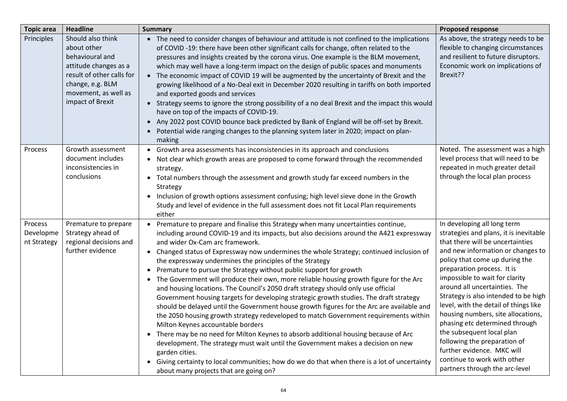| <b>Topic area</b>                   | <b>Headline</b>                                                                                                                                                           | <b>Summary</b>                                                                                                                                                                                                                                                                                                                                                                                                                                                                                                                                                                                                                                                                                                                                                                                                                                                                                                                                                                                                                                                                                                                                                                                                                                                                                                         | <b>Proposed response</b>                                                                                                                                                                                                                                                                                                                                                                                                                                                                                                                                                                               |
|-------------------------------------|---------------------------------------------------------------------------------------------------------------------------------------------------------------------------|------------------------------------------------------------------------------------------------------------------------------------------------------------------------------------------------------------------------------------------------------------------------------------------------------------------------------------------------------------------------------------------------------------------------------------------------------------------------------------------------------------------------------------------------------------------------------------------------------------------------------------------------------------------------------------------------------------------------------------------------------------------------------------------------------------------------------------------------------------------------------------------------------------------------------------------------------------------------------------------------------------------------------------------------------------------------------------------------------------------------------------------------------------------------------------------------------------------------------------------------------------------------------------------------------------------------|--------------------------------------------------------------------------------------------------------------------------------------------------------------------------------------------------------------------------------------------------------------------------------------------------------------------------------------------------------------------------------------------------------------------------------------------------------------------------------------------------------------------------------------------------------------------------------------------------------|
| Principles                          | Should also think<br>about other<br>behavioural and<br>attitude changes as a<br>result of other calls for<br>change, e.g. BLM<br>movement, as well as<br>impact of Brexit | • The need to consider changes of behaviour and attitude is not confined to the implications<br>of COVID-19: there have been other significant calls for change, often related to the<br>pressures and insights created by the corona virus. One example is the BLM movement,<br>which may well have a long-term impact on the design of public spaces and monuments<br>• The economic impact of COVID 19 will be augmented by the uncertainty of Brexit and the<br>growing likelihood of a No-Deal exit in December 2020 resulting in tariffs on both imported<br>and exported goods and services<br>• Strategy seems to ignore the strong possibility of a no deal Brexit and the impact this would<br>have on top of the impacts of COVID-19.<br>• Any 2022 post COVID bounce back predicted by Bank of England will be off-set by Brexit.<br>Potential wide ranging changes to the planning system later in 2020; impact on plan-<br>making                                                                                                                                                                                                                                                                                                                                                                        | As above, the strategy needs to be<br>flexible to changing circumstances<br>and resilient to future disruptors.<br>Economic work on implications of<br>Brexit??                                                                                                                                                                                                                                                                                                                                                                                                                                        |
| Process                             | Growth assessment<br>document includes<br>inconsistencies in<br>conclusions                                                                                               | • Growth area assessments has inconsistencies in its approach and conclusions<br>• Not clear which growth areas are proposed to come forward through the recommended<br>strategy.<br>Total numbers through the assessment and growth study far exceed numbers in the<br>Strategy<br>Inclusion of growth options assessment confusing; high level sieve done in the Growth<br>Study and level of evidence in the full assessment does not fit Local Plan requirements<br>either                                                                                                                                                                                                                                                                                                                                                                                                                                                                                                                                                                                                                                                                                                                                                                                                                                         | Noted. The assessment was a high<br>level process that will need to be<br>repeated in much greater detail<br>through the local plan process                                                                                                                                                                                                                                                                                                                                                                                                                                                            |
| Process<br>Developme<br>nt Strategy | Premature to prepare<br>Strategy ahead of<br>regional decisions and<br>further evidence                                                                                   | • Premature to prepare and finalise this Strategy when many uncertainties continue,<br>including around COVID-19 and its impacts, but also decisions around the A421 expressway<br>and wider Ox-Cam arc framework.<br>• Changed status of Expressway now undermines the whole Strategy; continued inclusion of<br>the expressway undermines the principles of the Strategy<br>• Premature to pursue the Strategy without public support for growth<br>The Government will produce their own, more reliable housing growth figure for the Arc<br>$\bullet$<br>and housing locations. The Council's 2050 draft strategy should only use official<br>Government housing targets for developing strategic growth studies. The draft strategy<br>should be delayed until the Government house growth figures for the Arc are available and<br>the 2050 housing growth strategy redeveloped to match Government requirements within<br>Milton Keynes accountable borders<br>• There may be no need for Milton Keynes to absorb additional housing because of Arc<br>development. The strategy must wait until the Government makes a decision on new<br>garden cities.<br>Giving certainty to local communities; how do we do that when there is a lot of uncertainty<br>$\bullet$<br>about many projects that are going on? | In developing all long term<br>strategies and plans, it is inevitable<br>that there will be uncertainties<br>and new information or changes to<br>policy that come up during the<br>preparation process. It is<br>impossible to wait for clarity<br>around all uncertainties. The<br>Strategy is also intended to be high<br>level, with the detail of things like<br>housing numbers, site allocations,<br>phasing etc determined through<br>the subsequent local plan<br>following the preparation of<br>further evidence. MKC will<br>continue to work with other<br>partners through the arc-level |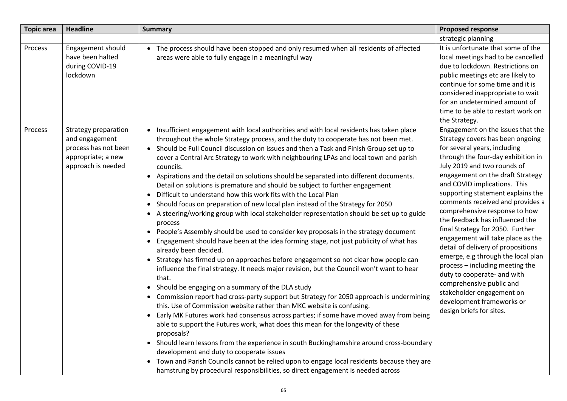| <b>Topic area</b> | <b>Headline</b>                                                                                            | <b>Summary</b>                                                                                                                                                                                                                                                                                                                                                                                                                                                                                                                                                                                                                                                                                                                                                                                                                                                                                                                                                                                                                                                                                                                                                                                                                                                                                                                                                                                                                                                                                                                                                                                                                                                                                                                                                                                                                                                                                                                                                                                | <b>Proposed response</b>                                                                                                                                                                                                                                                                                                                                                                                                                                                                                                                                                                                                                                                                                                             |
|-------------------|------------------------------------------------------------------------------------------------------------|-----------------------------------------------------------------------------------------------------------------------------------------------------------------------------------------------------------------------------------------------------------------------------------------------------------------------------------------------------------------------------------------------------------------------------------------------------------------------------------------------------------------------------------------------------------------------------------------------------------------------------------------------------------------------------------------------------------------------------------------------------------------------------------------------------------------------------------------------------------------------------------------------------------------------------------------------------------------------------------------------------------------------------------------------------------------------------------------------------------------------------------------------------------------------------------------------------------------------------------------------------------------------------------------------------------------------------------------------------------------------------------------------------------------------------------------------------------------------------------------------------------------------------------------------------------------------------------------------------------------------------------------------------------------------------------------------------------------------------------------------------------------------------------------------------------------------------------------------------------------------------------------------------------------------------------------------------------------------------------------------|--------------------------------------------------------------------------------------------------------------------------------------------------------------------------------------------------------------------------------------------------------------------------------------------------------------------------------------------------------------------------------------------------------------------------------------------------------------------------------------------------------------------------------------------------------------------------------------------------------------------------------------------------------------------------------------------------------------------------------------|
|                   |                                                                                                            |                                                                                                                                                                                                                                                                                                                                                                                                                                                                                                                                                                                                                                                                                                                                                                                                                                                                                                                                                                                                                                                                                                                                                                                                                                                                                                                                                                                                                                                                                                                                                                                                                                                                                                                                                                                                                                                                                                                                                                                               | strategic planning                                                                                                                                                                                                                                                                                                                                                                                                                                                                                                                                                                                                                                                                                                                   |
| Process           | Engagement should<br>have been halted<br>during COVID-19<br>lockdown                                       | • The process should have been stopped and only resumed when all residents of affected<br>areas were able to fully engage in a meaningful way                                                                                                                                                                                                                                                                                                                                                                                                                                                                                                                                                                                                                                                                                                                                                                                                                                                                                                                                                                                                                                                                                                                                                                                                                                                                                                                                                                                                                                                                                                                                                                                                                                                                                                                                                                                                                                                 | It is unfortunate that some of the<br>local meetings had to be cancelled<br>due to lockdown. Restrictions on<br>public meetings etc are likely to<br>continue for some time and it is<br>considered inappropriate to wait<br>for an undetermined amount of<br>time to be able to restart work on<br>the Strategy.                                                                                                                                                                                                                                                                                                                                                                                                                    |
| Process           | Strategy preparation<br>and engagement<br>process has not been<br>appropriate; a new<br>approach is needed | • Insufficient engagement with local authorities and with local residents has taken place<br>throughout the whole Strategy process, and the duty to cooperate has not been met.<br>• Should be Full Council discussion on issues and then a Task and Finish Group set up to<br>cover a Central Arc Strategy to work with neighbouring LPAs and local town and parish<br>councils.<br>• Aspirations and the detail on solutions should be separated into different documents.<br>Detail on solutions is premature and should be subject to further engagement<br>• Difficult to understand how this work fits with the Local Plan<br>• Should focus on preparation of new local plan instead of the Strategy for 2050<br>• A steering/working group with local stakeholder representation should be set up to guide<br>process<br>• People's Assembly should be used to consider key proposals in the strategy document<br>• Engagement should have been at the idea forming stage, not just publicity of what has<br>already been decided.<br>• Strategy has firmed up on approaches before engagement so not clear how people can<br>influence the final strategy. It needs major revision, but the Council won't want to hear<br>that.<br>• Should be engaging on a summary of the DLA study<br>• Commission report had cross-party support but Strategy for 2050 approach is undermining<br>this. Use of Commission website rather than MKC website is confusing.<br>• Early MK Futures work had consensus across parties; if some have moved away from being<br>able to support the Futures work, what does this mean for the longevity of these<br>proposals?<br>• Should learn lessons from the experience in south Buckinghamshire around cross-boundary<br>development and duty to cooperate issues<br>• Town and Parish Councils cannot be relied upon to engage local residents because they are<br>hamstrung by procedural responsibilities, so direct engagement is needed across | Engagement on the issues that the<br>Strategy covers has been ongoing<br>for several years, including<br>through the four-day exhibition in<br>July 2019 and two rounds of<br>engagement on the draft Strategy<br>and COVID implications. This<br>supporting statement explains the<br>comments received and provides a<br>comprehensive response to how<br>the feedback has influenced the<br>final Strategy for 2050. Further<br>engagement will take place as the<br>detail of delivery of propositions<br>emerge, e.g through the local plan<br>process - including meeting the<br>duty to cooperate- and with<br>comprehensive public and<br>stakeholder engagement on<br>development frameworks or<br>design briefs for sites. |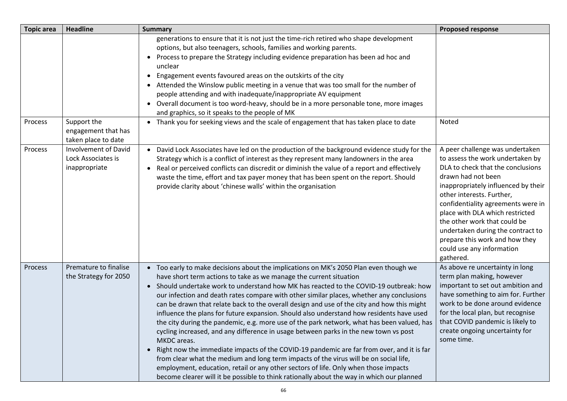| <b>Topic area</b> | <b>Headline</b>                                                    | <b>Summary</b>                                                                                                                                                                                                                                                                                                                                                                                                                                                                                                                                                                                                                                                                                                                                                                                                                                                                                                                                                                                                                                                                                                                                     | <b>Proposed response</b>                                                                                                                                                                                                                                                                                                                                                                                                     |
|-------------------|--------------------------------------------------------------------|----------------------------------------------------------------------------------------------------------------------------------------------------------------------------------------------------------------------------------------------------------------------------------------------------------------------------------------------------------------------------------------------------------------------------------------------------------------------------------------------------------------------------------------------------------------------------------------------------------------------------------------------------------------------------------------------------------------------------------------------------------------------------------------------------------------------------------------------------------------------------------------------------------------------------------------------------------------------------------------------------------------------------------------------------------------------------------------------------------------------------------------------------|------------------------------------------------------------------------------------------------------------------------------------------------------------------------------------------------------------------------------------------------------------------------------------------------------------------------------------------------------------------------------------------------------------------------------|
|                   |                                                                    | generations to ensure that it is not just the time-rich retired who shape development<br>options, but also teenagers, schools, families and working parents.<br>• Process to prepare the Strategy including evidence preparation has been ad hoc and<br>unclear<br>Engagement events favoured areas on the outskirts of the city<br>$\bullet$<br>• Attended the Winslow public meeting in a venue that was too small for the number of<br>people attending and with inadequate/inappropriate AV equipment<br>• Overall document is too word-heavy, should be in a more personable tone, more images<br>and graphics, so it speaks to the people of MK                                                                                                                                                                                                                                                                                                                                                                                                                                                                                              |                                                                                                                                                                                                                                                                                                                                                                                                                              |
| Process           | Support the<br>engagement that has<br>taken place to date          | • Thank you for seeking views and the scale of engagement that has taken place to date                                                                                                                                                                                                                                                                                                                                                                                                                                                                                                                                                                                                                                                                                                                                                                                                                                                                                                                                                                                                                                                             | Noted                                                                                                                                                                                                                                                                                                                                                                                                                        |
| Process           | <b>Involvement of David</b><br>Lock Associates is<br>inappropriate | David Lock Associates have led on the production of the background evidence study for the<br>$\bullet$<br>Strategy which is a conflict of interest as they represent many landowners in the area<br>Real or perceived conflicts can discredit or diminish the value of a report and effectively<br>$\bullet$<br>waste the time, effort and tax payer money that has been spent on the report. Should<br>provide clarity about 'chinese walls' within the organisation                                                                                                                                                                                                                                                                                                                                                                                                                                                                                                                                                                                                                                                                              | A peer challenge was undertaken<br>to assess the work undertaken by<br>DLA to check that the conclusions<br>drawn had not been<br>inappropriately influenced by their<br>other interests. Further,<br>confidentiality agreements were in<br>place with DLA which restricted<br>the other work that could be<br>undertaken during the contract to<br>prepare this work and how they<br>could use any information<br>gathered. |
| Process           | Premature to finalise<br>the Strategy for 2050                     | Too early to make decisions about the implications on MK's 2050 Plan even though we<br>$\bullet$<br>have short term actions to take as we manage the current situation<br>Should undertake work to understand how MK has reacted to the COVID-19 outbreak: how<br>$\bullet$<br>our infection and death rates compare with other similar places, whether any conclusions<br>can be drawn that relate back to the overall design and use of the city and how this might<br>influence the plans for future expansion. Should also understand how residents have used<br>the city during the pandemic, e.g. more use of the park network, what has been valued, has<br>cycling increased, and any difference in usage between parks in the new town vs post<br>MKDC areas.<br>• Right now the immediate impacts of the COVID-19 pandemic are far from over, and it is far<br>from clear what the medium and long term impacts of the virus will be on social life,<br>employment, education, retail or any other sectors of life. Only when those impacts<br>become clearer will it be possible to think rationally about the way in which our planned | As above re uncertainty in long<br>term plan making, however<br>important to set out ambition and<br>have something to aim for. Further<br>work to be done around evidence<br>for the local plan, but recognise<br>that COVID pandemic is likely to<br>create ongoing uncertainty for<br>some time.                                                                                                                          |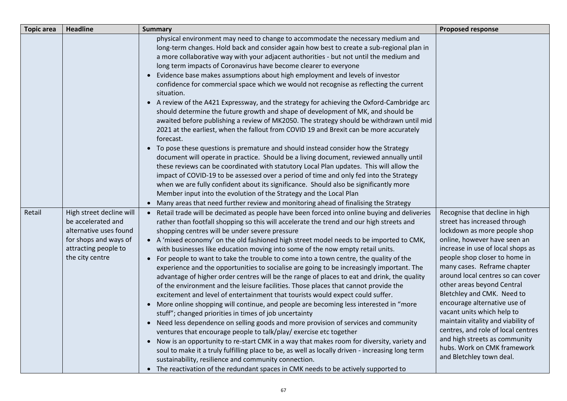| <b>Topic area</b> | <b>Headline</b>                                                                                                                              | <b>Summary</b>                                                                                                                                                                                                                                                                                                                                                                                                                                                                                                                                                                                                                                                                                                                                                                                                                                                                                                                                                                                                                                                                                                                                                                                                                                                                                                                                                                                                                                                                                                                                               | <b>Proposed response</b>                                                                                                                                                                                                                                                                                                                                                                                                                                                                                                                                                   |
|-------------------|----------------------------------------------------------------------------------------------------------------------------------------------|--------------------------------------------------------------------------------------------------------------------------------------------------------------------------------------------------------------------------------------------------------------------------------------------------------------------------------------------------------------------------------------------------------------------------------------------------------------------------------------------------------------------------------------------------------------------------------------------------------------------------------------------------------------------------------------------------------------------------------------------------------------------------------------------------------------------------------------------------------------------------------------------------------------------------------------------------------------------------------------------------------------------------------------------------------------------------------------------------------------------------------------------------------------------------------------------------------------------------------------------------------------------------------------------------------------------------------------------------------------------------------------------------------------------------------------------------------------------------------------------------------------------------------------------------------------|----------------------------------------------------------------------------------------------------------------------------------------------------------------------------------------------------------------------------------------------------------------------------------------------------------------------------------------------------------------------------------------------------------------------------------------------------------------------------------------------------------------------------------------------------------------------------|
|                   |                                                                                                                                              | physical environment may need to change to accommodate the necessary medium and<br>long-term changes. Hold back and consider again how best to create a sub-regional plan in<br>a more collaborative way with your adjacent authorities - but not until the medium and<br>long term impacts of Coronavirus have become clearer to everyone<br>• Evidence base makes assumptions about high employment and levels of investor<br>confidence for commercial space which we would not recognise as reflecting the current<br>situation.<br>• A review of the A421 Expressway, and the strategy for achieving the Oxford-Cambridge arc<br>should determine the future growth and shape of development of MK, and should be<br>awaited before publishing a review of MK2050. The strategy should be withdrawn until mid<br>2021 at the earliest, when the fallout from COVID 19 and Brexit can be more accurately                                                                                                                                                                                                                                                                                                                                                                                                                                                                                                                                                                                                                                                 |                                                                                                                                                                                                                                                                                                                                                                                                                                                                                                                                                                            |
|                   |                                                                                                                                              | forecast.<br>• To pose these questions is premature and should instead consider how the Strategy<br>document will operate in practice. Should be a living document, reviewed annually until<br>these reviews can be coordinated with statutory Local Plan updates. This will allow the<br>impact of COVID-19 to be assessed over a period of time and only fed into the Strategy<br>when we are fully confident about its significance. Should also be significantly more<br>Member input into the evolution of the Strategy and the Local Plan<br>• Many areas that need further review and monitoring ahead of finalising the Strategy                                                                                                                                                                                                                                                                                                                                                                                                                                                                                                                                                                                                                                                                                                                                                                                                                                                                                                                     |                                                                                                                                                                                                                                                                                                                                                                                                                                                                                                                                                                            |
| Retail            | High street decline will<br>be accelerated and<br>alternative uses found<br>for shops and ways of<br>attracting people to<br>the city centre | • Retail trade will be decimated as people have been forced into online buying and deliveries<br>rather than footfall shopping so this will accelerate the trend and our high streets and<br>shopping centres will be under severe pressure<br>• A 'mixed economy' on the old fashioned high street model needs to be imported to CMK,<br>with businesses like education moving into some of the now empty retail units.<br>• For people to want to take the trouble to come into a town centre, the quality of the<br>experience and the opportunities to socialise are going to be increasingly important. The<br>advantage of higher order centres will be the range of places to eat and drink, the quality<br>of the environment and the leisure facilities. Those places that cannot provide the<br>excitement and level of entertainment that tourists would expect could suffer.<br>• More online shopping will continue, and people are becoming less interested in "more<br>stuff"; changed priorities in times of job uncertainty<br>• Need less dependence on selling goods and more provision of services and community<br>ventures that encourage people to talk/play/ exercise etc together<br>• Now is an opportunity to re-start CMK in a way that makes room for diversity, variety and<br>soul to make it a truly fulfilling place to be, as well as locally driven - increasing long term<br>sustainability, resilience and community connection.<br>• The reactivation of the redundant spaces in CMK needs to be actively supported to | Recognise that decline in high<br>street has increased through<br>lockdown as more people shop<br>online, however have seen an<br>increase in use of local shops as<br>people shop closer to home in<br>many cases. Reframe chapter<br>around local centres so can cover<br>other areas beyond Central<br>Bletchley and CMK. Need to<br>encourage alternative use of<br>vacant units which help to<br>maintain vitality and viability of<br>centres, and role of local centres<br>and high streets as community<br>hubs. Work on CMK framework<br>and Bletchley town deal. |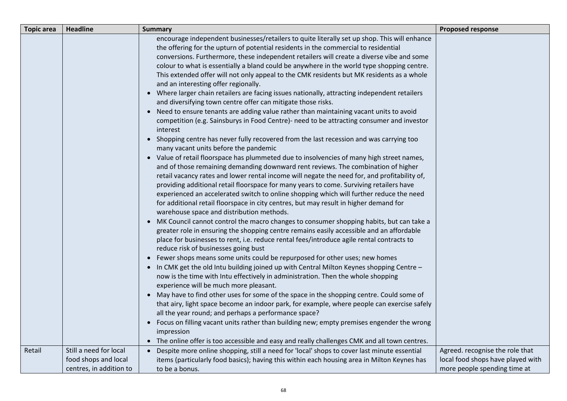| <b>Topic area</b> | <b>Headline</b>                                | <b>Summary</b>                                                                                                                                                                                                                                                                                                                                                                                                                                                                                                                                                                                                       | <b>Proposed response</b>                                             |
|-------------------|------------------------------------------------|----------------------------------------------------------------------------------------------------------------------------------------------------------------------------------------------------------------------------------------------------------------------------------------------------------------------------------------------------------------------------------------------------------------------------------------------------------------------------------------------------------------------------------------------------------------------------------------------------------------------|----------------------------------------------------------------------|
|                   |                                                | encourage independent businesses/retailers to quite literally set up shop. This will enhance<br>the offering for the upturn of potential residents in the commercial to residential<br>conversions. Furthermore, these independent retailers will create a diverse vibe and some<br>colour to what is essentially a bland could be anywhere in the world type shopping centre.<br>This extended offer will not only appeal to the CMK residents but MK residents as a whole<br>and an interesting offer regionally.<br>• Where larger chain retailers are facing issues nationally, attracting independent retailers |                                                                      |
|                   |                                                | and diversifying town centre offer can mitigate those risks.<br>• Need to ensure tenants are adding value rather than maintaining vacant units to avoid<br>competition (e.g. Sainsburys in Food Centre)- need to be attracting consumer and investor<br>interest                                                                                                                                                                                                                                                                                                                                                     |                                                                      |
|                   |                                                | • Shopping centre has never fully recovered from the last recession and was carrying too<br>many vacant units before the pandemic<br>• Value of retail floorspace has plummeted due to insolvencies of many high street names,<br>and of those remaining demanding downward rent reviews. The combination of higher<br>retail vacancy rates and lower rental income will negate the need for, and profitability of,                                                                                                                                                                                                  |                                                                      |
|                   |                                                | providing additional retail floorspace for many years to come. Surviving retailers have<br>experienced an accelerated switch to online shopping which will further reduce the need<br>for additional retail floorspace in city centres, but may result in higher demand for<br>warehouse space and distribution methods.<br>• MK Council cannot control the macro changes to consumer shopping habits, but can take a                                                                                                                                                                                                |                                                                      |
|                   |                                                | greater role in ensuring the shopping centre remains easily accessible and an affordable<br>place for businesses to rent, i.e. reduce rental fees/introduce agile rental contracts to<br>reduce risk of businesses going bust                                                                                                                                                                                                                                                                                                                                                                                        |                                                                      |
|                   |                                                | • In CMK get the old Intu building joined up with Central Milton Keynes shopping Centre -<br>now is the time with Intu effectively in administration. Then the whole shopping<br>experience will be much more pleasant.                                                                                                                                                                                                                                                                                                                                                                                              |                                                                      |
|                   |                                                | that airy, light space become an indoor park, for example, where people can exercise safely<br>all the year round; and perhaps a performance space?<br>• Focus on filling vacant units rather than building new; empty premises engender the wrong                                                                                                                                                                                                                                                                                                                                                                   |                                                                      |
|                   |                                                | • The online offer is too accessible and easy and really challenges CMK and all town centres.                                                                                                                                                                                                                                                                                                                                                                                                                                                                                                                        |                                                                      |
| Retail            | Still a need for local<br>food shops and local | • Despite more online shopping, still a need for 'local' shops to cover last minute essential<br>items (particularly food basics); having this within each housing area in Milton Keynes has                                                                                                                                                                                                                                                                                                                                                                                                                         | Agreed. recognise the role that<br>local food shops have played with |
|                   | centres, in addition to                        | • Fewer shops means some units could be repurposed for other uses; new homes<br>• May have to find other uses for some of the space in the shopping centre. Could some of<br>impression<br>to be a bonus.                                                                                                                                                                                                                                                                                                                                                                                                            | more people spending time at                                         |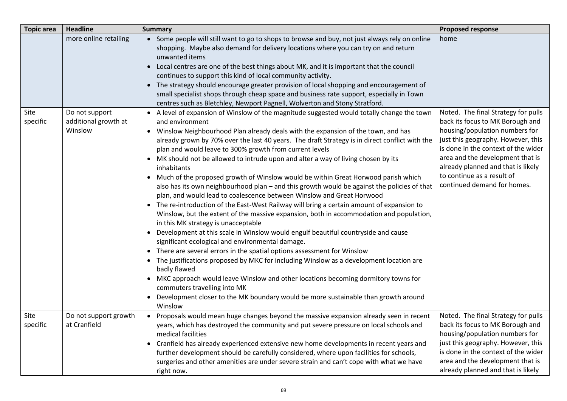| <b>Topic area</b> | <b>Headline</b>                                   | <b>Summary</b>                                                                                                                                                                                                                                                                                                                                                                                                                                                                                                                                                                                                                                                                                                                                                                                                                                                                                                                                                                                                                                                                                                                                                                                                                                                                                                                                                                                                                                                                                                                                      | <b>Proposed response</b>                                                                                                                                                                                                                                                                                                      |
|-------------------|---------------------------------------------------|-----------------------------------------------------------------------------------------------------------------------------------------------------------------------------------------------------------------------------------------------------------------------------------------------------------------------------------------------------------------------------------------------------------------------------------------------------------------------------------------------------------------------------------------------------------------------------------------------------------------------------------------------------------------------------------------------------------------------------------------------------------------------------------------------------------------------------------------------------------------------------------------------------------------------------------------------------------------------------------------------------------------------------------------------------------------------------------------------------------------------------------------------------------------------------------------------------------------------------------------------------------------------------------------------------------------------------------------------------------------------------------------------------------------------------------------------------------------------------------------------------------------------------------------------------|-------------------------------------------------------------------------------------------------------------------------------------------------------------------------------------------------------------------------------------------------------------------------------------------------------------------------------|
|                   | more online retailing                             | • Some people will still want to go to shops to browse and buy, not just always rely on online<br>shopping. Maybe also demand for delivery locations where you can try on and return<br>unwanted items<br>Local centres are one of the best things about MK, and it is important that the council<br>continues to support this kind of local community activity.<br>• The strategy should encourage greater provision of local shopping and encouragement of<br>small specialist shops through cheap space and business rate support, especially in Town                                                                                                                                                                                                                                                                                                                                                                                                                                                                                                                                                                                                                                                                                                                                                                                                                                                                                                                                                                                            | home                                                                                                                                                                                                                                                                                                                          |
|                   |                                                   | centres such as Bletchley, Newport Pagnell, Wolverton and Stony Stratford.                                                                                                                                                                                                                                                                                                                                                                                                                                                                                                                                                                                                                                                                                                                                                                                                                                                                                                                                                                                                                                                                                                                                                                                                                                                                                                                                                                                                                                                                          |                                                                                                                                                                                                                                                                                                                               |
| Site<br>specific  | Do not support<br>additional growth at<br>Winslow | • A level of expansion of Winslow of the magnitude suggested would totally change the town<br>and environment<br>Winslow Neighbourhood Plan already deals with the expansion of the town, and has<br>$\bullet$<br>already grown by 70% over the last 40 years. The draft Strategy is in direct conflict with the<br>plan and would leave to 300% growth from current levels<br>MK should not be allowed to intrude upon and alter a way of living chosen by its<br>$\bullet$<br>inhabitants<br>• Much of the proposed growth of Winslow would be within Great Horwood parish which<br>also has its own neighbourhood plan – and this growth would be against the policies of that<br>plan, and would lead to coalescence between Winslow and Great Horwood<br>The re-introduction of the East-West Railway will bring a certain amount of expansion to<br>$\bullet$<br>Winslow, but the extent of the massive expansion, both in accommodation and population,<br>in this MK strategy is unacceptable<br>• Development at this scale in Winslow would engulf beautiful countryside and cause<br>significant ecological and environmental damage.<br>• There are several errors in the spatial options assessment for Winslow<br>The justifications proposed by MKC for including Winslow as a development location are<br>badly flawed<br>• MKC approach would leave Winslow and other locations becoming dormitory towns for<br>commuters travelling into MK<br>Development closer to the MK boundary would be more sustainable than growth around | Noted. The final Strategy for pulls<br>back its focus to MK Borough and<br>housing/population numbers for<br>just this geography. However, this<br>is done in the context of the wider<br>area and the development that is<br>already planned and that is likely<br>to continue as a result of<br>continued demand for homes. |
| Site              | Do not support growth                             | Winslow<br>• Proposals would mean huge changes beyond the massive expansion already seen in recent                                                                                                                                                                                                                                                                                                                                                                                                                                                                                                                                                                                                                                                                                                                                                                                                                                                                                                                                                                                                                                                                                                                                                                                                                                                                                                                                                                                                                                                  | Noted. The final Strategy for pulls                                                                                                                                                                                                                                                                                           |
| specific          | at Cranfield                                      | years, which has destroyed the community and put severe pressure on local schools and<br>medical facilities<br>• Cranfield has already experienced extensive new home developments in recent years and<br>further development should be carefully considered, where upon facilities for schools,<br>surgeries and other amenities are under severe strain and can't cope with what we have                                                                                                                                                                                                                                                                                                                                                                                                                                                                                                                                                                                                                                                                                                                                                                                                                                                                                                                                                                                                                                                                                                                                                          | back its focus to MK Borough and<br>housing/population numbers for<br>just this geography. However, this<br>is done in the context of the wider<br>area and the development that is                                                                                                                                           |
|                   |                                                   | right now.                                                                                                                                                                                                                                                                                                                                                                                                                                                                                                                                                                                                                                                                                                                                                                                                                                                                                                                                                                                                                                                                                                                                                                                                                                                                                                                                                                                                                                                                                                                                          | already planned and that is likely                                                                                                                                                                                                                                                                                            |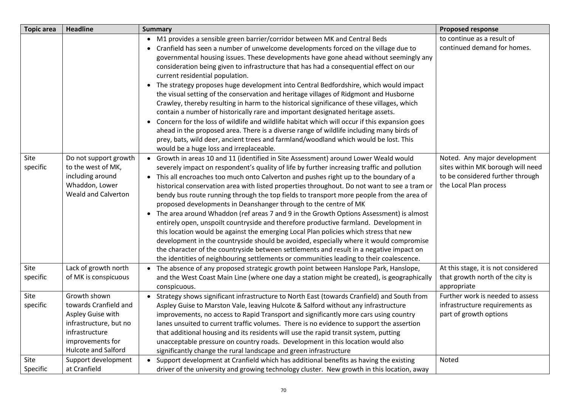| <b>Topic area</b> | <b>Headline</b>                                                                                                                                          | <b>Summary</b>                                                                                                                                                                                                                                                                                                                                                                                                                                                                                                                                                                                                                                                                                                                                                                                                                                                                                                                                                                                                                                                                                                         | <b>Proposed response</b>                                                                                                        |
|-------------------|----------------------------------------------------------------------------------------------------------------------------------------------------------|------------------------------------------------------------------------------------------------------------------------------------------------------------------------------------------------------------------------------------------------------------------------------------------------------------------------------------------------------------------------------------------------------------------------------------------------------------------------------------------------------------------------------------------------------------------------------------------------------------------------------------------------------------------------------------------------------------------------------------------------------------------------------------------------------------------------------------------------------------------------------------------------------------------------------------------------------------------------------------------------------------------------------------------------------------------------------------------------------------------------|---------------------------------------------------------------------------------------------------------------------------------|
|                   |                                                                                                                                                          | • M1 provides a sensible green barrier/corridor between MK and Central Beds<br>Cranfield has seen a number of unwelcome developments forced on the village due to<br>governmental housing issues. These developments have gone ahead without seemingly any<br>consideration being given to infrastructure that has had a consequential effect on our<br>current residential population.<br>• The strategy proposes huge development into Central Bedfordshire, which would impact<br>the visual setting of the conservation and heritage villages of Ridgmont and Husborne<br>Crawley, thereby resulting in harm to the historical significance of these villages, which<br>contain a number of historically rare and important designated heritage assets.<br>Concern for the loss of wildlife and wildlife habitat which will occur if this expansion goes<br>$\bullet$<br>ahead in the proposed area. There is a diverse range of wildlife including many birds of<br>prey, bats, wild deer, ancient trees and farmland/woodland which would be lost. This<br>would be a huge loss and irreplaceable.               | to continue as a result of<br>continued demand for homes.                                                                       |
| Site<br>specific  | Do not support growth<br>to the west of MK,<br>including around<br>Whaddon, Lower<br><b>Weald and Calverton</b>                                          | • Growth in areas 10 and 11 (identified in Site Assessment) around Lower Weald would<br>severely impact on respondent's quality of life by further increasing traffic and pollution<br>This all encroaches too much onto Calverton and pushes right up to the boundary of a<br>$\bullet$<br>historical conservation area with listed properties throughout. Do not want to see a tram or<br>bendy bus route running through the top fields to transport more people from the area of<br>proposed developments in Deanshanger through to the centre of MK<br>• The area around Whaddon (ref areas 7 and 9 in the Growth Options Assessment) is almost<br>entirely open, unspoilt countryside and therefore productive farmland. Development in<br>this location would be against the emerging Local Plan policies which stress that new<br>development in the countryside should be avoided, especially where it would compromise<br>the character of the countryside between settlements and result in a negative impact on<br>the identities of neighbouring settlements or communities leading to their coalescence. | Noted. Any major development<br>sites within MK borough will need<br>to be considered further through<br>the Local Plan process |
| Site<br>specific  | Lack of growth north<br>of MK is conspicuous                                                                                                             | • The absence of any proposed strategic growth point between Hanslope Park, Hanslope,<br>and the West Coast Main Line (where one day a station might be created), is geographically<br>conspicuous.                                                                                                                                                                                                                                                                                                                                                                                                                                                                                                                                                                                                                                                                                                                                                                                                                                                                                                                    | At this stage, it is not considered<br>that growth north of the city is<br>appropriate                                          |
| Site<br>specific  | Growth shown<br>towards Cranfield and<br>Aspley Guise with<br>infrastructure, but no<br>infrastructure<br>improvements for<br><b>Hulcote and Salford</b> | • Strategy shows significant infrastructure to North East (towards Cranfield) and South from<br>Aspley Guise to Marston Vale, leaving Hulcote & Salford without any infrastructure<br>improvements, no access to Rapid Transport and significantly more cars using country<br>lanes unsuited to current traffic volumes. There is no evidence to support the assertion<br>that additional housing and its residents will use the rapid transit system, putting<br>unacceptable pressure on country roads. Development in this location would also<br>significantly change the rural landscape and green infrastructure                                                                                                                                                                                                                                                                                                                                                                                                                                                                                                 | Further work is needed to assess<br>infrastructure requirements as<br>part of growth options                                    |
| Site<br>Specific  | Support development<br>at Cranfield                                                                                                                      | • Support development at Cranfield which has additional benefits as having the existing<br>driver of the university and growing technology cluster. New growth in this location, away                                                                                                                                                                                                                                                                                                                                                                                                                                                                                                                                                                                                                                                                                                                                                                                                                                                                                                                                  | Noted                                                                                                                           |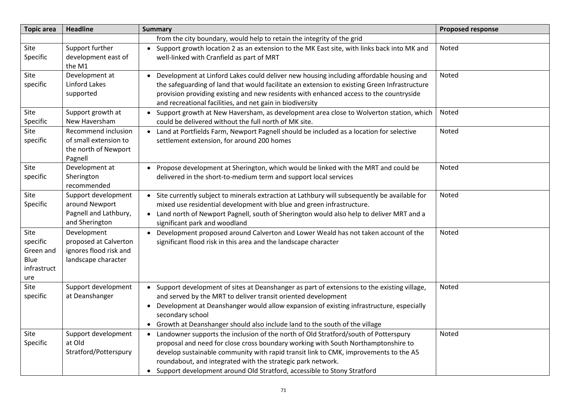| <b>Topic area</b>                                           | <b>Headline</b>                                                                       | <b>Summary</b>                                                                                                                                                                                                                                                                                                                                                                                                            | <b>Proposed response</b> |
|-------------------------------------------------------------|---------------------------------------------------------------------------------------|---------------------------------------------------------------------------------------------------------------------------------------------------------------------------------------------------------------------------------------------------------------------------------------------------------------------------------------------------------------------------------------------------------------------------|--------------------------|
|                                                             |                                                                                       | from the city boundary, would help to retain the integrity of the grid                                                                                                                                                                                                                                                                                                                                                    |                          |
| Site<br>Specific                                            | Support further<br>development east of<br>the M1                                      | • Support growth location 2 as an extension to the MK East site, with links back into MK and<br>well-linked with Cranfield as part of MRT                                                                                                                                                                                                                                                                                 | Noted                    |
| Site<br>specific                                            | Development at<br>Linford Lakes<br>supported                                          | Development at Linford Lakes could deliver new housing including affordable housing and<br>the safeguarding of land that would facilitate an extension to existing Green Infrastructure<br>provision providing existing and new residents with enhanced access to the countryside<br>and recreational facilities, and net gain in biodiversity                                                                            | Noted                    |
| Site<br>Specific                                            | Support growth at<br>New Haversham                                                    | • Support growth at New Haversham, as development area close to Wolverton station, which<br>could be delivered without the full north of MK site.                                                                                                                                                                                                                                                                         | Noted                    |
| Site<br>specific                                            | Recommend inclusion<br>of small extension to<br>the north of Newport<br>Pagnell       | • Land at Portfields Farm, Newport Pagnell should be included as a location for selective<br>settlement extension, for around 200 homes                                                                                                                                                                                                                                                                                   | Noted                    |
| Site<br>specific                                            | Development at<br>Sherington<br>recommended                                           | Propose development at Sherington, which would be linked with the MRT and could be<br>delivered in the short-to-medium term and support local services                                                                                                                                                                                                                                                                    | Noted                    |
| Site<br>Specific                                            | Support development<br>around Newport<br>Pagnell and Lathbury,<br>and Sherington      | • Site currently subject to minerals extraction at Lathbury will subsequently be available for<br>mixed use residential development with blue and green infrastructure.<br>Land north of Newport Pagnell, south of Sherington would also help to deliver MRT and a<br>$\bullet$<br>significant park and woodland                                                                                                          | Noted                    |
| Site<br>specific<br>Green and<br>Blue<br>infrastruct<br>ure | Development<br>proposed at Calverton<br>ignores flood risk and<br>landscape character | Development proposed around Calverton and Lower Weald has not taken account of the<br>$\bullet$<br>significant flood risk in this area and the landscape character                                                                                                                                                                                                                                                        | Noted                    |
| Site<br>specific                                            | Support development<br>at Deanshanger                                                 | Support development of sites at Deanshanger as part of extensions to the existing village,<br>$\bullet$<br>and served by the MRT to deliver transit oriented development<br>Development at Deanshanger would allow expansion of existing infrastructure, especially<br>$\bullet$<br>secondary school<br>Growth at Deanshanger should also include land to the south of the village<br>$\bullet$                           | Noted                    |
| Site<br>Specific                                            | Support development<br>at Old<br>Stratford/Potterspury                                | Landowner supports the inclusion of the north of Old Stratford/south of Potterspury<br>$\bullet$<br>proposal and need for close cross boundary working with South Northamptonshire to<br>develop sustainable community with rapid transit link to CMK, improvements to the A5<br>roundabout, and integrated with the strategic park network.<br>• Support development around Old Stratford, accessible to Stony Stratford | Noted                    |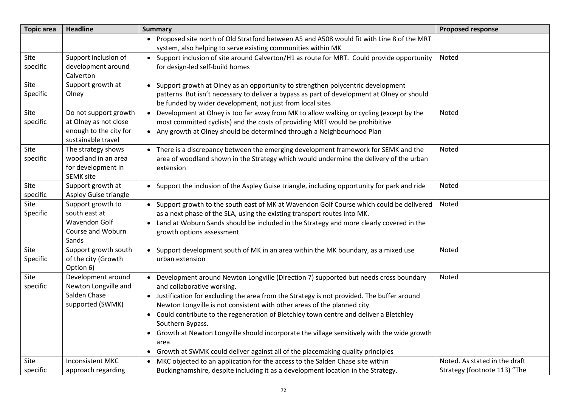| <b>Topic area</b> | <b>Headline</b>                                                                                | <b>Summary</b>                                                                                                                                                                                                                                                                                                                                                                                                                                                                                                                                                                                                     | <b>Proposed response</b>      |
|-------------------|------------------------------------------------------------------------------------------------|--------------------------------------------------------------------------------------------------------------------------------------------------------------------------------------------------------------------------------------------------------------------------------------------------------------------------------------------------------------------------------------------------------------------------------------------------------------------------------------------------------------------------------------------------------------------------------------------------------------------|-------------------------------|
|                   |                                                                                                | • Proposed site north of Old Stratford between A5 and A508 would fit with Line 8 of the MRT<br>system, also helping to serve existing communities within MK                                                                                                                                                                                                                                                                                                                                                                                                                                                        |                               |
| Site<br>specific  | Support inclusion of<br>development around<br>Calverton                                        | • Support inclusion of site around Calverton/H1 as route for MRT. Could provide opportunity<br>for design-led self-build homes                                                                                                                                                                                                                                                                                                                                                                                                                                                                                     | Noted                         |
| Site<br>Specific  | Support growth at<br>Olney                                                                     | Support growth at Olney as an opportunity to strengthen polycentric development<br>patterns. But isn't necessary to deliver a bypass as part of development at Olney or should<br>be funded by wider development, not just from local sites                                                                                                                                                                                                                                                                                                                                                                        |                               |
| Site<br>specific  | Do not support growth<br>at Olney as not close<br>enough to the city for<br>sustainable travel | • Development at Olney is too far away from MK to allow walking or cycling (except by the<br>most committed cyclists) and the costs of providing MRT would be prohibitive<br>• Any growth at Olney should be determined through a Neighbourhood Plan                                                                                                                                                                                                                                                                                                                                                               | Noted                         |
| Site<br>specific  | The strategy shows<br>woodland in an area<br>for development in<br><b>SEMK site</b>            | • There is a discrepancy between the emerging development framework for SEMK and the<br>area of woodland shown in the Strategy which would undermine the delivery of the urban<br>extension                                                                                                                                                                                                                                                                                                                                                                                                                        | Noted                         |
| Site<br>specific  | Support growth at<br>Aspley Guise triangle                                                     | • Support the inclusion of the Aspley Guise triangle, including opportunity for park and ride                                                                                                                                                                                                                                                                                                                                                                                                                                                                                                                      | Noted                         |
| Site<br>Specific  | Support growth to<br>south east at<br><b>Wavendon Golf</b><br>Course and Woburn<br>Sands       | Support growth to the south east of MK at Wavendon Golf Course which could be delivered<br>$\bullet$<br>as a next phase of the SLA, using the existing transport routes into MK.<br>Land at Woburn Sands should be included in the Strategy and more clearly covered in the<br>$\bullet$<br>growth options assessment                                                                                                                                                                                                                                                                                              | Noted                         |
| Site<br>Specific  | Support growth south<br>of the city (Growth<br>Option 6)                                       | • Support development south of MK in an area within the MK boundary, as a mixed use<br>urban extension                                                                                                                                                                                                                                                                                                                                                                                                                                                                                                             | Noted                         |
| Site<br>specific  | Development around<br>Newton Longville and<br>Salden Chase<br>supported (SWMK)                 | Development around Newton Longville (Direction 7) supported but needs cross boundary<br>and collaborative working.<br>• Justification for excluding the area from the Strategy is not provided. The buffer around<br>Newton Longville is not consistent with other areas of the planned city<br>• Could contribute to the regeneration of Bletchley town centre and deliver a Bletchley<br>Southern Bypass.<br>Growth at Newton Longville should incorporate the village sensitively with the wide growth<br>$\bullet$<br>area<br>• Growth at SWMK could deliver against all of the placemaking quality principles | Noted                         |
| Site              | <b>Inconsistent MKC</b>                                                                        | MKC objected to an application for the access to the Salden Chase site within                                                                                                                                                                                                                                                                                                                                                                                                                                                                                                                                      | Noted. As stated in the draft |
| specific          | approach regarding                                                                             | Buckinghamshire, despite including it as a development location in the Strategy.                                                                                                                                                                                                                                                                                                                                                                                                                                                                                                                                   | Strategy (footnote 113) "The  |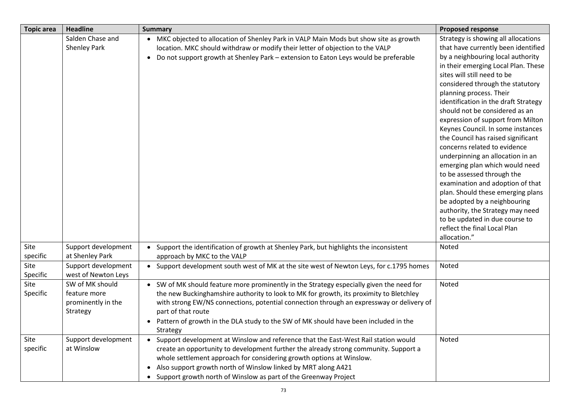| <b>Topic area</b> | <b>Headline</b>                                                   | <b>Summary</b>                                                                                                                                                                                                                                                                                                                                                                                            | <b>Proposed response</b>                                                                                                                                                                                                                                                                                                                                                                                                                                                                                                                                                                                                                                                                                                                                                                                          |
|-------------------|-------------------------------------------------------------------|-----------------------------------------------------------------------------------------------------------------------------------------------------------------------------------------------------------------------------------------------------------------------------------------------------------------------------------------------------------------------------------------------------------|-------------------------------------------------------------------------------------------------------------------------------------------------------------------------------------------------------------------------------------------------------------------------------------------------------------------------------------------------------------------------------------------------------------------------------------------------------------------------------------------------------------------------------------------------------------------------------------------------------------------------------------------------------------------------------------------------------------------------------------------------------------------------------------------------------------------|
|                   | Salden Chase and<br>Shenley Park                                  | • MKC objected to allocation of Shenley Park in VALP Main Mods but show site as growth<br>location. MKC should withdraw or modify their letter of objection to the VALP<br>Do not support growth at Shenley Park - extension to Eaton Leys would be preferable<br>$\bullet$                                                                                                                               | Strategy is showing all allocations<br>that have currently been identified<br>by a neighbouring local authority<br>in their emerging Local Plan. These<br>sites will still need to be<br>considered through the statutory<br>planning process. Their<br>identification in the draft Strategy<br>should not be considered as an<br>expression of support from Milton<br>Keynes Council. In some instances<br>the Council has raised significant<br>concerns related to evidence<br>underpinning an allocation in an<br>emerging plan which would need<br>to be assessed through the<br>examination and adoption of that<br>plan. Should these emerging plans<br>be adopted by a neighbouring<br>authority, the Strategy may need<br>to be updated in due course to<br>reflect the final Local Plan<br>allocation." |
| Site<br>specific  | Support development<br>at Shenley Park                            | Support the identification of growth at Shenley Park, but highlights the inconsistent<br>$\bullet$<br>approach by MKC to the VALP                                                                                                                                                                                                                                                                         | Noted                                                                                                                                                                                                                                                                                                                                                                                                                                                                                                                                                                                                                                                                                                                                                                                                             |
| Site<br>Specific  | Support development<br>west of Newton Leys                        | Support development south west of MK at the site west of Newton Leys, for c.1795 homes<br>$\bullet$                                                                                                                                                                                                                                                                                                       | Noted                                                                                                                                                                                                                                                                                                                                                                                                                                                                                                                                                                                                                                                                                                                                                                                                             |
| Site<br>Specific  | SW of MK should<br>feature more<br>prominently in the<br>Strategy | • SW of MK should feature more prominently in the Strategy especially given the need for<br>the new Buckinghamshire authority to look to MK for growth, its proximity to Bletchley<br>with strong EW/NS connections, potential connection through an expressway or delivery of<br>part of that route<br>• Pattern of growth in the DLA study to the SW of MK should have been included in the<br>Strategy | Noted                                                                                                                                                                                                                                                                                                                                                                                                                                                                                                                                                                                                                                                                                                                                                                                                             |
| Site<br>specific  | Support development<br>at Winslow                                 | Support development at Winslow and reference that the East-West Rail station would<br>$\bullet$<br>create an opportunity to development further the already strong community. Support a<br>whole settlement approach for considering growth options at Winslow.<br>• Also support growth north of Winslow linked by MRT along A421<br>• Support growth north of Winslow as part of the Greenway Project   | Noted                                                                                                                                                                                                                                                                                                                                                                                                                                                                                                                                                                                                                                                                                                                                                                                                             |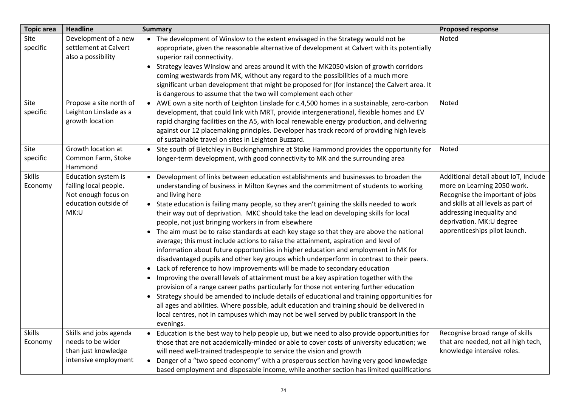| <b>Topic area</b>        | <b>Headline</b>                                                                                     | <b>Summary</b>                                                                                                                                                                                                                                                                                                                                                                                                                                                                                                                                                                                                                                                                                                                                                                                                                                                                                                                                                                                                                                                                                                                                                                                                                                                                                                                                                                                                | <b>Proposed response</b>                                                                                                                                                                                                                 |
|--------------------------|-----------------------------------------------------------------------------------------------------|---------------------------------------------------------------------------------------------------------------------------------------------------------------------------------------------------------------------------------------------------------------------------------------------------------------------------------------------------------------------------------------------------------------------------------------------------------------------------------------------------------------------------------------------------------------------------------------------------------------------------------------------------------------------------------------------------------------------------------------------------------------------------------------------------------------------------------------------------------------------------------------------------------------------------------------------------------------------------------------------------------------------------------------------------------------------------------------------------------------------------------------------------------------------------------------------------------------------------------------------------------------------------------------------------------------------------------------------------------------------------------------------------------------|------------------------------------------------------------------------------------------------------------------------------------------------------------------------------------------------------------------------------------------|
| Site<br>specific         | Development of a new<br>settlement at Calvert<br>also a possibility                                 | • The development of Winslow to the extent envisaged in the Strategy would not be<br>appropriate, given the reasonable alternative of development at Calvert with its potentially<br>superior rail connectivity.<br>• Strategy leaves Winslow and areas around it with the MK2050 vision of growth corridors<br>coming westwards from MK, without any regard to the possibilities of a much more<br>significant urban development that might be proposed for (for instance) the Calvert area. It<br>is dangerous to assume that the two will complement each other                                                                                                                                                                                                                                                                                                                                                                                                                                                                                                                                                                                                                                                                                                                                                                                                                                            | Noted                                                                                                                                                                                                                                    |
| Site<br>specific         | Propose a site north of<br>Leighton Linslade as a<br>growth location                                | AWE own a site north of Leighton Linslade for c.4,500 homes in a sustainable, zero-carbon<br>$\bullet$<br>development, that could link with MRT, provide intergenerational, flexible homes and EV<br>rapid charging facilities on the A5, with local renewable energy production, and delivering<br>against our 12 placemaking principles. Developer has track record of providing high levels<br>of sustainable travel on sites in Leighton Buzzard.                                                                                                                                                                                                                                                                                                                                                                                                                                                                                                                                                                                                                                                                                                                                                                                                                                                                                                                                                         | Noted                                                                                                                                                                                                                                    |
| Site<br>specific         | Growth location at<br>Common Farm, Stoke<br>Hammond                                                 | • Site south of Bletchley in Buckinghamshire at Stoke Hammond provides the opportunity for<br>longer-term development, with good connectivity to MK and the surrounding area                                                                                                                                                                                                                                                                                                                                                                                                                                                                                                                                                                                                                                                                                                                                                                                                                                                                                                                                                                                                                                                                                                                                                                                                                                  | Noted                                                                                                                                                                                                                                    |
| <b>Skills</b><br>Economy | Education system is<br>failing local people.<br>Not enough focus on<br>education outside of<br>MK:U | Development of links between education establishments and businesses to broaden the<br>$\bullet$<br>understanding of business in Milton Keynes and the commitment of students to working<br>and living here<br>• State education is failing many people, so they aren't gaining the skills needed to work<br>their way out of deprivation. MKC should take the lead on developing skills for local<br>people, not just bringing workers in from elsewhere<br>• The aim must be to raise standards at each key stage so that they are above the national<br>average; this must include actions to raise the attainment, aspiration and level of<br>information about future opportunities in higher education and employment in MK for<br>disadvantaged pupils and other key groups which underperform in contrast to their peers.<br>• Lack of reference to how improvements will be made to secondary education<br>• Improving the overall levels of attainment must be a key aspiration together with the<br>provision of a range career paths particularly for those not entering further education<br>• Strategy should be amended to include details of educational and training opportunities for<br>all ages and abilities. Where possible, adult education and training should be delivered in<br>local centres, not in campuses which may not be well served by public transport in the<br>evenings. | Additional detail about IoT, include<br>more on Learning 2050 work.<br>Recognise the important of jobs<br>and skills at all levels as part of<br>addressing inequality and<br>deprivation. MK: U degree<br>apprenticeships pilot launch. |
| <b>Skills</b><br>Economy | Skills and jobs agenda<br>needs to be wider<br>than just knowledge<br>intensive employment          | • Education is the best way to help people up, but we need to also provide opportunities for<br>those that are not academically-minded or able to cover costs of university education; we<br>will need well-trained tradespeople to service the vision and growth<br>• Danger of a "two speed economy" with a prosperous section having very good knowledge<br>based employment and disposable income, while another section has limited qualifications                                                                                                                                                                                                                                                                                                                                                                                                                                                                                                                                                                                                                                                                                                                                                                                                                                                                                                                                                       | Recognise broad range of skills<br>that are needed, not all high tech,<br>knowledge intensive roles.                                                                                                                                     |